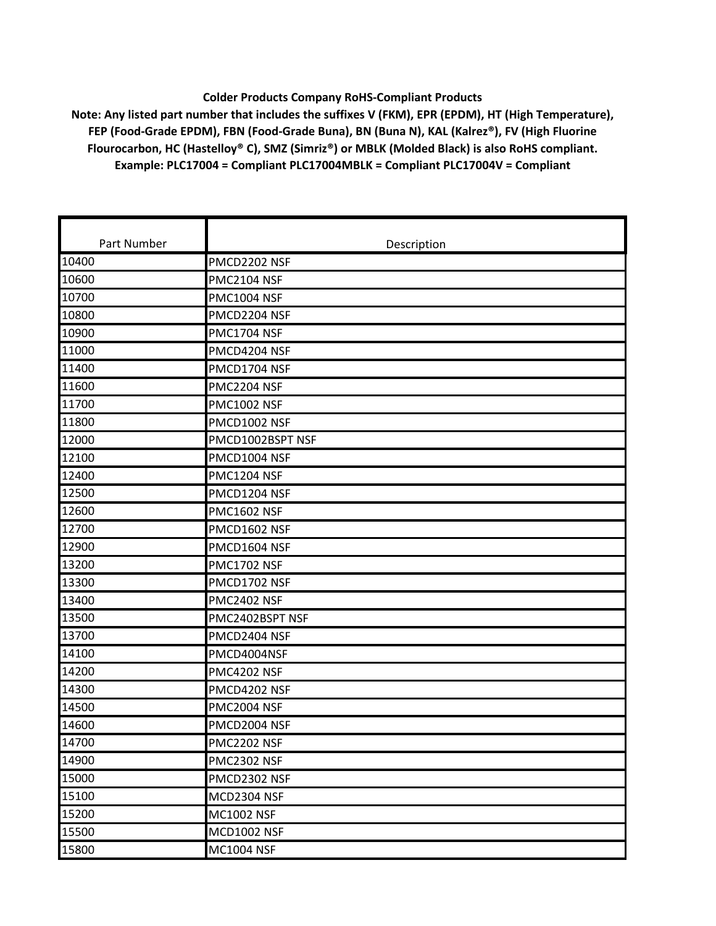## **Colder Products Company RoHS‐Compliant Products**

**Note: Any listed part number that includes the suffixes V (FKM), EPR (EPDM), HT (High Temperature), FEP (Food‐Grade EPDM), FBN (Food‐Grade Buna), BN (Buna N), KAL (Kalrez®), FV (High Fluorine Flourocarbon, HC (Hastelloy® C), SMZ (Simriz®) or MBLK (Molded Black) is also RoHS compliant. Example: PLC17004 = Compliant PLC17004MBLK = Compliant PLC17004V = Compliant**

| Part Number | Description        |
|-------------|--------------------|
| 10400       | PMCD2202 NSF       |
| 10600       | <b>PMC2104 NSF</b> |
| 10700       | <b>PMC1004 NSF</b> |
| 10800       | PMCD2204 NSF       |
| 10900       | <b>PMC1704 NSF</b> |
| 11000       | PMCD4204 NSF       |
| 11400       | PMCD1704 NSF       |
| 11600       | <b>PMC2204 NSF</b> |
| 11700       | <b>PMC1002 NSF</b> |
| 11800       | PMCD1002 NSF       |
| 12000       | PMCD1002BSPT NSF   |
| 12100       | PMCD1004 NSF       |
| 12400       | <b>PMC1204 NSF</b> |
| 12500       | PMCD1204 NSF       |
| 12600       | <b>PMC1602 NSF</b> |
| 12700       | PMCD1602 NSF       |
| 12900       | PMCD1604 NSF       |
| 13200       | PMC1702 NSF        |
| 13300       | PMCD1702 NSF       |
| 13400       | <b>PMC2402 NSF</b> |
| 13500       | PMC2402BSPT NSF    |
| 13700       | PMCD2404 NSF       |
| 14100       | PMCD4004NSF        |
| 14200       | PMC4202 NSF        |
| 14300       | PMCD4202 NSF       |
| 14500       | PMC2004 NSF        |
| 14600       | PMCD2004 NSF       |
| 14700       | PMC2202 NSF        |
| 14900       | PMC2302 NSF        |
| 15000       | PMCD2302 NSF       |
| 15100       | MCD2304 NSF        |
| 15200       | <b>MC1002 NSF</b>  |
| 15500       | <b>MCD1002 NSF</b> |
| 15800       | <b>MC1004 NSF</b>  |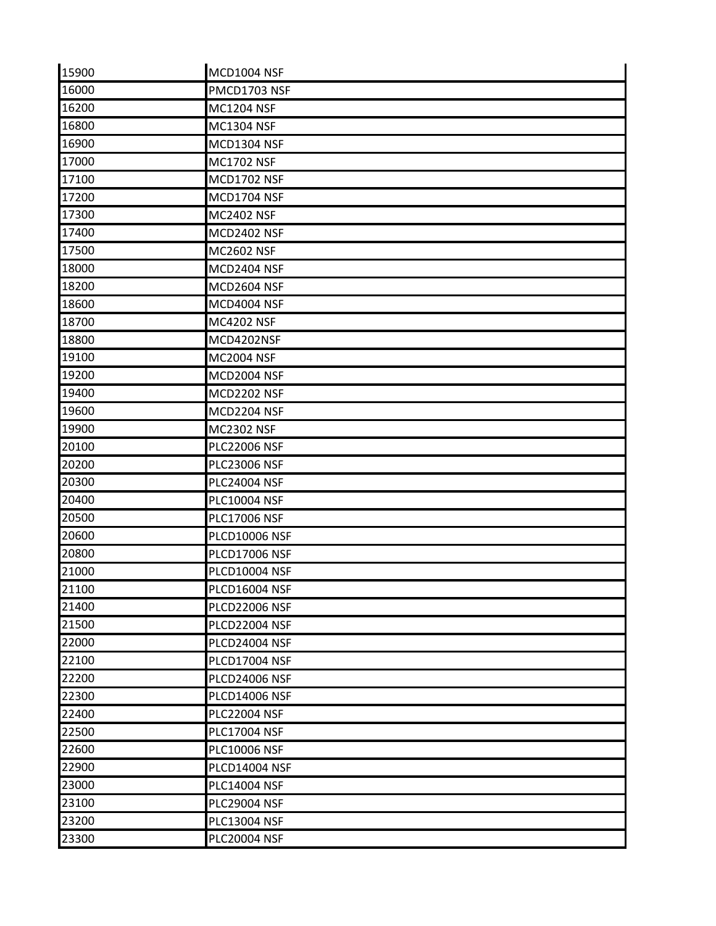| 15900 | <b>MCD1004 NSF</b>   |  |
|-------|----------------------|--|
| 16000 | PMCD1703 NSF         |  |
| 16200 | <b>MC1204 NSF</b>    |  |
| 16800 | <b>MC1304 NSF</b>    |  |
| 16900 | <b>MCD1304 NSF</b>   |  |
| 17000 | <b>MC1702 NSF</b>    |  |
| 17100 | <b>MCD1702 NSF</b>   |  |
| 17200 | MCD1704 NSF          |  |
| 17300 | <b>MC2402 NSF</b>    |  |
| 17400 | <b>MCD2402 NSF</b>   |  |
| 17500 | <b>MC2602 NSF</b>    |  |
| 18000 | MCD2404 NSF          |  |
| 18200 | MCD2604 NSF          |  |
| 18600 | MCD4004 NSF          |  |
| 18700 | <b>MC4202 NSF</b>    |  |
| 18800 | MCD4202NSF           |  |
| 19100 | <b>MC2004 NSF</b>    |  |
| 19200 | MCD2004 NSF          |  |
| 19400 | MCD2202 NSF          |  |
| 19600 | MCD2204 NSF          |  |
| 19900 | <b>MC2302 NSF</b>    |  |
| 20100 | <b>PLC22006 NSF</b>  |  |
| 20200 | <b>PLC23006 NSF</b>  |  |
| 20300 | <b>PLC24004 NSF</b>  |  |
| 20400 | <b>PLC10004 NSF</b>  |  |
| 20500 | <b>PLC17006 NSF</b>  |  |
| 20600 | <b>PLCD10006 NSF</b> |  |
| 20800 | <b>PLCD17006 NSF</b> |  |
| 21000 | <b>PLCD10004 NSF</b> |  |
| 21100 | PLCD16004 NSF        |  |
| 21400 | <b>PLCD22006 NSF</b> |  |
| 21500 | PLCD22004 NSF        |  |
| 22000 | PLCD24004 NSF        |  |
| 22100 | <b>PLCD17004 NSF</b> |  |
| 22200 | <b>PLCD24006 NSF</b> |  |
| 22300 | <b>PLCD14006 NSF</b> |  |
| 22400 | <b>PLC22004 NSF</b>  |  |
| 22500 | <b>PLC17004 NSF</b>  |  |
| 22600 | <b>PLC10006 NSF</b>  |  |
| 22900 | <b>PLCD14004 NSF</b> |  |
| 23000 | <b>PLC14004 NSF</b>  |  |
| 23100 | <b>PLC29004 NSF</b>  |  |
| 23200 | <b>PLC13004 NSF</b>  |  |
| 23300 | <b>PLC20004 NSF</b>  |  |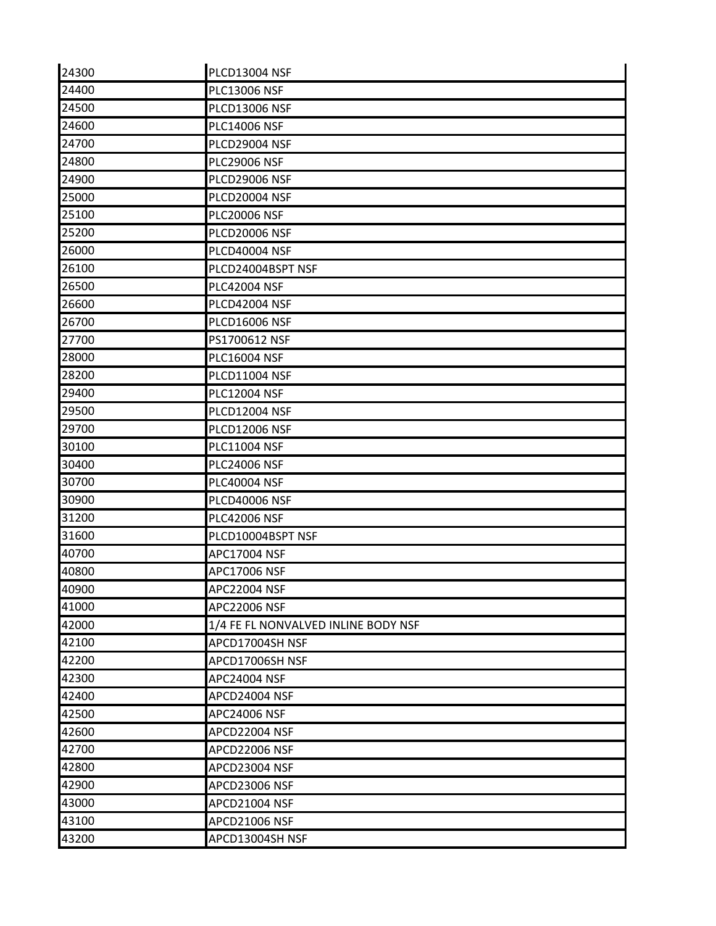| 24300 | <b>PLCD13004 NSF</b>                |
|-------|-------------------------------------|
| 24400 | <b>PLC13006 NSF</b>                 |
| 24500 | <b>PLCD13006 NSF</b>                |
| 24600 | <b>PLC14006 NSF</b>                 |
| 24700 | PLCD29004 NSF                       |
| 24800 | <b>PLC29006 NSF</b>                 |
| 24900 | <b>PLCD29006 NSF</b>                |
| 25000 | <b>PLCD20004 NSF</b>                |
| 25100 | <b>PLC20006 NSF</b>                 |
| 25200 | <b>PLCD20006 NSF</b>                |
| 26000 | <b>PLCD40004 NSF</b>                |
| 26100 | PLCD24004BSPT NSF                   |
| 26500 | <b>PLC42004 NSF</b>                 |
| 26600 | <b>PLCD42004 NSF</b>                |
| 26700 | <b>PLCD16006 NSF</b>                |
| 27700 | PS1700612 NSF                       |
| 28000 | <b>PLC16004 NSF</b>                 |
| 28200 | <b>PLCD11004 NSF</b>                |
| 29400 | <b>PLC12004 NSF</b>                 |
| 29500 | <b>PLCD12004 NSF</b>                |
| 29700 | <b>PLCD12006 NSF</b>                |
| 30100 | PLC11004 NSF                        |
| 30400 | <b>PLC24006 NSF</b>                 |
| 30700 | <b>PLC40004 NSF</b>                 |
| 30900 | <b>PLCD40006 NSF</b>                |
| 31200 | <b>PLC42006 NSF</b>                 |
| 31600 | PLCD10004BSPT NSF                   |
| 40700 | APC17004 NSF                        |
| 40800 | APC17006 NSF                        |
| 40900 | <b>APC22004 NSF</b>                 |
| 41000 | <b>APC22006 NSF</b>                 |
| 42000 | 1/4 FE FL NONVALVED INLINE BODY NSF |
| 42100 | APCD17004SH NSF                     |
| 42200 | APCD17006SH NSF                     |
| 42300 | APC24004 NSF                        |
| 42400 | APCD24004 NSF                       |
| 42500 | APC24006 NSF                        |
| 42600 | APCD22004 NSF                       |
| 42700 | APCD22006 NSF                       |
| 42800 | APCD23004 NSF                       |
| 42900 | APCD23006 NSF                       |
| 43000 | APCD21004 NSF                       |
| 43100 | APCD21006 NSF                       |
| 43200 | APCD13004SH NSF                     |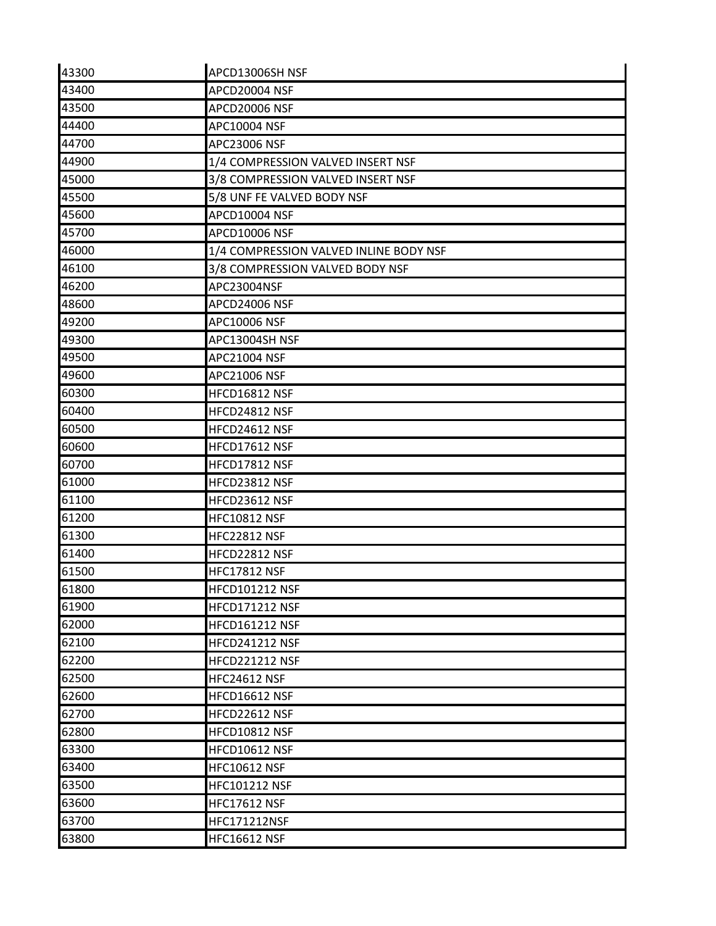| 43300 | APCD13006SH NSF                        |
|-------|----------------------------------------|
| 43400 | APCD20004 NSF                          |
| 43500 | APCD20006 NSF                          |
| 44400 | APC10004 NSF                           |
| 44700 | APC23006 NSF                           |
| 44900 | 1/4 COMPRESSION VALVED INSERT NSF      |
| 45000 | 3/8 COMPRESSION VALVED INSERT NSF      |
| 45500 | 5/8 UNF FE VALVED BODY NSF             |
| 45600 | APCD10004 NSF                          |
| 45700 | APCD10006 NSF                          |
| 46000 | 1/4 COMPRESSION VALVED INLINE BODY NSF |
| 46100 | 3/8 COMPRESSION VALVED BODY NSF        |
| 46200 | APC23004NSF                            |
| 48600 | <b>APCD24006 NSF</b>                   |
| 49200 | APC10006 NSF                           |
| 49300 | APC13004SH NSF                         |
| 49500 | APC21004 NSF                           |
| 49600 | APC21006 NSF                           |
| 60300 | HFCD16812 NSF                          |
| 60400 | HFCD24812 NSF                          |
| 60500 | HFCD24612 NSF                          |
| 60600 | HFCD17612 NSF                          |
| 60700 | HFCD17812 NSF                          |
| 61000 | HFCD23812 NSF                          |
| 61100 | HFCD23612 NSF                          |
| 61200 | <b>HFC10812 NSF</b>                    |
| 61300 | <b>HFC22812 NSF</b>                    |
| 61400 | HFCD22812 NSF                          |
| 61500 | <b>HFC17812 NSF</b>                    |
| 61800 | <b>HFCD101212 NSF</b>                  |
| 61900 | <b>HFCD171212 NSF</b>                  |
| 62000 | <b>HFCD161212 NSF</b>                  |
| 62100 | <b>HFCD241212 NSF</b>                  |
| 62200 | <b>HFCD221212 NSF</b>                  |
| 62500 | <b>HFC24612 NSF</b>                    |
| 62600 | HFCD16612 NSF                          |
| 62700 | HFCD22612 NSF                          |
| 62800 | <b>HFCD10812 NSF</b>                   |
| 63300 | HFCD10612 NSF                          |
| 63400 | <b>HFC10612 NSF</b>                    |
| 63500 | <b>HFC101212 NSF</b>                   |
| 63600 | <b>HFC17612 NSF</b>                    |
| 63700 | <b>HFC171212NSF</b>                    |
| 63800 | <b>HFC16612 NSF</b>                    |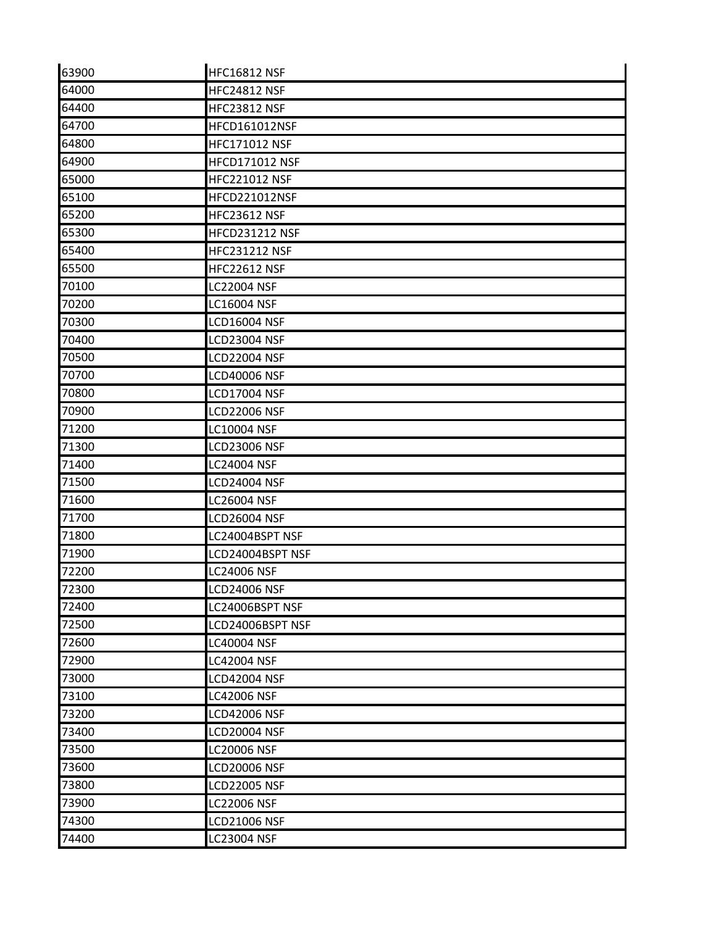| 63900 | <b>HFC16812 NSF</b>   |
|-------|-----------------------|
| 64000 | <b>HFC24812 NSF</b>   |
| 64400 | <b>HFC23812 NSF</b>   |
| 64700 | HFCD161012NSF         |
| 64800 | HFC171012 NSF         |
| 64900 | HFCD171012 NSF        |
| 65000 | <b>HFC221012 NSF</b>  |
| 65100 | HFCD221012NSF         |
| 65200 | <b>HFC23612 NSF</b>   |
| 65300 | <b>HFCD231212 NSF</b> |
| 65400 | <b>HFC231212 NSF</b>  |
| 65500 | <b>HFC22612 NSF</b>   |
| 70100 | <b>LC22004 NSF</b>    |
| 70200 | LC16004 NSF           |
| 70300 | <b>LCD16004 NSF</b>   |
| 70400 | <b>LCD23004 NSF</b>   |
| 70500 | <b>LCD22004 NSF</b>   |
| 70700 | <b>LCD40006 NSF</b>   |
| 70800 | <b>LCD17004 NSF</b>   |
| 70900 | <b>LCD22006 NSF</b>   |
| 71200 | <b>LC10004 NSF</b>    |
| 71300 | <b>LCD23006 NSF</b>   |
| 71400 | <b>LC24004 NSF</b>    |
| 71500 | <b>LCD24004 NSF</b>   |
| 71600 | LC26004 NSF           |
| 71700 | <b>LCD26004 NSF</b>   |
| 71800 | LC24004BSPT NSF       |
| 71900 | LCD24004BSPT NSF      |
| 72200 | LC24006 NSF           |
| 72300 | <b>LCD24006 NSF</b>   |
| 72400 | LC24006BSPT NSF       |
| 72500 | LCD24006BSPT NSF      |
| 72600 | <b>LC40004 NSF</b>    |
| 72900 | <b>LC42004 NSF</b>    |
| 73000 | <b>LCD42004 NSF</b>   |
| 73100 | <b>LC42006 NSF</b>    |
| 73200 | <b>LCD42006 NSF</b>   |
| 73400 | <b>LCD20004 NSF</b>   |
| 73500 | LC20006 NSF           |
| 73600 | <b>LCD20006 NSF</b>   |
| 73800 | <b>LCD22005 NSF</b>   |
| 73900 | <b>LC22006 NSF</b>    |
| 74300 | <b>LCD21006 NSF</b>   |
| 74400 | <b>LC23004 NSF</b>    |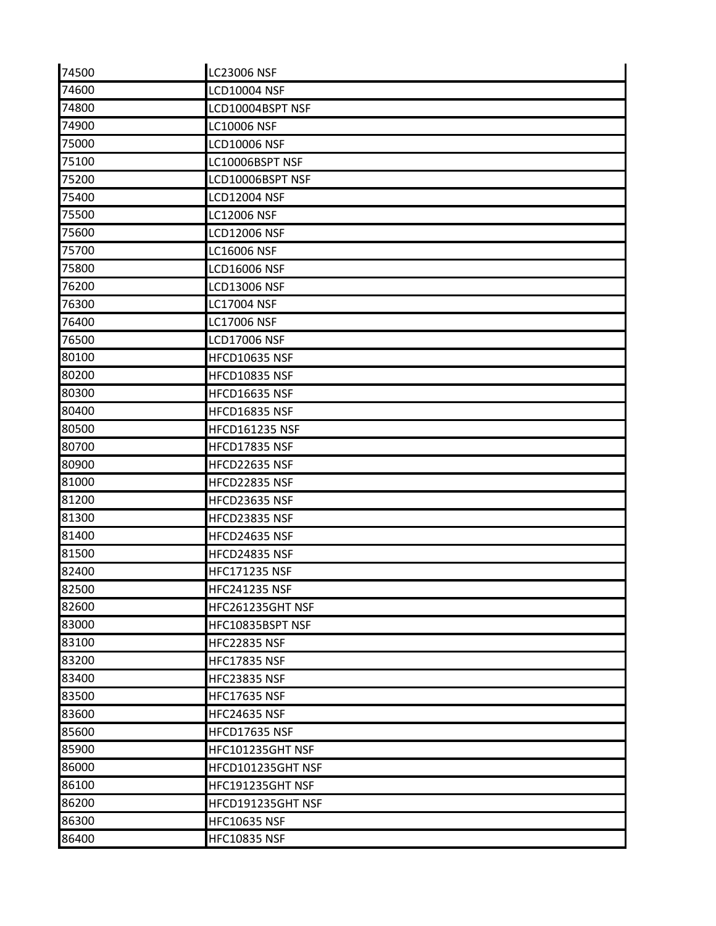| 74500 | <b>LC23006 NSF</b>    |
|-------|-----------------------|
| 74600 | <b>LCD10004 NSF</b>   |
| 74800 | LCD10004BSPT NSF      |
| 74900 | <b>LC10006 NSF</b>    |
| 75000 | <b>LCD10006 NSF</b>   |
| 75100 | LC10006BSPT NSF       |
| 75200 | LCD10006BSPT NSF      |
| 75400 | <b>LCD12004 NSF</b>   |
| 75500 | <b>LC12006 NSF</b>    |
| 75600 | <b>LCD12006 NSF</b>   |
| 75700 | <b>LC16006 NSF</b>    |
| 75800 | <b>LCD16006 NSF</b>   |
| 76200 | <b>LCD13006 NSF</b>   |
| 76300 | <b>LC17004 NSF</b>    |
| 76400 | <b>LC17006 NSF</b>    |
| 76500 | <b>LCD17006 NSF</b>   |
| 80100 | <b>HFCD10635 NSF</b>  |
| 80200 | <b>HFCD10835 NSF</b>  |
| 80300 | <b>HFCD16635 NSF</b>  |
| 80400 | HFCD16835 NSF         |
| 80500 | <b>HFCD161235 NSF</b> |
| 80700 | HFCD17835 NSF         |
| 80900 | HFCD22635 NSF         |
| 81000 | HFCD22835 NSF         |
| 81200 | HFCD23635 NSF         |
| 81300 | HFCD23835 NSF         |
| 81400 | <b>HFCD24635 NSF</b>  |
| 81500 | HFCD24835 NSF         |
| 82400 | <b>HFC171235 NSF</b>  |
| 82500 | <b>HFC241235 NSF</b>  |
| 82600 | HFC261235GHT NSF      |
| 83000 | HFC10835BSPT NSF      |
| 83100 | <b>HFC22835 NSF</b>   |
| 83200 | <b>HFC17835 NSF</b>   |
| 83400 | <b>HFC23835 NSF</b>   |
| 83500 | <b>HFC17635 NSF</b>   |
| 83600 | <b>HFC24635 NSF</b>   |
| 85600 | <b>HFCD17635 NSF</b>  |
| 85900 | HFC101235GHT NSF      |
| 86000 | HFCD101235GHT NSF     |
| 86100 | HFC191235GHT NSF      |
| 86200 | HFCD191235GHT NSF     |
| 86300 | <b>HFC10635 NSF</b>   |
| 86400 | <b>HFC10835 NSF</b>   |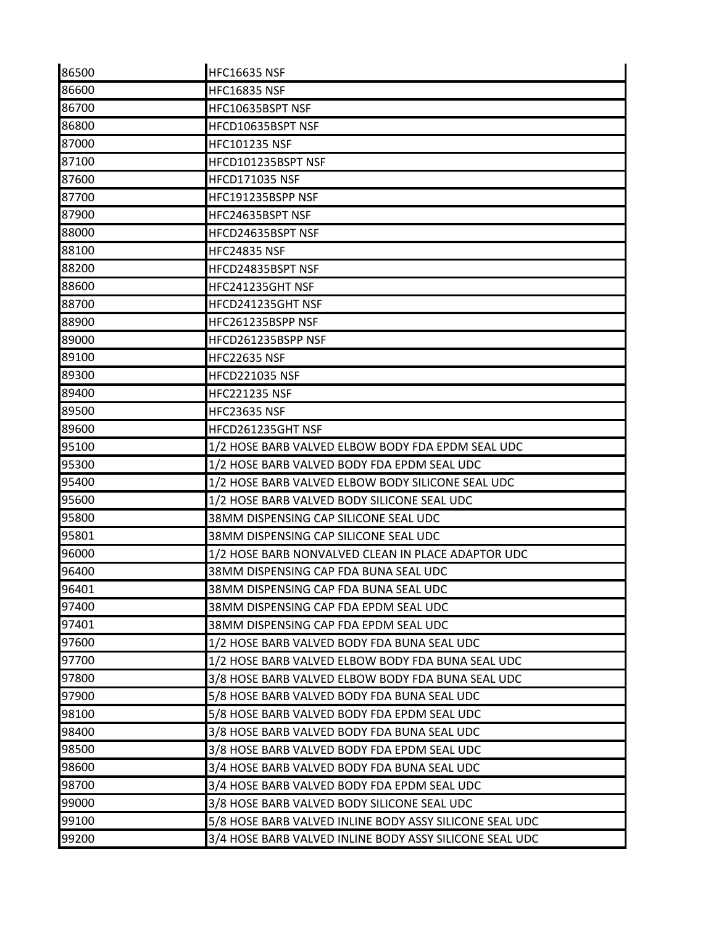| 86500 | <b>HFC16635 NSF</b>                                     |
|-------|---------------------------------------------------------|
| 86600 | <b>HFC16835 NSF</b>                                     |
| 86700 | HFC10635BSPT NSF                                        |
| 86800 | HFCD10635BSPT NSF                                       |
| 87000 | <b>HFC101235 NSF</b>                                    |
| 87100 | HFCD101235BSPT NSF                                      |
| 87600 | <b>HFCD171035 NSF</b>                                   |
| 87700 | HFC191235BSPP NSF                                       |
| 87900 | HFC24635BSPT NSF                                        |
| 88000 | HFCD24635BSPT NSF                                       |
| 88100 | <b>HFC24835 NSF</b>                                     |
| 88200 | HFCD24835BSPT NSF                                       |
| 88600 | HFC241235GHT NSF                                        |
| 88700 | HFCD241235GHT NSF                                       |
| 88900 | HFC261235BSPP NSF                                       |
| 89000 | HFCD261235BSPP NSF                                      |
| 89100 | HFC22635 NSF                                            |
| 89300 | <b>HFCD221035 NSF</b>                                   |
| 89400 | <b>HFC221235 NSF</b>                                    |
| 89500 | <b>HFC23635 NSF</b>                                     |
| 89600 | HFCD261235GHT NSF                                       |
| 95100 | 1/2 HOSE BARB VALVED ELBOW BODY FDA EPDM SEAL UDC       |
| 95300 | 1/2 HOSE BARB VALVED BODY FDA EPDM SEAL UDC             |
| 95400 | 1/2 HOSE BARB VALVED ELBOW BODY SILICONE SEAL UDC       |
| 95600 | 1/2 HOSE BARB VALVED BODY SILICONE SEAL UDC             |
| 95800 | 38MM DISPENSING CAP SILICONE SEAL UDC                   |
| 95801 | 38MM DISPENSING CAP SILICONE SEAL UDC                   |
| 96000 | 1/2 HOSE BARB NONVALVED CLEAN IN PLACE ADAPTOR UDC      |
| 96400 | 38MM DISPENSING CAP FDA BUNA SEAL UDC                   |
| 96401 | 38MM DISPENSING CAP FDA BUNA SEAL UDC                   |
| 97400 | 38MM DISPENSING CAP FDA EPDM SEAL UDC                   |
| 97401 | 38MM DISPENSING CAP FDA EPDM SEAL UDC                   |
| 97600 | 1/2 HOSE BARB VALVED BODY FDA BUNA SEAL UDC             |
| 97700 | 1/2 HOSE BARB VALVED ELBOW BODY FDA BUNA SEAL UDC       |
| 97800 | 3/8 HOSE BARB VALVED ELBOW BODY FDA BUNA SEAL UDC       |
| 97900 | 5/8 HOSE BARB VALVED BODY FDA BUNA SEAL UDC             |
| 98100 | 5/8 HOSE BARB VALVED BODY FDA EPDM SEAL UDC             |
| 98400 | 3/8 HOSE BARB VALVED BODY FDA BUNA SEAL UDC             |
| 98500 | 3/8 HOSE BARB VALVED BODY FDA EPDM SEAL UDC             |
| 98600 | 3/4 HOSE BARB VALVED BODY FDA BUNA SEAL UDC             |
| 98700 | 3/4 HOSE BARB VALVED BODY FDA EPDM SEAL UDC             |
| 99000 | 3/8 HOSE BARB VALVED BODY SILICONE SEAL UDC             |
| 99100 | 5/8 HOSE BARB VALVED INLINE BODY ASSY SILICONE SEAL UDC |
| 99200 | 3/4 HOSE BARB VALVED INLINE BODY ASSY SILICONE SEAL UDC |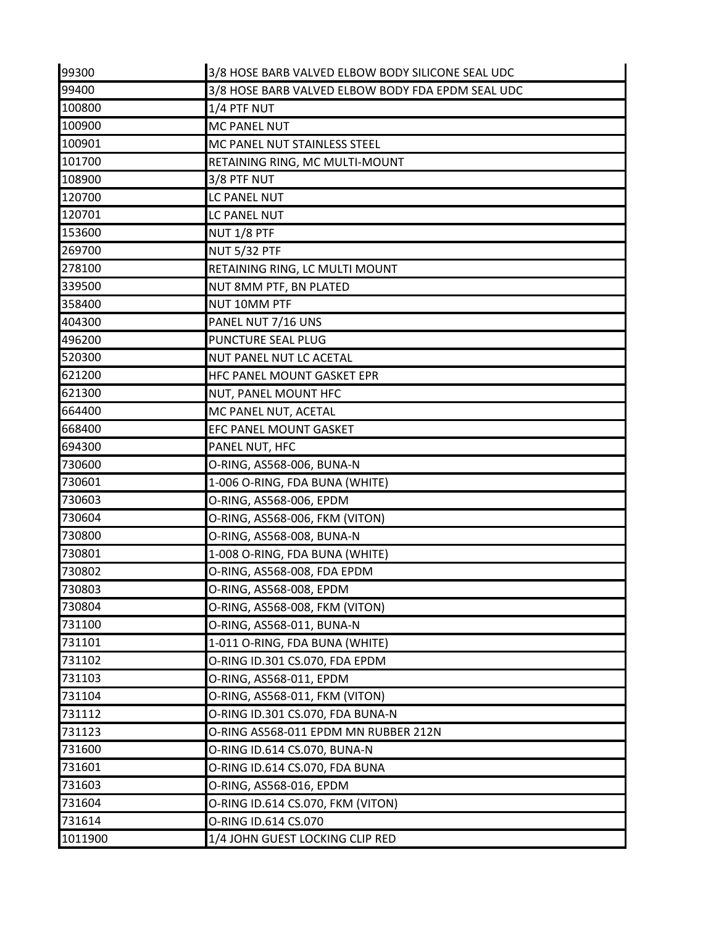| 99300   | 3/8 HOSE BARB VALVED ELBOW BODY SILICONE SEAL UDC |
|---------|---------------------------------------------------|
| 99400   | 3/8 HOSE BARB VALVED ELBOW BODY FDA EPDM SEAL UDC |
| 100800  | 1/4 PTF NUT                                       |
| 100900  | MC PANEL NUT                                      |
| 100901  | MC PANEL NUT STAINLESS STEEL                      |
| 101700  | RETAINING RING, MC MULTI-MOUNT                    |
| 108900  | 3/8 PTF NUT                                       |
| 120700  | LC PANEL NUT                                      |
| 120701  | LC PANEL NUT                                      |
| 153600  | NUT 1/8 PTF                                       |
| 269700  | <b>NUT 5/32 PTF</b>                               |
| 278100  | RETAINING RING, LC MULTI MOUNT                    |
| 339500  | NUT 8MM PTF, BN PLATED                            |
| 358400  | NUT 10MM PTF                                      |
| 404300  | PANEL NUT 7/16 UNS                                |
| 496200  | <b>PUNCTURE SEAL PLUG</b>                         |
| 520300  | NUT PANEL NUT LC ACETAL                           |
| 621200  | HFC PANEL MOUNT GASKET EPR                        |
| 621300  | NUT, PANEL MOUNT HFC                              |
| 664400  | MC PANEL NUT, ACETAL                              |
| 668400  | EFC PANEL MOUNT GASKET                            |
| 694300  | PANEL NUT, HFC                                    |
| 730600  | O-RING, AS568-006, BUNA-N                         |
| 730601  | 1-006 O-RING, FDA BUNA (WHITE)                    |
| 730603  | O-RING, AS568-006, EPDM                           |
| 730604  | O-RING, AS568-006, FKM (VITON)                    |
| 730800  | O-RING, AS568-008, BUNA-N                         |
| 730801  | 1-008 O-RING, FDA BUNA (WHITE)                    |
| 730802  | O-RING, AS568-008, FDA EPDM                       |
| 730803  | O-RING, AS568-008, EPDM                           |
| 730804  | O-RING, AS568-008, FKM (VITON)                    |
| 731100  | O-RING, AS568-011, BUNA-N                         |
| 731101  | 1-011 O-RING, FDA BUNA (WHITE)                    |
| 731102  | O-RING ID.301 CS.070, FDA EPDM                    |
| 731103  | O-RING, AS568-011, EPDM                           |
| 731104  | O-RING, AS568-011, FKM (VITON)                    |
| 731112  | O-RING ID.301 CS.070, FDA BUNA-N                  |
| 731123  | O-RING AS568-011 EPDM MN RUBBER 212N              |
| 731600  | O-RING ID.614 CS.070, BUNA-N                      |
| 731601  | O-RING ID.614 CS.070, FDA BUNA                    |
| 731603  | O-RING, AS568-016, EPDM                           |
| 731604  | O-RING ID.614 CS.070, FKM (VITON)                 |
| 731614  | O-RING ID.614 CS.070                              |
| 1011900 | 1/4 JOHN GUEST LOCKING CLIP RED                   |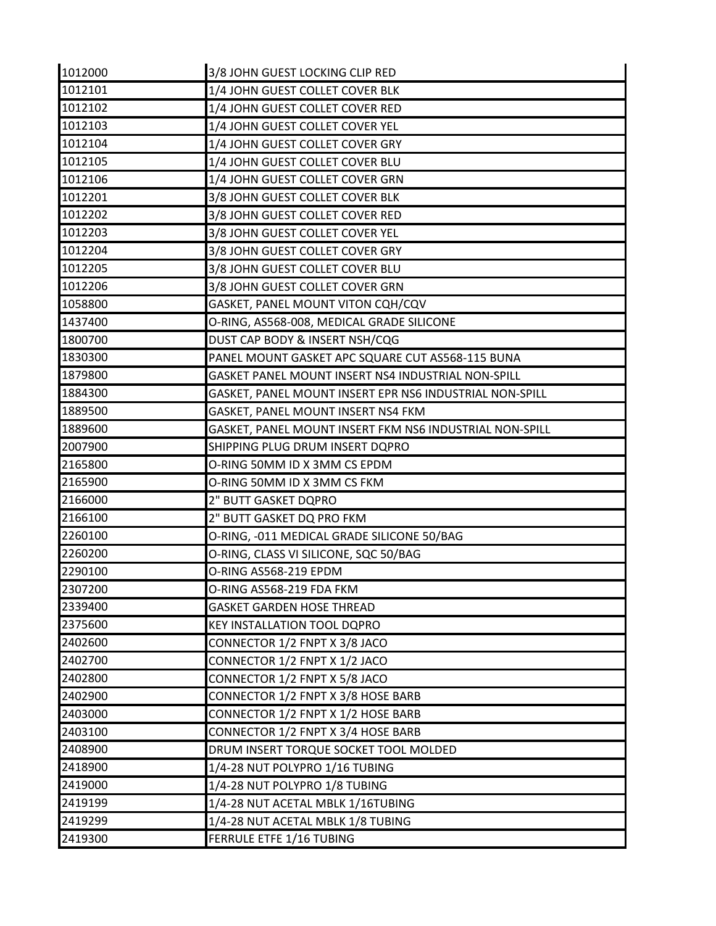| 1012000 | 3/8 JOHN GUEST LOCKING CLIP RED                         |
|---------|---------------------------------------------------------|
| 1012101 | 1/4 JOHN GUEST COLLET COVER BLK                         |
| 1012102 | 1/4 JOHN GUEST COLLET COVER RED                         |
| 1012103 | 1/4 JOHN GUEST COLLET COVER YEL                         |
| 1012104 | 1/4 JOHN GUEST COLLET COVER GRY                         |
| 1012105 | 1/4 JOHN GUEST COLLET COVER BLU                         |
| 1012106 | 1/4 JOHN GUEST COLLET COVER GRN                         |
| 1012201 | 3/8 JOHN GUEST COLLET COVER BLK                         |
| 1012202 | 3/8 JOHN GUEST COLLET COVER RED                         |
| 1012203 | 3/8 JOHN GUEST COLLET COVER YEL                         |
| 1012204 | 3/8 JOHN GUEST COLLET COVER GRY                         |
| 1012205 | 3/8 JOHN GUEST COLLET COVER BLU                         |
| 1012206 | 3/8 JOHN GUEST COLLET COVER GRN                         |
| 1058800 | GASKET, PANEL MOUNT VITON CQH/CQV                       |
| 1437400 | O-RING, AS568-008, MEDICAL GRADE SILICONE               |
| 1800700 | DUST CAP BODY & INSERT NSH/CQG                          |
| 1830300 | PANEL MOUNT GASKET APC SQUARE CUT AS568-115 BUNA        |
| 1879800 | GASKET PANEL MOUNT INSERT NS4 INDUSTRIAL NON-SPILL      |
| 1884300 | GASKET, PANEL MOUNT INSERT EPR NS6 INDUSTRIAL NON-SPILL |
| 1889500 | GASKET, PANEL MOUNT INSERT NS4 FKM                      |
| 1889600 | GASKET, PANEL MOUNT INSERT FKM NS6 INDUSTRIAL NON-SPILL |
| 2007900 | SHIPPING PLUG DRUM INSERT DQPRO                         |
| 2165800 | O-RING 50MM ID X 3MM CS EPDM                            |
| 2165900 | O-RING 50MM ID X 3MM CS FKM                             |
| 2166000 | 2" BUTT GASKET DQPRO                                    |
| 2166100 | 2" BUTT GASKET DQ PRO FKM                               |
| 2260100 | O-RING, -011 MEDICAL GRADE SILICONE 50/BAG              |
| 2260200 | O-RING, CLASS VI SILICONE, SQC 50/BAG                   |
| 2290100 | O-RING AS568-219 EPDM                                   |
| 2307200 | O-RING AS568-219 FDA FKM                                |
| 2339400 | <b>GASKET GARDEN HOSE THREAD</b>                        |
| 2375600 | <b>KEY INSTALLATION TOOL DQPRO</b>                      |
| 2402600 | CONNECTOR 1/2 FNPT X 3/8 JACO                           |
| 2402700 | CONNECTOR 1/2 FNPT X 1/2 JACO                           |
| 2402800 | CONNECTOR 1/2 FNPT X 5/8 JACO                           |
| 2402900 | CONNECTOR 1/2 FNPT X 3/8 HOSE BARB                      |
| 2403000 | CONNECTOR 1/2 FNPT X 1/2 HOSE BARB                      |
| 2403100 | CONNECTOR 1/2 FNPT X 3/4 HOSE BARB                      |
| 2408900 | DRUM INSERT TORQUE SOCKET TOOL MOLDED                   |
| 2418900 | 1/4-28 NUT POLYPRO 1/16 TUBING                          |
| 2419000 | 1/4-28 NUT POLYPRO 1/8 TUBING                           |
| 2419199 | 1/4-28 NUT ACETAL MBLK 1/16TUBING                       |
| 2419299 | 1/4-28 NUT ACETAL MBLK 1/8 TUBING                       |
| 2419300 | FERRULE ETFE 1/16 TUBING                                |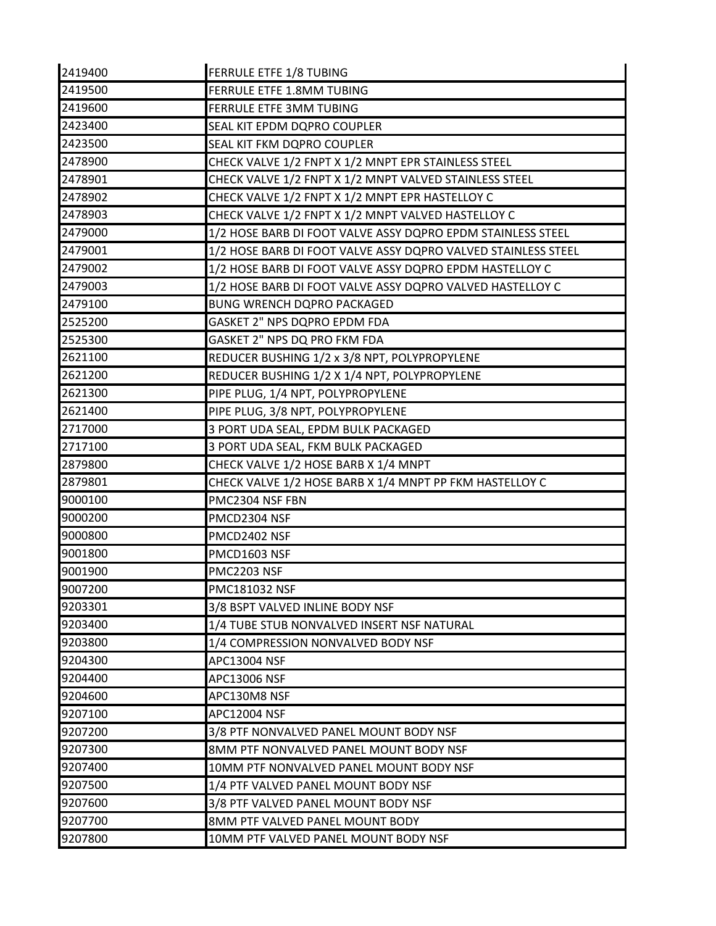| 2419400 | FERRULE ETFE 1/8 TUBING                                       |
|---------|---------------------------------------------------------------|
| 2419500 | FERRULE ETFE 1.8MM TUBING                                     |
| 2419600 | FERRULE ETFE 3MM TUBING                                       |
| 2423400 | SEAL KIT EPDM DQPRO COUPLER                                   |
| 2423500 | SEAL KIT FKM DQPRO COUPLER                                    |
| 2478900 | CHECK VALVE 1/2 FNPT X 1/2 MNPT EPR STAINLESS STEEL           |
| 2478901 | CHECK VALVE 1/2 FNPT X 1/2 MNPT VALVED STAINLESS STEEL        |
| 2478902 | CHECK VALVE 1/2 FNPT X 1/2 MNPT EPR HASTELLOY C               |
| 2478903 | CHECK VALVE 1/2 FNPT X 1/2 MNPT VALVED HASTELLOY C            |
| 2479000 | 1/2 HOSE BARB DI FOOT VALVE ASSY DQPRO EPDM STAINLESS STEEL   |
| 2479001 | 1/2 HOSE BARB DI FOOT VALVE ASSY DQPRO VALVED STAINLESS STEEL |
| 2479002 | 1/2 HOSE BARB DI FOOT VALVE ASSY DQPRO EPDM HASTELLOY C       |
| 2479003 | 1/2 HOSE BARB DI FOOT VALVE ASSY DQPRO VALVED HASTELLOY C     |
| 2479100 | <b>BUNG WRENCH DQPRO PACKAGED</b>                             |
| 2525200 | GASKET 2" NPS DQPRO EPDM FDA                                  |
| 2525300 | GASKET 2" NPS DQ PRO FKM FDA                                  |
| 2621100 | REDUCER BUSHING 1/2 x 3/8 NPT, POLYPROPYLENE                  |
| 2621200 | REDUCER BUSHING 1/2 X 1/4 NPT, POLYPROPYLENE                  |
| 2621300 | PIPE PLUG, 1/4 NPT, POLYPROPYLENE                             |
| 2621400 | PIPE PLUG, 3/8 NPT, POLYPROPYLENE                             |
| 2717000 | 3 PORT UDA SEAL, EPDM BULK PACKAGED                           |
| 2717100 | 3 PORT UDA SEAL, FKM BULK PACKAGED                            |
| 2879800 | CHECK VALVE 1/2 HOSE BARB X 1/4 MNPT                          |
| 2879801 | CHECK VALVE 1/2 HOSE BARB X 1/4 MNPT PP FKM HASTELLOY C       |
| 9000100 | PMC2304 NSF FBN                                               |
| 9000200 | PMCD2304 NSF                                                  |
| 9000800 | PMCD2402 NSF                                                  |
| 9001800 | PMCD1603 NSF                                                  |
| 9001900 | <b>PMC2203 NSF</b>                                            |
| 9007200 | PMC181032 NSF                                                 |
| 9203301 | 3/8 BSPT VALVED INLINE BODY NSF                               |
| 9203400 | 1/4 TUBE STUB NONVALVED INSERT NSF NATURAL                    |
| 9203800 | 1/4 COMPRESSION NONVALVED BODY NSF                            |
| 9204300 | <b>APC13004 NSF</b>                                           |
| 9204400 | <b>APC13006 NSF</b>                                           |
| 9204600 | APC130M8 NSF                                                  |
| 9207100 | <b>APC12004 NSF</b>                                           |
| 9207200 | 3/8 PTF NONVALVED PANEL MOUNT BODY NSF                        |
| 9207300 | 8MM PTF NONVALVED PANEL MOUNT BODY NSF                        |
| 9207400 | 10MM PTF NONVALVED PANEL MOUNT BODY NSF                       |
| 9207500 | 1/4 PTF VALVED PANEL MOUNT BODY NSF                           |
| 9207600 | 3/8 PTF VALVED PANEL MOUNT BODY NSF                           |
| 9207700 | 8MM PTF VALVED PANEL MOUNT BODY                               |
| 9207800 | 10MM PTF VALVED PANEL MOUNT BODY NSF                          |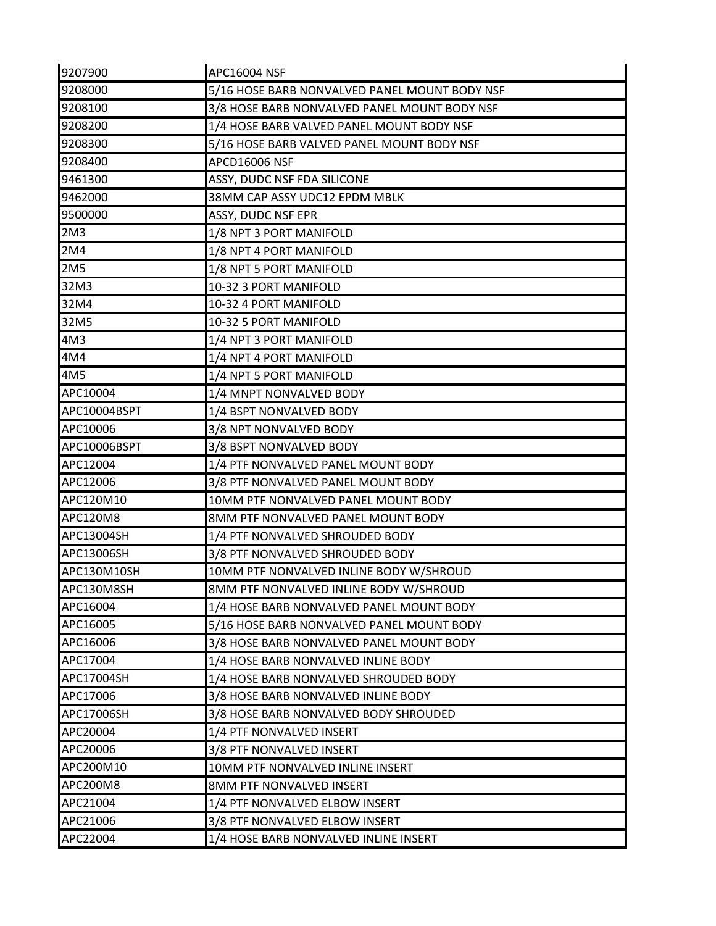| 9207900         | APC16004 NSF                                  |
|-----------------|-----------------------------------------------|
| 9208000         | 5/16 HOSE BARB NONVALVED PANEL MOUNT BODY NSF |
| 9208100         | 3/8 HOSE BARB NONVALVED PANEL MOUNT BODY NSF  |
| 9208200         | 1/4 HOSE BARB VALVED PANEL MOUNT BODY NSF     |
| 9208300         | 5/16 HOSE BARB VALVED PANEL MOUNT BODY NSF    |
| 9208400         | APCD16006 NSF                                 |
| 9461300         | ASSY, DUDC NSF FDA SILICONE                   |
| 9462000         | 38MM CAP ASSY UDC12 EPDM MBLK                 |
| 9500000         | ASSY, DUDC NSF EPR                            |
| 2M <sub>3</sub> | 1/8 NPT 3 PORT MANIFOLD                       |
| 2M4             | 1/8 NPT 4 PORT MANIFOLD                       |
| 2M5             | 1/8 NPT 5 PORT MANIFOLD                       |
| 32M3            | 10-32 3 PORT MANIFOLD                         |
| 32M4            | 10-32 4 PORT MANIFOLD                         |
| 32M5            | 10-32 5 PORT MANIFOLD                         |
| 4M3             | 1/4 NPT 3 PORT MANIFOLD                       |
| 4M4             | 1/4 NPT 4 PORT MANIFOLD                       |
| 4M5             | 1/4 NPT 5 PORT MANIFOLD                       |
| APC10004        | 1/4 MNPT NONVALVED BODY                       |
| APC10004BSPT    | 1/4 BSPT NONVALVED BODY                       |
| APC10006        | 3/8 NPT NONVALVED BODY                        |
| APC10006BSPT    | 3/8 BSPT NONVALVED BODY                       |
| APC12004        | 1/4 PTF NONVALVED PANEL MOUNT BODY            |
| APC12006        | 3/8 PTF NONVALVED PANEL MOUNT BODY            |
| APC120M10       | 10MM PTF NONVALVED PANEL MOUNT BODY           |
| APC120M8        | 8MM PTF NONVALVED PANEL MOUNT BODY            |
| APC13004SH      | 1/4 PTF NONVALVED SHROUDED BODY               |
| APC13006SH      | 3/8 PTF NONVALVED SHROUDED BODY               |
| APC130M10SH     | 10MM PTF NONVALVED INLINE BODY W/SHROUD       |
| APC130M8SH      | 8MM PTF NONVALVED INLINE BODY W/SHROUD        |
| APC16004        | 1/4 HOSE BARB NONVALVED PANEL MOUNT BODY      |
| APC16005        | 5/16 HOSE BARB NONVALVED PANEL MOUNT BODY     |
| APC16006        | 3/8 HOSE BARB NONVALVED PANEL MOUNT BODY      |
| APC17004        | 1/4 HOSE BARB NONVALVED INLINE BODY           |
| APC17004SH      | 1/4 HOSE BARB NONVALVED SHROUDED BODY         |
| APC17006        | 3/8 HOSE BARB NONVALVED INLINE BODY           |
| APC17006SH      | 3/8 HOSE BARB NONVALVED BODY SHROUDED         |
| APC20004        | 1/4 PTF NONVALVED INSERT                      |
| APC20006        | 3/8 PTF NONVALVED INSERT                      |
| APC200M10       | 10MM PTF NONVALVED INLINE INSERT              |
| APC200M8        | 8MM PTF NONVALVED INSERT                      |
| APC21004        | 1/4 PTF NONVALVED ELBOW INSERT                |
| APC21006        | 3/8 PTF NONVALVED ELBOW INSERT                |
| APC22004        | 1/4 HOSE BARB NONVALVED INLINE INSERT         |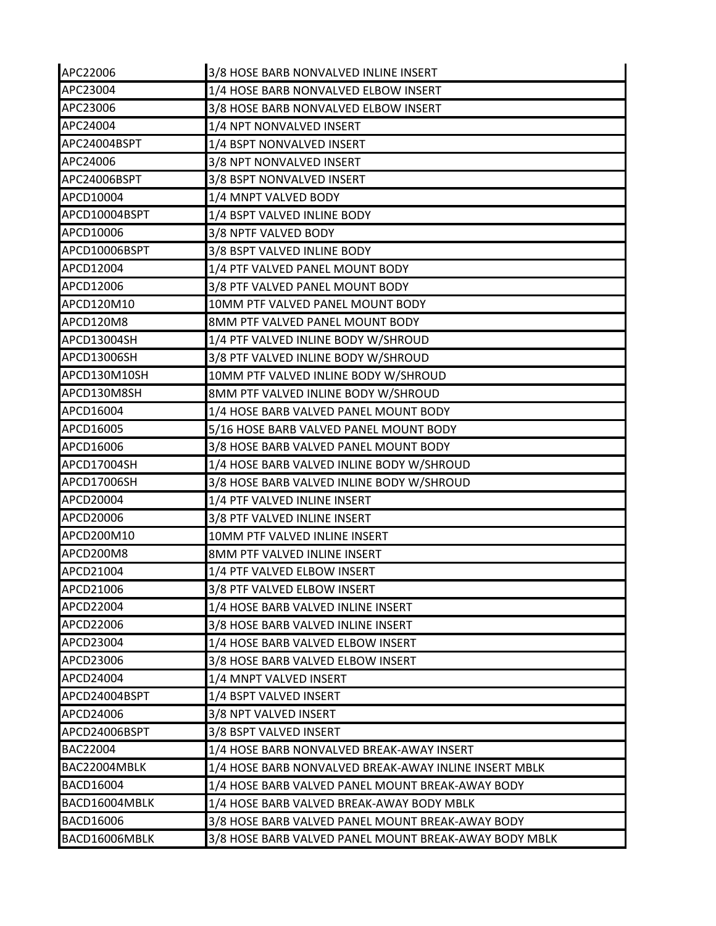| APC22006         | 3/8 HOSE BARB NONVALVED INLINE INSERT                 |
|------------------|-------------------------------------------------------|
| APC23004         | 1/4 HOSE BARB NONVALVED ELBOW INSERT                  |
| APC23006         | 3/8 HOSE BARB NONVALVED ELBOW INSERT                  |
| APC24004         | 1/4 NPT NONVALVED INSERT                              |
| APC24004BSPT     | 1/4 BSPT NONVALVED INSERT                             |
| APC24006         | 3/8 NPT NONVALVED INSERT                              |
| APC24006BSPT     | 3/8 BSPT NONVALVED INSERT                             |
| APCD10004        | 1/4 MNPT VALVED BODY                                  |
| APCD10004BSPT    | 1/4 BSPT VALVED INLINE BODY                           |
| APCD10006        | 3/8 NPTF VALVED BODY                                  |
| APCD10006BSPT    | 3/8 BSPT VALVED INLINE BODY                           |
| APCD12004        | 1/4 PTF VALVED PANEL MOUNT BODY                       |
| APCD12006        | 3/8 PTF VALVED PANEL MOUNT BODY                       |
| APCD120M10       | 10MM PTF VALVED PANEL MOUNT BODY                      |
| APCD120M8        | 8MM PTF VALVED PANEL MOUNT BODY                       |
| APCD13004SH      | 1/4 PTF VALVED INLINE BODY W/SHROUD                   |
| APCD13006SH      | 3/8 PTF VALVED INLINE BODY W/SHROUD                   |
| APCD130M10SH     | 10MM PTF VALVED INLINE BODY W/SHROUD                  |
| APCD130M8SH      | 8MM PTF VALVED INLINE BODY W/SHROUD                   |
| APCD16004        | 1/4 HOSE BARB VALVED PANEL MOUNT BODY                 |
| APCD16005        | 5/16 HOSE BARB VALVED PANEL MOUNT BODY                |
| APCD16006        | 3/8 HOSE BARB VALVED PANEL MOUNT BODY                 |
| APCD17004SH      | 1/4 HOSE BARB VALVED INLINE BODY W/SHROUD             |
| APCD17006SH      | 3/8 HOSE BARB VALVED INLINE BODY W/SHROUD             |
| APCD20004        | 1/4 PTF VALVED INLINE INSERT                          |
| APCD20006        | 3/8 PTF VALVED INLINE INSERT                          |
| APCD200M10       | 10MM PTF VALVED INLINE INSERT                         |
| APCD200M8        | 8MM PTF VALVED INLINE INSERT                          |
| APCD21004        | 1/4 PTF VALVED ELBOW INSERT                           |
| APCD21006        | 3/8 PTF VALVED ELBOW INSERT                           |
| APCD22004        | 1/4 HOSE BARB VALVED INLINE INSERT                    |
| APCD22006        | 3/8 HOSE BARB VALVED INLINE INSERT                    |
| APCD23004        | 1/4 HOSE BARB VALVED ELBOW INSERT                     |
| APCD23006        | 3/8 HOSE BARB VALVED ELBOW INSERT                     |
| APCD24004        | 1/4 MNPT VALVED INSERT                                |
| APCD24004BSPT    | 1/4 BSPT VALVED INSERT                                |
| APCD24006        | 3/8 NPT VALVED INSERT                                 |
| APCD24006BSPT    | 3/8 BSPT VALVED INSERT                                |
| BAC22004         | 1/4 HOSE BARB NONVALVED BREAK-AWAY INSERT             |
| BAC22004MBLK     | 1/4 HOSE BARB NONVALVED BREAK-AWAY INLINE INSERT MBLK |
| <b>BACD16004</b> | 1/4 HOSE BARB VALVED PANEL MOUNT BREAK-AWAY BODY      |
| BACD16004MBLK    | 1/4 HOSE BARB VALVED BREAK-AWAY BODY MBLK             |
| BACD16006        | 3/8 HOSE BARB VALVED PANEL MOUNT BREAK-AWAY BODY      |
| BACD16006MBLK    | 3/8 HOSE BARB VALVED PANEL MOUNT BREAK-AWAY BODY MBLK |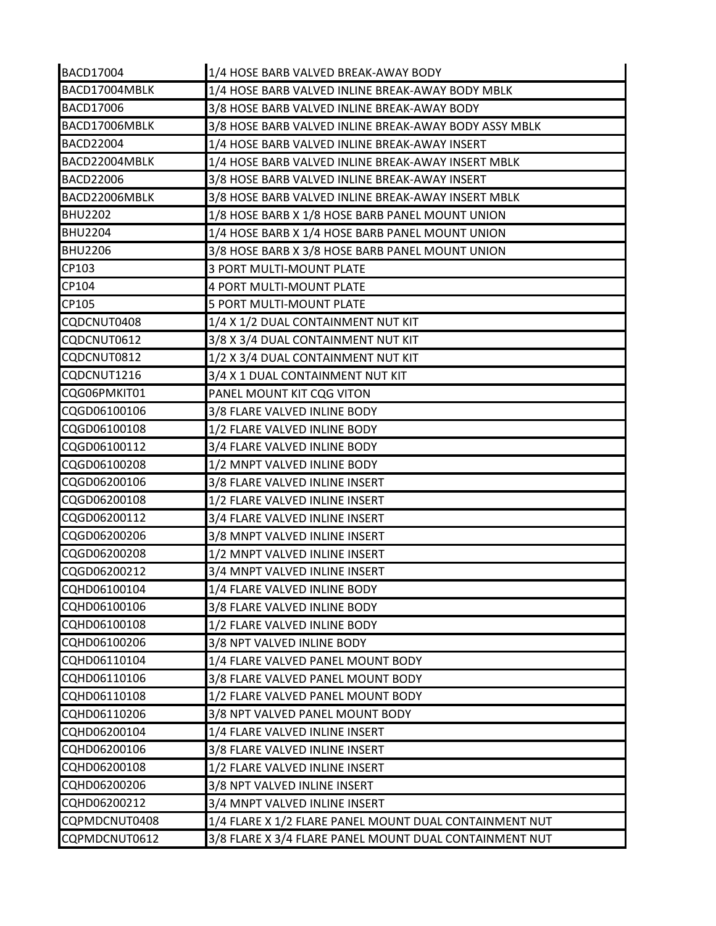| BACD17004        | 1/4 HOSE BARB VALVED BREAK-AWAY BODY                   |
|------------------|--------------------------------------------------------|
| BACD17004MBLK    | 1/4 HOSE BARB VALVED INLINE BREAK-AWAY BODY MBLK       |
| <b>BACD17006</b> | 3/8 HOSE BARB VALVED INLINE BREAK-AWAY BODY            |
| BACD17006MBLK    | 3/8 HOSE BARB VALVED INLINE BREAK-AWAY BODY ASSY MBLK  |
| <b>BACD22004</b> | 1/4 HOSE BARB VALVED INLINE BREAK-AWAY INSERT          |
| BACD22004MBLK    | 1/4 HOSE BARB VALVED INLINE BREAK-AWAY INSERT MBLK     |
| <b>BACD22006</b> | 3/8 HOSE BARB VALVED INLINE BREAK-AWAY INSERT          |
| BACD22006MBLK    | 3/8 HOSE BARB VALVED INLINE BREAK-AWAY INSERT MBLK     |
| <b>BHU2202</b>   | 1/8 HOSE BARB X 1/8 HOSE BARB PANEL MOUNT UNION        |
| <b>BHU2204</b>   | 1/4 HOSE BARB X 1/4 HOSE BARB PANEL MOUNT UNION        |
| <b>BHU2206</b>   | 3/8 HOSE BARB X 3/8 HOSE BARB PANEL MOUNT UNION        |
| CP103            | 3 PORT MULTI-MOUNT PLATE                               |
| CP104            | 4 PORT MULTI-MOUNT PLATE                               |
| CP105            | 5 PORT MULTI-MOUNT PLATE                               |
| CQDCNUT0408      | 1/4 X 1/2 DUAL CONTAINMENT NUT KIT                     |
| CQDCNUT0612      | 3/8 X 3/4 DUAL CONTAINMENT NUT KIT                     |
| CQDCNUT0812      | 1/2 X 3/4 DUAL CONTAINMENT NUT KIT                     |
| CQDCNUT1216      | 3/4 X 1 DUAL CONTAINMENT NUT KIT                       |
| CQG06PMKIT01     | PANEL MOUNT KIT CQG VITON                              |
| CQGD06100106     | 3/8 FLARE VALVED INLINE BODY                           |
| CQGD06100108     | 1/2 FLARE VALVED INLINE BODY                           |
| CQGD06100112     | 3/4 FLARE VALVED INLINE BODY                           |
| CQGD06100208     | 1/2 MNPT VALVED INLINE BODY                            |
| CQGD06200106     | 3/8 FLARE VALVED INLINE INSERT                         |
| CQGD06200108     | 1/2 FLARE VALVED INLINE INSERT                         |
| CQGD06200112     | 3/4 FLARE VALVED INLINE INSERT                         |
| CQGD06200206     | 3/8 MNPT VALVED INLINE INSERT                          |
| CQGD06200208     | 1/2 MNPT VALVED INLINE INSERT                          |
| CQGD06200212     | 3/4 MNPT VALVED INLINE INSERT                          |
| CQHD06100104     | 1/4 FLARE VALVED INLINE BODY                           |
| CQHD06100106     | 3/8 FLARE VALVED INLINE BODY                           |
| CQHD06100108     | 1/2 FLARE VALVED INLINE BODY                           |
| CQHD06100206     | 3/8 NPT VALVED INLINE BODY                             |
| CQHD06110104     | 1/4 FLARE VALVED PANEL MOUNT BODY                      |
| CQHD06110106     | 3/8 FLARE VALVED PANEL MOUNT BODY                      |
| CQHD06110108     | 1/2 FLARE VALVED PANEL MOUNT BODY                      |
| CQHD06110206     | 3/8 NPT VALVED PANEL MOUNT BODY                        |
| CQHD06200104     | 1/4 FLARE VALVED INLINE INSERT                         |
| CQHD06200106     | 3/8 FLARE VALVED INLINE INSERT                         |
| CQHD06200108     | 1/2 FLARE VALVED INLINE INSERT                         |
| CQHD06200206     | 3/8 NPT VALVED INLINE INSERT                           |
| CQHD06200212     | 3/4 MNPT VALVED INLINE INSERT                          |
| CQPMDCNUT0408    | 1/4 FLARE X 1/2 FLARE PANEL MOUNT DUAL CONTAINMENT NUT |
| CQPMDCNUT0612    | 3/8 FLARE X 3/4 FLARE PANEL MOUNT DUAL CONTAINMENT NUT |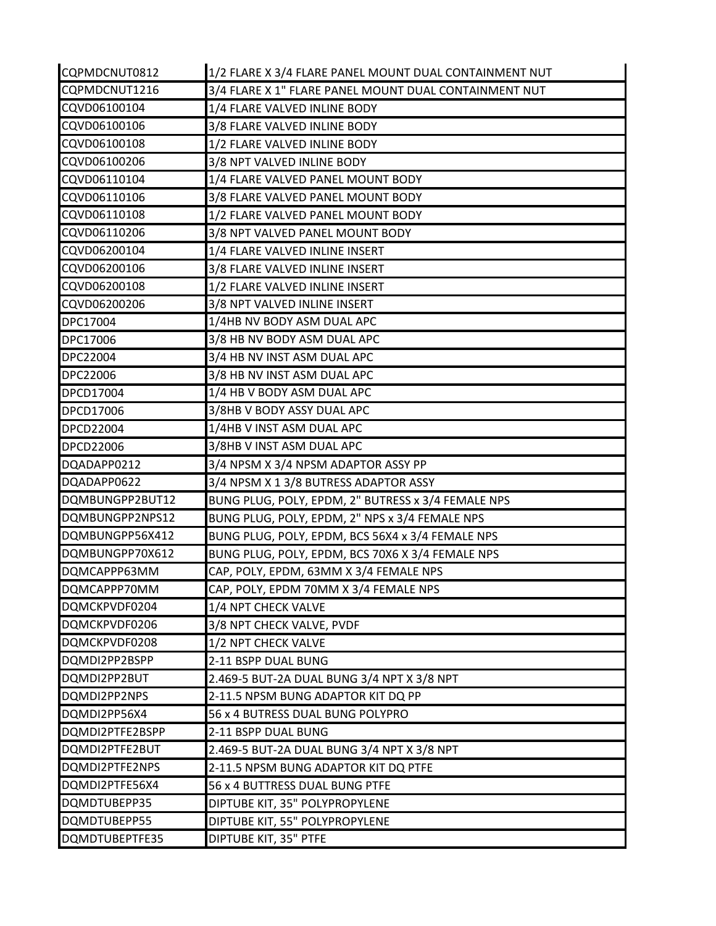| CQPMDCNUT0812   | 1/2 FLARE X 3/4 FLARE PANEL MOUNT DUAL CONTAINMENT NUT |
|-----------------|--------------------------------------------------------|
| CQPMDCNUT1216   | 3/4 FLARE X 1" FLARE PANEL MOUNT DUAL CONTAINMENT NUT  |
| CQVD06100104    | 1/4 FLARE VALVED INLINE BODY                           |
| CQVD06100106    | 3/8 FLARE VALVED INLINE BODY                           |
| CQVD06100108    | 1/2 FLARE VALVED INLINE BODY                           |
| CQVD06100206    | 3/8 NPT VALVED INLINE BODY                             |
| CQVD06110104    | 1/4 FLARE VALVED PANEL MOUNT BODY                      |
| CQVD06110106    | 3/8 FLARE VALVED PANEL MOUNT BODY                      |
| CQVD06110108    | 1/2 FLARE VALVED PANEL MOUNT BODY                      |
| CQVD06110206    | 3/8 NPT VALVED PANEL MOUNT BODY                        |
| CQVD06200104    | 1/4 FLARE VALVED INLINE INSERT                         |
| CQVD06200106    | 3/8 FLARE VALVED INLINE INSERT                         |
| CQVD06200108    | 1/2 FLARE VALVED INLINE INSERT                         |
| CQVD06200206    | 3/8 NPT VALVED INLINE INSERT                           |
| DPC17004        | 1/4HB NV BODY ASM DUAL APC                             |
| DPC17006        | 3/8 HB NV BODY ASM DUAL APC                            |
| DPC22004        | 3/4 HB NV INST ASM DUAL APC                            |
| DPC22006        | 3/8 HB NV INST ASM DUAL APC                            |
| DPCD17004       | 1/4 HB V BODY ASM DUAL APC                             |
| DPCD17006       | 3/8HB V BODY ASSY DUAL APC                             |
| DPCD22004       | 1/4HB V INST ASM DUAL APC                              |
| DPCD22006       | 3/8HB V INST ASM DUAL APC                              |
| DQADAPP0212     | 3/4 NPSM X 3/4 NPSM ADAPTOR ASSY PP                    |
| DQADAPP0622     | 3/4 NPSM X 1 3/8 BUTRESS ADAPTOR ASSY                  |
| DQMBUNGPP2BUT12 | BUNG PLUG, POLY, EPDM, 2" BUTRESS x 3/4 FEMALE NPS     |
| DQMBUNGPP2NPS12 | BUNG PLUG, POLY, EPDM, 2" NPS x 3/4 FEMALE NPS         |
| DQMBUNGPP56X412 | BUNG PLUG, POLY, EPDM, BCS 56X4 x 3/4 FEMALE NPS       |
| DQMBUNGPP70X612 | BUNG PLUG, POLY, EPDM, BCS 70X6 X 3/4 FEMALE NPS       |
| DQMCAPPP63MM    | CAP, POLY, EPDM, 63MM X 3/4 FEMALE NPS                 |
| DQMCAPPP70MM    | CAP, POLY, EPDM 70MM X 3/4 FEMALE NPS                  |
| DQMCKPVDF0204   | 1/4 NPT CHECK VALVE                                    |
| DQMCKPVDF0206   | 3/8 NPT CHECK VALVE, PVDF                              |
| DQMCKPVDF0208   | 1/2 NPT CHECK VALVE                                    |
| DQMDI2PP2BSPP   | 2-11 BSPP DUAL BUNG                                    |
| DQMDI2PP2BUT    | 2.469-5 BUT-2A DUAL BUNG 3/4 NPT X 3/8 NPT             |
| DQMDI2PP2NPS    | 2-11.5 NPSM BUNG ADAPTOR KIT DQ PP                     |
| DQMDI2PP56X4    | 56 x 4 BUTRESS DUAL BUNG POLYPRO                       |
| DQMDI2PTFE2BSPP | 2-11 BSPP DUAL BUNG                                    |
| DQMDI2PTFE2BUT  | 2.469-5 BUT-2A DUAL BUNG 3/4 NPT X 3/8 NPT             |
| DQMDI2PTFE2NPS  | 2-11.5 NPSM BUNG ADAPTOR KIT DQ PTFE                   |
| DQMDI2PTFE56X4  | 56 x 4 BUTTRESS DUAL BUNG PTFE                         |
| DQMDTUBEPP35    | DIPTUBE KIT, 35" POLYPROPYLENE                         |
| DQMDTUBEPP55    | DIPTUBE KIT, 55" POLYPROPYLENE                         |
| DQMDTUBEPTFE35  | DIPTUBE KIT, 35" PTFE                                  |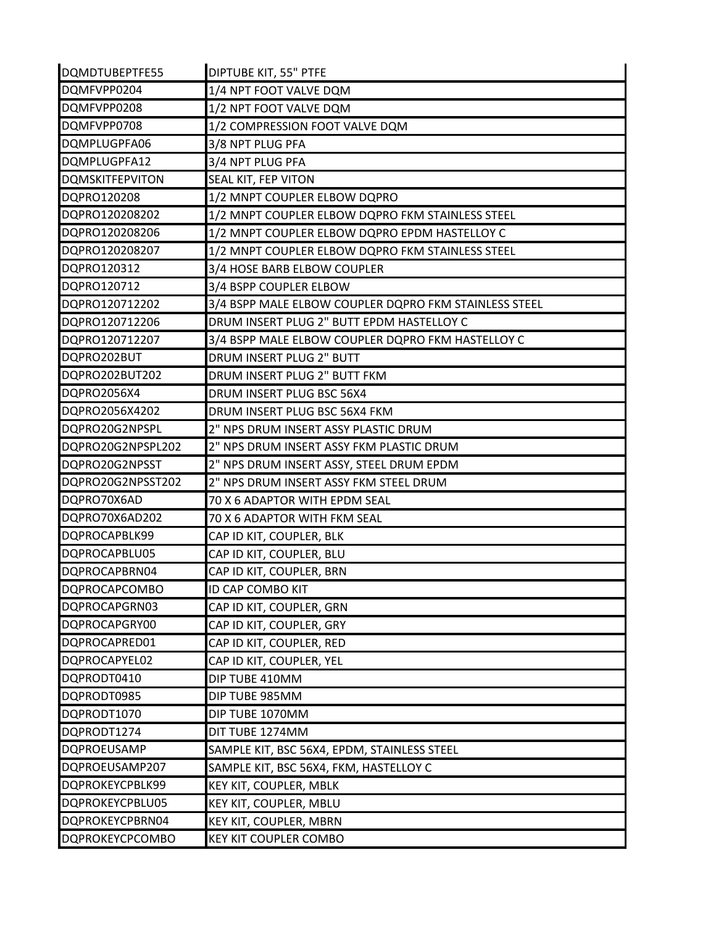| DQMDTUBEPTFE55         | DIPTUBE KIT, 55" PTFE                                 |
|------------------------|-------------------------------------------------------|
| DQMFVPP0204            | 1/4 NPT FOOT VALVE DQM                                |
| DQMFVPP0208            | 1/2 NPT FOOT VALVE DQM                                |
| DQMFVPP0708            | 1/2 COMPRESSION FOOT VALVE DQM                        |
| DQMPLUGPFA06           | 3/8 NPT PLUG PFA                                      |
| DQMPLUGPFA12           | 3/4 NPT PLUG PFA                                      |
| <b>DQMSKITFEPVITON</b> | SEAL KIT, FEP VITON                                   |
| DQPRO120208            | 1/2 MNPT COUPLER ELBOW DQPRO                          |
| DQPRO120208202         | 1/2 MNPT COUPLER ELBOW DQPRO FKM STAINLESS STEEL      |
| DQPRO120208206         | 1/2 MNPT COUPLER ELBOW DQPRO EPDM HASTELLOY C         |
| DQPRO120208207         | 1/2 MNPT COUPLER ELBOW DQPRO FKM STAINLESS STEEL      |
| DQPRO120312            | 3/4 HOSE BARB ELBOW COUPLER                           |
| DQPRO120712            | 3/4 BSPP COUPLER ELBOW                                |
| DQPRO120712202         | 3/4 BSPP MALE ELBOW COUPLER DQPRO FKM STAINLESS STEEL |
| DQPRO120712206         | DRUM INSERT PLUG 2" BUTT EPDM HASTELLOY C             |
| DQPRO120712207         | 3/4 BSPP MALE ELBOW COUPLER DQPRO FKM HASTELLOY C     |
| DQPRO202BUT            | DRUM INSERT PLUG 2" BUTT                              |
| DQPRO202BUT202         | DRUM INSERT PLUG 2" BUTT FKM                          |
| DQPRO2056X4            | DRUM INSERT PLUG BSC 56X4                             |
| DQPRO2056X4202         | DRUM INSERT PLUG BSC 56X4 FKM                         |
| DQPRO20G2NPSPL         | 2" NPS DRUM INSERT ASSY PLASTIC DRUM                  |
| DQPRO20G2NPSPL202      | 2" NPS DRUM INSERT ASSY FKM PLASTIC DRUM              |
| DQPRO20G2NPSST         | 2" NPS DRUM INSERT ASSY, STEEL DRUM EPDM              |
| DQPRO20G2NPSST202      | 2" NPS DRUM INSERT ASSY FKM STEEL DRUM                |
| DQPRO70X6AD            | 70 X 6 ADAPTOR WITH EPDM SEAL                         |
| DQPRO70X6AD202         | 70 X 6 ADAPTOR WITH FKM SEAL                          |
| DQPROCAPBLK99          | CAP ID KIT, COUPLER, BLK                              |
| DQPROCAPBLU05          | CAP ID KIT, COUPLER, BLU                              |
| DQPROCAPBRN04          | CAP ID KIT, COUPLER, BRN                              |
| DQPROCAPCOMBO          | ID CAP COMBO KIT                                      |
| DQPROCAPGRN03          | CAP ID KIT, COUPLER, GRN                              |
| DQPROCAPGRY00          | CAP ID KIT, COUPLER, GRY                              |
| DQPROCAPRED01          | CAP ID KIT, COUPLER, RED                              |
| DQPROCAPYEL02          | CAP ID KIT, COUPLER, YEL                              |
| DQPRODT0410            | DIP TUBE 410MM                                        |
| DQPRODT0985            | DIP TUBE 985MM                                        |
| DQPRODT1070            | DIP TUBE 1070MM                                       |
| DQPRODT1274            | DIT TUBE 1274MM                                       |
| <b>DQPROEUSAMP</b>     | SAMPLE KIT, BSC 56X4, EPDM, STAINLESS STEEL           |
| DQPROEUSAMP207         | SAMPLE KIT, BSC 56X4, FKM, HASTELLOY C                |
| DQPROKEYCPBLK99        | KEY KIT, COUPLER, MBLK                                |
| DQPROKEYCPBLU05        | KEY KIT, COUPLER, MBLU                                |
| DQPROKEYCPBRN04        | KEY KIT, COUPLER, MBRN                                |
| <b>DQPROKEYCPCOMBO</b> | <b>KEY KIT COUPLER COMBO</b>                          |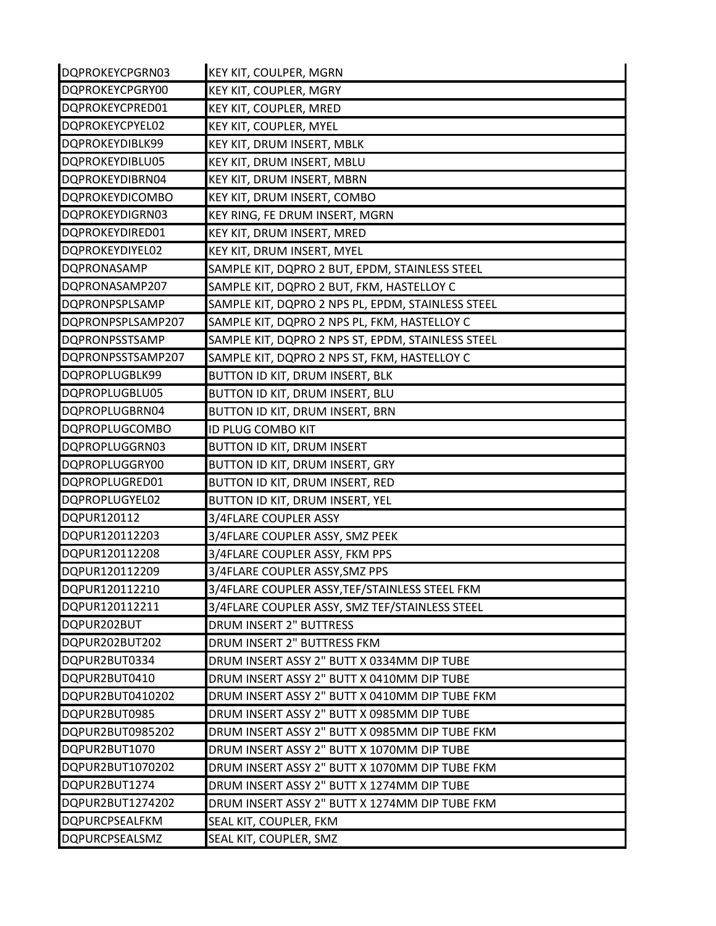| DQPROKEYCPGRN03        | KEY KIT, COULPER, MGRN                            |
|------------------------|---------------------------------------------------|
| DQPROKEYCPGRY00        | KEY KIT, COUPLER, MGRY                            |
| DQPROKEYCPRED01        | KEY KIT, COUPLER, MRED                            |
| DQPROKEYCPYEL02        | KEY KIT, COUPLER, MYEL                            |
| DQPROKEYDIBLK99        | KEY KIT, DRUM INSERT, MBLK                        |
| DQPROKEYDIBLU05        | KEY KIT, DRUM INSERT, MBLU                        |
| DQPROKEYDIBRN04        | KEY KIT, DRUM INSERT, MBRN                        |
| <b>DQPROKEYDICOMBO</b> | KEY KIT, DRUM INSERT, COMBO                       |
| DQPROKEYDIGRN03        | KEY RING, FE DRUM INSERT, MGRN                    |
| DQPROKEYDIRED01        | KEY KIT, DRUM INSERT, MRED                        |
| DQPROKEYDIYEL02        | KEY KIT, DRUM INSERT, MYEL                        |
| <b>DQPRONASAMP</b>     | SAMPLE KIT, DQPRO 2 BUT, EPDM, STAINLESS STEEL    |
| DQPRONASAMP207         | SAMPLE KIT, DQPRO 2 BUT, FKM, HASTELLOY C         |
| <b>DQPRONPSPLSAMP</b>  | SAMPLE KIT, DQPRO 2 NPS PL, EPDM, STAINLESS STEEL |
| DQPRONPSPLSAMP207      | SAMPLE KIT, DQPRO 2 NPS PL, FKM, HASTELLOY C      |
| <b>DQPRONPSSTSAMP</b>  | SAMPLE KIT, DQPRO 2 NPS ST, EPDM, STAINLESS STEEL |
| DQPRONPSSTSAMP207      | SAMPLE KIT, DQPRO 2 NPS ST, FKM, HASTELLOY C      |
| DQPROPLUGBLK99         | BUTTON ID KIT, DRUM INSERT, BLK                   |
| DQPROPLUGBLU05         | BUTTON ID KIT, DRUM INSERT, BLU                   |
| DQPROPLUGBRN04         | BUTTON ID KIT, DRUM INSERT, BRN                   |
| <b>DQPROPLUGCOMBO</b>  | <b>ID PLUG COMBO KIT</b>                          |
| DQPROPLUGGRN03         | <b>BUTTON ID KIT, DRUM INSERT</b>                 |
| DQPROPLUGGRY00         | BUTTON ID KIT, DRUM INSERT, GRY                   |
| DQPROPLUGRED01         | BUTTON ID KIT, DRUM INSERT, RED                   |
| DQPROPLUGYEL02         | BUTTON ID KIT, DRUM INSERT, YEL                   |
| DQPUR120112            | 3/4FLARE COUPLER ASSY                             |
| DQPUR120112203         | 3/4FLARE COUPLER ASSY, SMZ PEEK                   |
| DQPUR120112208         | 3/4FLARE COUPLER ASSY, FKM PPS                    |
| DQPUR120112209         | 3/4FLARE COUPLER ASSY, SMZ PPS                    |
| DQPUR120112210         | 3/4FLARE COUPLER ASSY, TEF/STAINLESS STEEL FKM    |
| DQPUR120112211         | 3/4FLARE COUPLER ASSY, SMZ TEF/STAINLESS STEEL    |
| DQPUR202BUT            | DRUM INSERT 2" BUTTRESS                           |
| DQPUR202BUT202         | DRUM INSERT 2" BUTTRESS FKM                       |
| DQPUR2BUT0334          | DRUM INSERT ASSY 2" BUTT X 0334MM DIP TUBE        |
| DQPUR2BUT0410          | DRUM INSERT ASSY 2" BUTT X 0410MM DIP TUBE        |
| DQPUR2BUT0410202       | DRUM INSERT ASSY 2" BUTT X 0410MM DIP TUBE FKM    |
| DQPUR2BUT0985          | DRUM INSERT ASSY 2" BUTT X 0985MM DIP TUBE        |
| DQPUR2BUT0985202       | DRUM INSERT ASSY 2" BUTT X 0985MM DIP TUBE FKM    |
| DQPUR2BUT1070          | DRUM INSERT ASSY 2" BUTT X 1070MM DIP TUBE        |
|                        |                                                   |
| DQPUR2BUT1070202       | DRUM INSERT ASSY 2" BUTT X 1070MM DIP TUBE FKM    |
| DQPUR2BUT1274          | DRUM INSERT ASSY 2" BUTT X 1274MM DIP TUBE        |
| DQPUR2BUT1274202       | DRUM INSERT ASSY 2" BUTT X 1274MM DIP TUBE FKM    |
| DQPURCPSEALFKM         | SEAL KIT, COUPLER, FKM                            |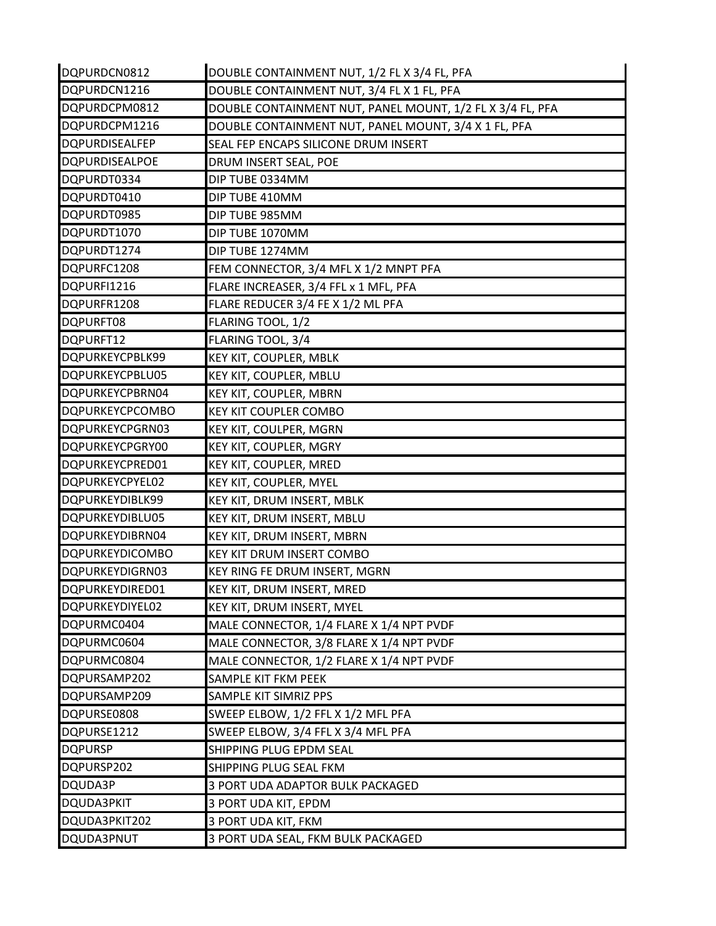| DQPURDCN0812           | DOUBLE CONTAINMENT NUT, 1/2 FL X 3/4 FL, PFA              |
|------------------------|-----------------------------------------------------------|
| DQPURDCN1216           | DOUBLE CONTAINMENT NUT, 3/4 FL X 1 FL, PFA                |
| DQPURDCPM0812          | DOUBLE CONTAINMENT NUT, PANEL MOUNT, 1/2 FL X 3/4 FL, PFA |
| DQPURDCPM1216          | DOUBLE CONTAINMENT NUT, PANEL MOUNT, 3/4 X 1 FL, PFA      |
| DQPURDISEALFEP         | SEAL FEP ENCAPS SILICONE DRUM INSERT                      |
| DQPURDISEALPOE         | DRUM INSERT SEAL, POE                                     |
| DQPURDT0334            | DIP TUBE 0334MM                                           |
| DQPURDT0410            | DIP TUBE 410MM                                            |
| DQPURDT0985            | DIP TUBE 985MM                                            |
| DQPURDT1070            | DIP TUBE 1070MM                                           |
| DQPURDT1274            | DIP TUBE 1274MM                                           |
| DQPURFC1208            | FEM CONNECTOR, 3/4 MFL X 1/2 MNPT PFA                     |
| DQPURFI1216            | FLARE INCREASER, 3/4 FFL x 1 MFL, PFA                     |
| DQPURFR1208            | FLARE REDUCER 3/4 FE X 1/2 ML PFA                         |
| DQPURFT08              | FLARING TOOL, 1/2                                         |
| DQPURFT12              | FLARING TOOL, 3/4                                         |
| DQPURKEYCPBLK99        | KEY KIT, COUPLER, MBLK                                    |
| DQPURKEYCPBLU05        | KEY KIT, COUPLER, MBLU                                    |
| DQPURKEYCPBRN04        | KEY KIT, COUPLER, MBRN                                    |
| <b>DQPURKEYCPCOMBO</b> | <b>KEY KIT COUPLER COMBO</b>                              |
| DQPURKEYCPGRN03        | KEY KIT, COULPER, MGRN                                    |
| DQPURKEYCPGRY00        | KEY KIT, COUPLER, MGRY                                    |
| DQPURKEYCPRED01        | KEY KIT, COUPLER, MRED                                    |
| DQPURKEYCPYEL02        | KEY KIT, COUPLER, MYEL                                    |
| DQPURKEYDIBLK99        | KEY KIT, DRUM INSERT, MBLK                                |
| DQPURKEYDIBLU05        | KEY KIT, DRUM INSERT, MBLU                                |
| DQPURKEYDIBRN04        | KEY KIT, DRUM INSERT, MBRN                                |
| <b>DQPURKEYDICOMBO</b> | <b>KEY KIT DRUM INSERT COMBO</b>                          |
| DQPURKEYDIGRN03        | KEY RING FE DRUM INSERT, MGRN                             |
| DQPURKEYDIRED01        | KEY KIT, DRUM INSERT, MRED                                |
| DQPURKEYDIYEL02        | KEY KIT, DRUM INSERT, MYEL                                |
| DQPURMC0404            | MALE CONNECTOR, 1/4 FLARE X 1/4 NPT PVDF                  |
| DQPURMC0604            | MALE CONNECTOR, 3/8 FLARE X 1/4 NPT PVDF                  |
| DQPURMC0804            | MALE CONNECTOR, 1/2 FLARE X 1/4 NPT PVDF                  |
| DQPURSAMP202           | SAMPLE KIT FKM PEEK                                       |
| DQPURSAMP209           | SAMPLE KIT SIMRIZ PPS                                     |
| DQPURSE0808            | SWEEP ELBOW, 1/2 FFL X 1/2 MFL PFA                        |
| DQPURSE1212            | SWEEP ELBOW, 3/4 FFL X 3/4 MFL PFA                        |
| <b>DQPURSP</b>         | SHIPPING PLUG EPDM SEAL                                   |
| DQPURSP202             | SHIPPING PLUG SEAL FKM                                    |
| DQUDA3P                | 3 PORT UDA ADAPTOR BULK PACKAGED                          |
| DQUDA3PKIT             | 3 PORT UDA KIT, EPDM                                      |
| DQUDA3PKIT202          | 3 PORT UDA KIT, FKM                                       |
| DQUDA3PNUT             | 3 PORT UDA SEAL, FKM BULK PACKAGED                        |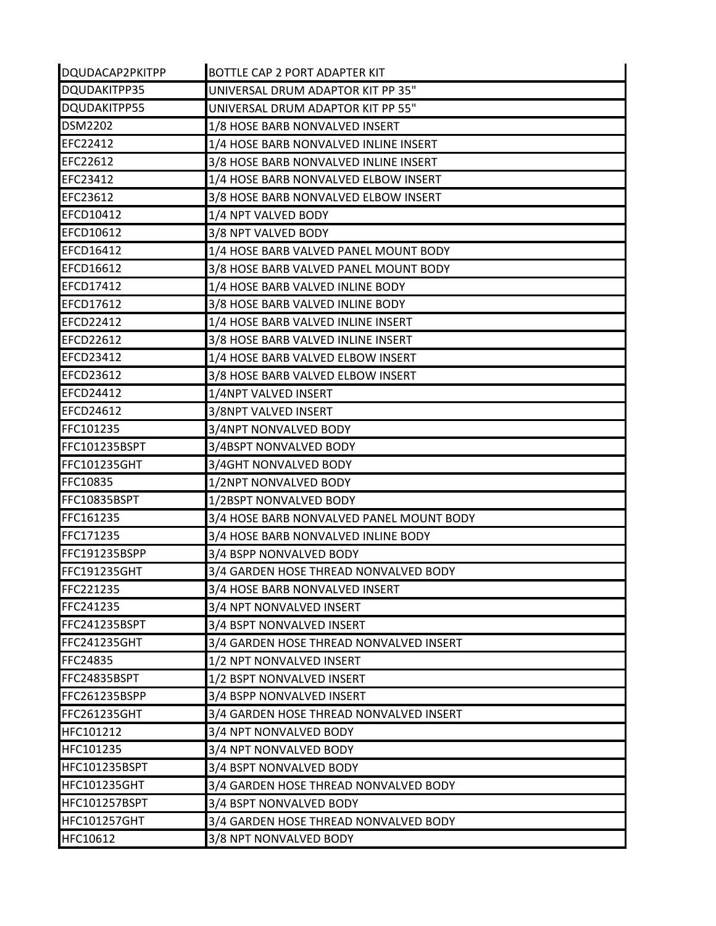| DQUDACAP2PKITPP     | BOTTLE CAP 2 PORT ADAPTER KIT            |
|---------------------|------------------------------------------|
| DQUDAKITPP35        | UNIVERSAL DRUM ADAPTOR KIT PP 35"        |
| DQUDAKITPP55        | UNIVERSAL DRUM ADAPTOR KIT PP 55"        |
| <b>DSM2202</b>      | 1/8 HOSE BARB NONVALVED INSERT           |
| EFC22412            | 1/4 HOSE BARB NONVALVED INLINE INSERT    |
| EFC22612            | 3/8 HOSE BARB NONVALVED INLINE INSERT    |
| EFC23412            | 1/4 HOSE BARB NONVALVED ELBOW INSERT     |
| EFC23612            | 3/8 HOSE BARB NONVALVED ELBOW INSERT     |
| EFCD10412           | 1/4 NPT VALVED BODY                      |
| EFCD10612           | 3/8 NPT VALVED BODY                      |
| <b>EFCD16412</b>    | 1/4 HOSE BARB VALVED PANEL MOUNT BODY    |
| <b>EFCD16612</b>    | 3/8 HOSE BARB VALVED PANEL MOUNT BODY    |
| <b>EFCD17412</b>    | 1/4 HOSE BARB VALVED INLINE BODY         |
| EFCD17612           | 3/8 HOSE BARB VALVED INLINE BODY         |
| <b>EFCD22412</b>    | 1/4 HOSE BARB VALVED INLINE INSERT       |
| <b>EFCD22612</b>    | 3/8 HOSE BARB VALVED INLINE INSERT       |
| EFCD23412           | 1/4 HOSE BARB VALVED ELBOW INSERT        |
| EFCD23612           | 3/8 HOSE BARB VALVED ELBOW INSERT        |
| <b>EFCD24412</b>    | 1/4NPT VALVED INSERT                     |
| EFCD24612           | 3/8NPT VALVED INSERT                     |
| FFC101235           | 3/4NPT NONVALVED BODY                    |
| FFC101235BSPT       | 3/4BSPT NONVALVED BODY                   |
| <b>FFC101235GHT</b> | 3/4GHT NONVALVED BODY                    |
| FFC10835            | 1/2NPT NONVALVED BODY                    |
| FFC10835BSPT        | 1/2BSPT NONVALVED BODY                   |
| FFC161235           | 3/4 HOSE BARB NONVALVED PANEL MOUNT BODY |
| FFC171235           | 3/4 HOSE BARB NONVALVED INLINE BODY      |
| FFC191235BSPP       | 3/4 BSPP NONVALVED BODY                  |
| FFC191235GHT        | 3/4 GARDEN HOSE THREAD NONVALVED BODY    |
| <b>FFC221235</b>    | 3/4 HOSE BARB NONVALVED INSERT           |
| FFC241235           | 3/4 NPT NONVALVED INSERT                 |
| FFC241235BSPT       | 3/4 BSPT NONVALVED INSERT                |
| <b>FFC241235GHT</b> | 3/4 GARDEN HOSE THREAD NONVALVED INSERT  |
| FFC24835            | 1/2 NPT NONVALVED INSERT                 |
| FFC24835BSPT        | 1/2 BSPT NONVALVED INSERT                |
| FFC261235BSPP       | 3/4 BSPP NONVALVED INSERT                |
| FFC261235GHT        | 3/4 GARDEN HOSE THREAD NONVALVED INSERT  |
| HFC101212           | 3/4 NPT NONVALVED BODY                   |
| HFC101235           | 3/4 NPT NONVALVED BODY                   |
| HFC101235BSPT       | 3/4 BSPT NONVALVED BODY                  |
| <b>HFC101235GHT</b> | 3/4 GARDEN HOSE THREAD NONVALVED BODY    |
| HFC101257BSPT       | 3/4 BSPT NONVALVED BODY                  |
| <b>HFC101257GHT</b> | 3/4 GARDEN HOSE THREAD NONVALVED BODY    |
| HFC10612            | 3/8 NPT NONVALVED BODY                   |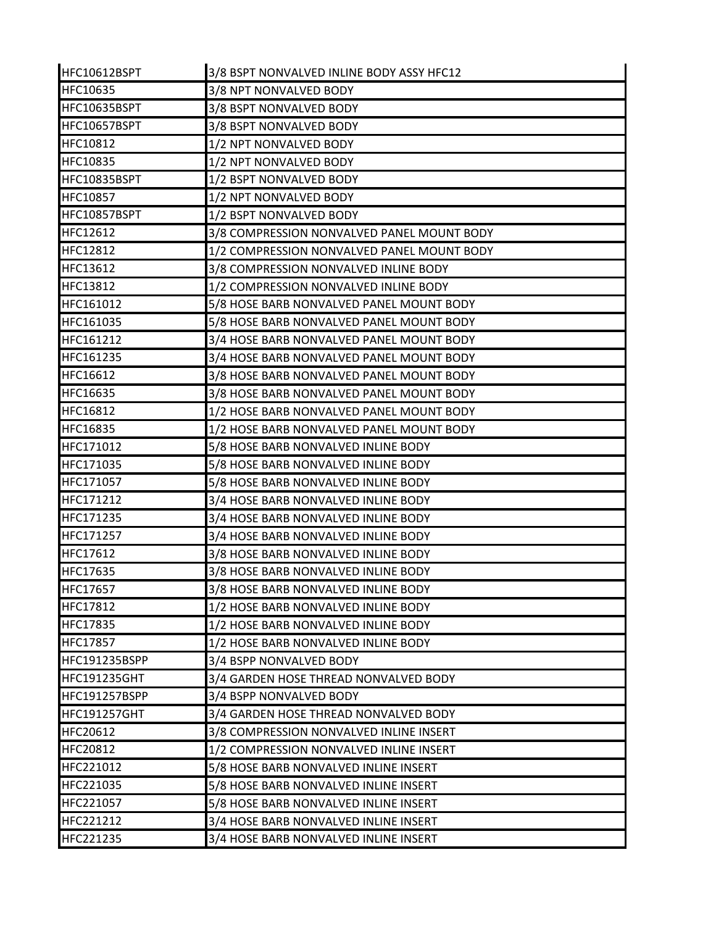| HFC10612BSPT        | 3/8 BSPT NONVALVED INLINE BODY ASSY HFC12  |
|---------------------|--------------------------------------------|
| <b>HFC10635</b>     | 3/8 NPT NONVALVED BODY                     |
| HFC10635BSPT        | 3/8 BSPT NONVALVED BODY                    |
| HFC10657BSPT        | 3/8 BSPT NONVALVED BODY                    |
| HFC10812            | 1/2 NPT NONVALVED BODY                     |
| HFC10835            | 1/2 NPT NONVALVED BODY                     |
| HFC10835BSPT        | 1/2 BSPT NONVALVED BODY                    |
| <b>HFC10857</b>     | 1/2 NPT NONVALVED BODY                     |
| HFC10857BSPT        | 1/2 BSPT NONVALVED BODY                    |
| <b>HFC12612</b>     | 3/8 COMPRESSION NONVALVED PANEL MOUNT BODY |
| <b>HFC12812</b>     | 1/2 COMPRESSION NONVALVED PANEL MOUNT BODY |
| <b>HFC13612</b>     | 3/8 COMPRESSION NONVALVED INLINE BODY      |
| <b>HFC13812</b>     | 1/2 COMPRESSION NONVALVED INLINE BODY      |
| HFC161012           | 5/8 HOSE BARB NONVALVED PANEL MOUNT BODY   |
| HFC161035           | 5/8 HOSE BARB NONVALVED PANEL MOUNT BODY   |
| HFC161212           | 3/4 HOSE BARB NONVALVED PANEL MOUNT BODY   |
| HFC161235           | 3/4 HOSE BARB NONVALVED PANEL MOUNT BODY   |
| HFC16612            | 3/8 HOSE BARB NONVALVED PANEL MOUNT BODY   |
| HFC16635            | 3/8 HOSE BARB NONVALVED PANEL MOUNT BODY   |
| HFC16812            | 1/2 HOSE BARB NONVALVED PANEL MOUNT BODY   |
| HFC16835            | 1/2 HOSE BARB NONVALVED PANEL MOUNT BODY   |
| HFC171012           | 5/8 HOSE BARB NONVALVED INLINE BODY        |
| HFC171035           | 5/8 HOSE BARB NONVALVED INLINE BODY        |
| HFC171057           | 5/8 HOSE BARB NONVALVED INLINE BODY        |
| HFC171212           | 3/4 HOSE BARB NONVALVED INLINE BODY        |
| HFC171235           | 3/4 HOSE BARB NONVALVED INLINE BODY        |
| HFC171257           | 3/4 HOSE BARB NONVALVED INLINE BODY        |
| HFC17612            | 3/8 HOSE BARB NONVALVED INLINE BODY        |
| HFC17635            | 3/8 HOSE BARB NONVALVED INLINE BODY        |
| HFC17657            | 3/8 HOSE BARB NONVALVED INLINE BODY        |
| <b>HFC17812</b>     | 1/2 HOSE BARB NONVALVED INLINE BODY        |
| <b>HFC17835</b>     | 1/2 HOSE BARB NONVALVED INLINE BODY        |
| <b>HFC17857</b>     | 1/2 HOSE BARB NONVALVED INLINE BODY        |
| HFC191235BSPP       | 3/4 BSPP NONVALVED BODY                    |
| <b>HFC191235GHT</b> | 3/4 GARDEN HOSE THREAD NONVALVED BODY      |
| HFC191257BSPP       | 3/4 BSPP NONVALVED BODY                    |
| HFC191257GHT        | 3/4 GARDEN HOSE THREAD NONVALVED BODY      |
| <b>HFC20612</b>     | 3/8 COMPRESSION NONVALVED INLINE INSERT    |
| <b>HFC20812</b>     | 1/2 COMPRESSION NONVALVED INLINE INSERT    |
| HFC221012           | 5/8 HOSE BARB NONVALVED INLINE INSERT      |
| HFC221035           | 5/8 HOSE BARB NONVALVED INLINE INSERT      |
| HFC221057           | 5/8 HOSE BARB NONVALVED INLINE INSERT      |
| HFC221212           | 3/4 HOSE BARB NONVALVED INLINE INSERT      |
| HFC221235           | 3/4 HOSE BARB NONVALVED INLINE INSERT      |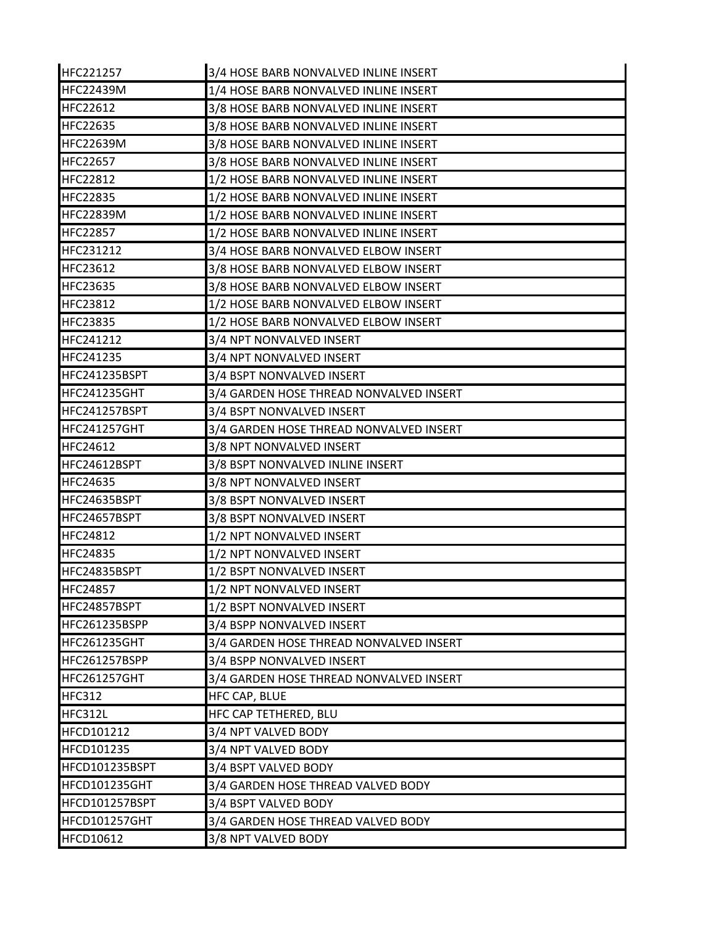| HFC221257           | 3/4 HOSE BARB NONVALVED INLINE INSERT   |
|---------------------|-----------------------------------------|
| <b>HFC22439M</b>    | 1/4 HOSE BARB NONVALVED INLINE INSERT   |
| <b>HFC22612</b>     | 3/8 HOSE BARB NONVALVED INLINE INSERT   |
| <b>HFC22635</b>     | 3/8 HOSE BARB NONVALVED INLINE INSERT   |
| <b>HFC22639M</b>    | 3/8 HOSE BARB NONVALVED INLINE INSERT   |
| HFC22657            | 3/8 HOSE BARB NONVALVED INLINE INSERT   |
| <b>HFC22812</b>     | 1/2 HOSE BARB NONVALVED INLINE INSERT   |
| <b>HFC22835</b>     | 1/2 HOSE BARB NONVALVED INLINE INSERT   |
| <b>HFC22839M</b>    | 1/2 HOSE BARB NONVALVED INLINE INSERT   |
| <b>HFC22857</b>     | 1/2 HOSE BARB NONVALVED INLINE INSERT   |
| HFC231212           | 3/4 HOSE BARB NONVALVED ELBOW INSERT    |
| <b>HFC23612</b>     | 3/8 HOSE BARB NONVALVED ELBOW INSERT    |
| <b>HFC23635</b>     | 3/8 HOSE BARB NONVALVED ELBOW INSERT    |
| <b>HFC23812</b>     | 1/2 HOSE BARB NONVALVED ELBOW INSERT    |
| <b>HFC23835</b>     | 1/2 HOSE BARB NONVALVED ELBOW INSERT    |
| HFC241212           | 3/4 NPT NONVALVED INSERT                |
| HFC241235           | 3/4 NPT NONVALVED INSERT                |
| HFC241235BSPT       | 3/4 BSPT NONVALVED INSERT               |
| <b>HFC241235GHT</b> | 3/4 GARDEN HOSE THREAD NONVALVED INSERT |
| HFC241257BSPT       | 3/4 BSPT NONVALVED INSERT               |
| <b>HFC241257GHT</b> | 3/4 GARDEN HOSE THREAD NONVALVED INSERT |
| HFC24612            | 3/8 NPT NONVALVED INSERT                |
| HFC24612BSPT        | 3/8 BSPT NONVALVED INLINE INSERT        |
| <b>HFC24635</b>     | 3/8 NPT NONVALVED INSERT                |
| HFC24635BSPT        | 3/8 BSPT NONVALVED INSERT               |
| HFC24657BSPT        | 3/8 BSPT NONVALVED INSERT               |
| <b>HFC24812</b>     | 1/2 NPT NONVALVED INSERT                |
| HFC24835            | 1/2 NPT NONVALVED INSERT                |
| HFC24835BSPT        | 1/2 BSPT NONVALVED INSERT               |
| <b>HFC24857</b>     | 1/2 NPT NONVALVED INSERT                |
| HFC24857BSPT        | 1/2 BSPT NONVALVED INSERT               |
| HFC261235BSPP       | 3/4 BSPP NONVALVED INSERT               |
| <b>HFC261235GHT</b> | 3/4 GARDEN HOSE THREAD NONVALVED INSERT |
| HFC261257BSPP       | 3/4 BSPP NONVALVED INSERT               |
| <b>HFC261257GHT</b> | 3/4 GARDEN HOSE THREAD NONVALVED INSERT |
| <b>HFC312</b>       | HFC CAP, BLUE                           |
| <b>HFC312L</b>      | HFC CAP TETHERED, BLU                   |
| <b>HFCD101212</b>   | 3/4 NPT VALVED BODY                     |
| HFCD101235          | 3/4 NPT VALVED BODY                     |
| HFCD101235BSPT      | 3/4 BSPT VALVED BODY                    |
| HFCD101235GHT       | 3/4 GARDEN HOSE THREAD VALVED BODY      |
| HFCD101257BSPT      | 3/4 BSPT VALVED BODY                    |
| HFCD101257GHT       | 3/4 GARDEN HOSE THREAD VALVED BODY      |
| HFCD10612           | 3/8 NPT VALVED BODY                     |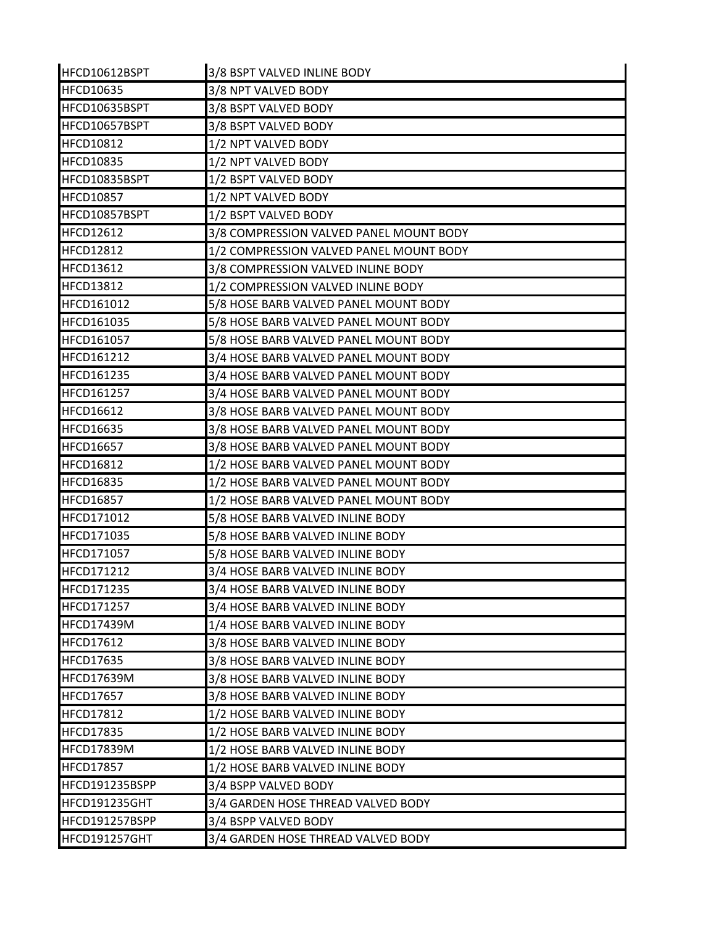| HFCD10612BSPT     | 3/8 BSPT VALVED INLINE BODY             |
|-------------------|-----------------------------------------|
| <b>HFCD10635</b>  | 3/8 NPT VALVED BODY                     |
| HFCD10635BSPT     | 3/8 BSPT VALVED BODY                    |
| HFCD10657BSPT     | 3/8 BSPT VALVED BODY                    |
| <b>HFCD10812</b>  | 1/2 NPT VALVED BODY                     |
| <b>HFCD10835</b>  | 1/2 NPT VALVED BODY                     |
| HFCD10835BSPT     | 1/2 BSPT VALVED BODY                    |
| <b>HFCD10857</b>  | 1/2 NPT VALVED BODY                     |
| HFCD10857BSPT     | 1/2 BSPT VALVED BODY                    |
| <b>HFCD12612</b>  | 3/8 COMPRESSION VALVED PANEL MOUNT BODY |
| <b>HFCD12812</b>  | 1/2 COMPRESSION VALVED PANEL MOUNT BODY |
| <b>HFCD13612</b>  | 3/8 COMPRESSION VALVED INLINE BODY      |
| <b>HFCD13812</b>  | 1/2 COMPRESSION VALVED INLINE BODY      |
| HFCD161012        | 5/8 HOSE BARB VALVED PANEL MOUNT BODY   |
| <b>HFCD161035</b> | 5/8 HOSE BARB VALVED PANEL MOUNT BODY   |
| HFCD161057        | 5/8 HOSE BARB VALVED PANEL MOUNT BODY   |
| HFCD161212        | 3/4 HOSE BARB VALVED PANEL MOUNT BODY   |
| HFCD161235        | 3/4 HOSE BARB VALVED PANEL MOUNT BODY   |
| HFCD161257        | 3/4 HOSE BARB VALVED PANEL MOUNT BODY   |
| <b>HFCD16612</b>  | 3/8 HOSE BARB VALVED PANEL MOUNT BODY   |
| <b>HFCD16635</b>  | 3/8 HOSE BARB VALVED PANEL MOUNT BODY   |
| <b>HFCD16657</b>  | 3/8 HOSE BARB VALVED PANEL MOUNT BODY   |
| <b>HFCD16812</b>  | 1/2 HOSE BARB VALVED PANEL MOUNT BODY   |
| <b>HFCD16835</b>  | 1/2 HOSE BARB VALVED PANEL MOUNT BODY   |
| <b>HFCD16857</b>  | 1/2 HOSE BARB VALVED PANEL MOUNT BODY   |
| HFCD171012        | 5/8 HOSE BARB VALVED INLINE BODY        |
| HFCD171035        | 5/8 HOSE BARB VALVED INLINE BODY        |
| HFCD171057        | 5/8 HOSE BARB VALVED INLINE BODY        |
| <b>HFCD171212</b> | 3/4 HOSE BARB VALVED INLINE BODY        |
| HFCD171235        | 3/4 HOSE BARB VALVED INLINE BODY        |
| <b>HFCD171257</b> | 3/4 HOSE BARB VALVED INLINE BODY        |
| <b>HFCD17439M</b> | 1/4 HOSE BARB VALVED INLINE BODY        |
| <b>HFCD17612</b>  | 3/8 HOSE BARB VALVED INLINE BODY        |
| <b>HFCD17635</b>  | 3/8 HOSE BARB VALVED INLINE BODY        |
| <b>HFCD17639M</b> | 3/8 HOSE BARB VALVED INLINE BODY        |
| <b>HFCD17657</b>  | 3/8 HOSE BARB VALVED INLINE BODY        |
| <b>HFCD17812</b>  | 1/2 HOSE BARB VALVED INLINE BODY        |
| <b>HFCD17835</b>  | 1/2 HOSE BARB VALVED INLINE BODY        |
| <b>HFCD17839M</b> | 1/2 HOSE BARB VALVED INLINE BODY        |
| <b>HFCD17857</b>  | 1/2 HOSE BARB VALVED INLINE BODY        |
| HFCD191235BSPP    | 3/4 BSPP VALVED BODY                    |
| HFCD191235GHT     | 3/4 GARDEN HOSE THREAD VALVED BODY      |
| HFCD191257BSPP    | 3/4 BSPP VALVED BODY                    |
| HFCD191257GHT     | 3/4 GARDEN HOSE THREAD VALVED BODY      |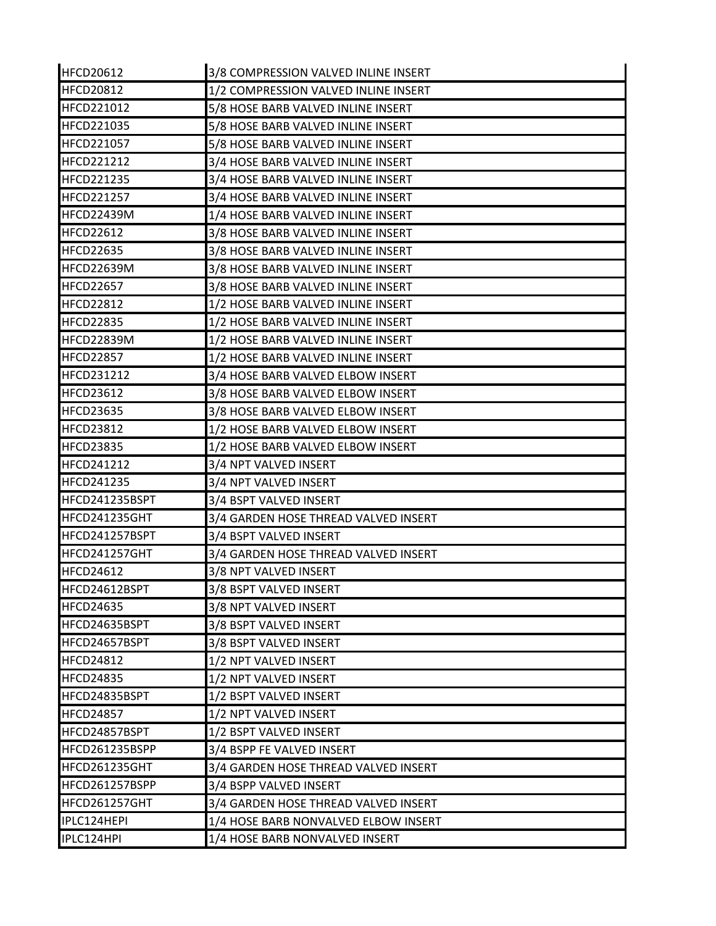| <b>HFCD20612</b>  | 3/8 COMPRESSION VALVED INLINE INSERT |
|-------------------|--------------------------------------|
| <b>HFCD20812</b>  | 1/2 COMPRESSION VALVED INLINE INSERT |
| <b>HFCD221012</b> | 5/8 HOSE BARB VALVED INLINE INSERT   |
| HFCD221035        | 5/8 HOSE BARB VALVED INLINE INSERT   |
| <b>HFCD221057</b> | 5/8 HOSE BARB VALVED INLINE INSERT   |
| HFCD221212        | 3/4 HOSE BARB VALVED INLINE INSERT   |
| <b>HFCD221235</b> | 3/4 HOSE BARB VALVED INLINE INSERT   |
| <b>HFCD221257</b> | 3/4 HOSE BARB VALVED INLINE INSERT   |
| <b>HFCD22439M</b> | 1/4 HOSE BARB VALVED INLINE INSERT   |
| <b>HFCD22612</b>  | 3/8 HOSE BARB VALVED INLINE INSERT   |
| <b>HFCD22635</b>  | 3/8 HOSE BARB VALVED INLINE INSERT   |
| HFCD22639M        | 3/8 HOSE BARB VALVED INLINE INSERT   |
| HFCD22657         | 3/8 HOSE BARB VALVED INLINE INSERT   |
| <b>HFCD22812</b>  | 1/2 HOSE BARB VALVED INLINE INSERT   |
| <b>HFCD22835</b>  | 1/2 HOSE BARB VALVED INLINE INSERT   |
| <b>HFCD22839M</b> | 1/2 HOSE BARB VALVED INLINE INSERT   |
| <b>HFCD22857</b>  | 1/2 HOSE BARB VALVED INLINE INSERT   |
| <b>HFCD231212</b> | 3/4 HOSE BARB VALVED ELBOW INSERT    |
| <b>HFCD23612</b>  | 3/8 HOSE BARB VALVED ELBOW INSERT    |
| <b>HFCD23635</b>  | 3/8 HOSE BARB VALVED ELBOW INSERT    |
| <b>HFCD23812</b>  | 1/2 HOSE BARB VALVED ELBOW INSERT    |
| <b>HFCD23835</b>  | 1/2 HOSE BARB VALVED ELBOW INSERT    |
| <b>HFCD241212</b> | 3/4 NPT VALVED INSERT                |
| <b>HFCD241235</b> | 3/4 NPT VALVED INSERT                |
| HFCD241235BSPT    | 3/4 BSPT VALVED INSERT               |
| HFCD241235GHT     | 3/4 GARDEN HOSE THREAD VALVED INSERT |
| HFCD241257BSPT    | 3/4 BSPT VALVED INSERT               |
| HFCD241257GHT     | 3/4 GARDEN HOSE THREAD VALVED INSERT |
| <b>HFCD24612</b>  | 3/8 NPT VALVED INSERT                |
| HFCD24612BSPT     | 3/8 BSPT VALVED INSERT               |
| <b>HFCD24635</b>  | 3/8 NPT VALVED INSERT                |
| HFCD24635BSPT     | 3/8 BSPT VALVED INSERT               |
| HFCD24657BSPT     | 3/8 BSPT VALVED INSERT               |
| <b>HFCD24812</b>  | 1/2 NPT VALVED INSERT                |
| <b>HFCD24835</b>  | 1/2 NPT VALVED INSERT                |
| HFCD24835BSPT     | 1/2 BSPT VALVED INSERT               |
| <b>HFCD24857</b>  | 1/2 NPT VALVED INSERT                |
| HFCD24857BSPT     | 1/2 BSPT VALVED INSERT               |
| HFCD261235BSPP    | 3/4 BSPP FE VALVED INSERT            |
| HFCD261235GHT     | 3/4 GARDEN HOSE THREAD VALVED INSERT |
| HFCD261257BSPP    | 3/4 BSPP VALVED INSERT               |
| HFCD261257GHT     | 3/4 GARDEN HOSE THREAD VALVED INSERT |
| IPLC124HEPI       | 1/4 HOSE BARB NONVALVED ELBOW INSERT |
| IPLC124HPI        | 1/4 HOSE BARB NONVALVED INSERT       |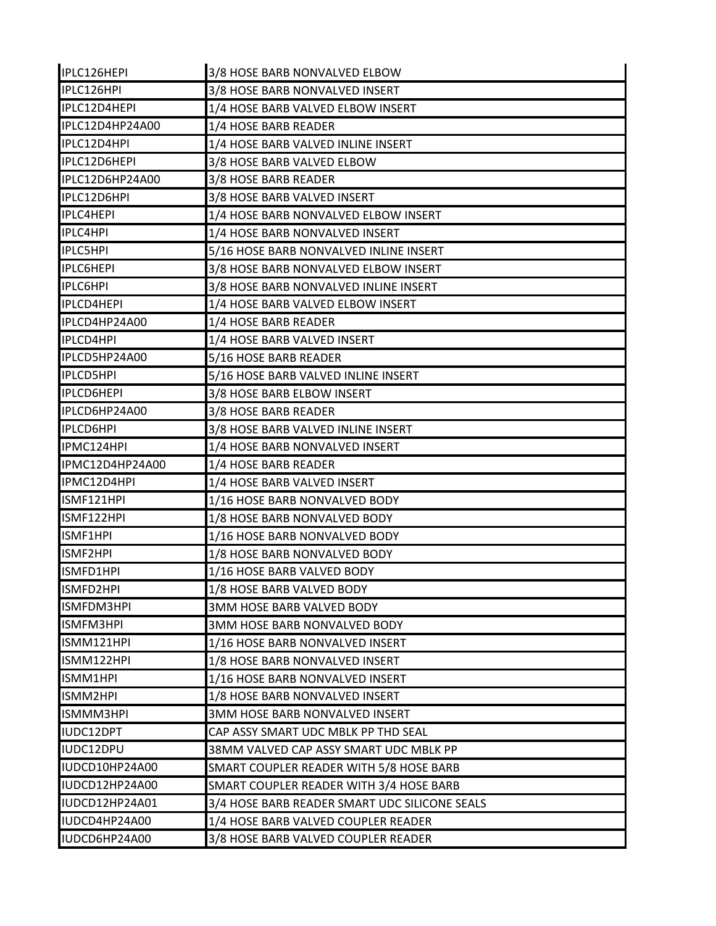| IPLC126HEPI       | 3/8 HOSE BARB NONVALVED ELBOW                 |
|-------------------|-----------------------------------------------|
| IPLC126HPI        | 3/8 HOSE BARB NONVALVED INSERT                |
| IPLC12D4HEPI      | 1/4 HOSE BARB VALVED ELBOW INSERT             |
| IPLC12D4HP24A00   | 1/4 HOSE BARB READER                          |
| IPLC12D4HPI       | 1/4 HOSE BARB VALVED INLINE INSERT            |
| IPLC12D6HEPI      | 3/8 HOSE BARB VALVED ELBOW                    |
| IPLC12D6HP24A00   | 3/8 HOSE BARB READER                          |
| IPLC12D6HPI       | 3/8 HOSE BARB VALVED INSERT                   |
| <b>IPLC4HEPI</b>  | 1/4 HOSE BARB NONVALVED ELBOW INSERT          |
| <b>IPLC4HPI</b>   | 1/4 HOSE BARB NONVALVED INSERT                |
| <b>IPLC5HPI</b>   | 5/16 HOSE BARB NONVALVED INLINE INSERT        |
| <b>IPLC6HEPI</b>  | 3/8 HOSE BARB NONVALVED ELBOW INSERT          |
| <b>IPLC6HPI</b>   | 3/8 HOSE BARB NONVALVED INLINE INSERT         |
| <b>IPLCD4HEPI</b> | 1/4 HOSE BARB VALVED ELBOW INSERT             |
| IPLCD4HP24A00     | 1/4 HOSE BARB READER                          |
| IPLCD4HPI         | 1/4 HOSE BARB VALVED INSERT                   |
| IPLCD5HP24A00     | 5/16 HOSE BARB READER                         |
| <b>IPLCD5HPI</b>  | 5/16 HOSE BARB VALVED INLINE INSERT           |
| <b>IPLCD6HEPI</b> | 3/8 HOSE BARB ELBOW INSERT                    |
| IPLCD6HP24A00     | 3/8 HOSE BARB READER                          |
| <b>IPLCD6HPI</b>  | 3/8 HOSE BARB VALVED INLINE INSERT            |
| IPMC124HPI        | 1/4 HOSE BARB NONVALVED INSERT                |
| IPMC12D4HP24A00   | 1/4 HOSE BARB READER                          |
| IPMC12D4HPI       | 1/4 HOSE BARB VALVED INSERT                   |
| ISMF121HPI        | 1/16 HOSE BARB NONVALVED BODY                 |
| ISMF122HPI        | 1/8 HOSE BARB NONVALVED BODY                  |
| ISMF1HPI          | 1/16 HOSE BARB NONVALVED BODY                 |
| ISMF2HPI          | 1/8 HOSE BARB NONVALVED BODY                  |
| ISMFD1HPI         | 1/16 HOSE BARB VALVED BODY                    |
| ISMFD2HPI         | 1/8 HOSE BARB VALVED BODY                     |
| ISMFDM3HPI        | 3MM HOSE BARB VALVED BODY                     |
| ISMFM3HPI         | <b>3MM HOSE BARB NONVALVED BODY</b>           |
| ISMM121HPI        | 1/16 HOSE BARB NONVALVED INSERT               |
| ISMM122HPI        | 1/8 HOSE BARB NONVALVED INSERT                |
| ISMM1HPI          | 1/16 HOSE BARB NONVALVED INSERT               |
| ISMM2HPI          | 1/8 HOSE BARB NONVALVED INSERT                |
| ISMMM3HPI         | 3MM HOSE BARB NONVALVED INSERT                |
| IUDC12DPT         | CAP ASSY SMART UDC MBLK PP THD SEAL           |
| IUDC12DPU         | 38MM VALVED CAP ASSY SMART UDC MBLK PP        |
| IUDCD10HP24A00    | SMART COUPLER READER WITH 5/8 HOSE BARB       |
| IUDCD12HP24A00    | SMART COUPLER READER WITH 3/4 HOSE BARB       |
| IUDCD12HP24A01    | 3/4 HOSE BARB READER SMART UDC SILICONE SEALS |
| IUDCD4HP24A00     | 1/4 HOSE BARB VALVED COUPLER READER           |
| IUDCD6HP24A00     | 3/8 HOSE BARB VALVED COUPLER READER           |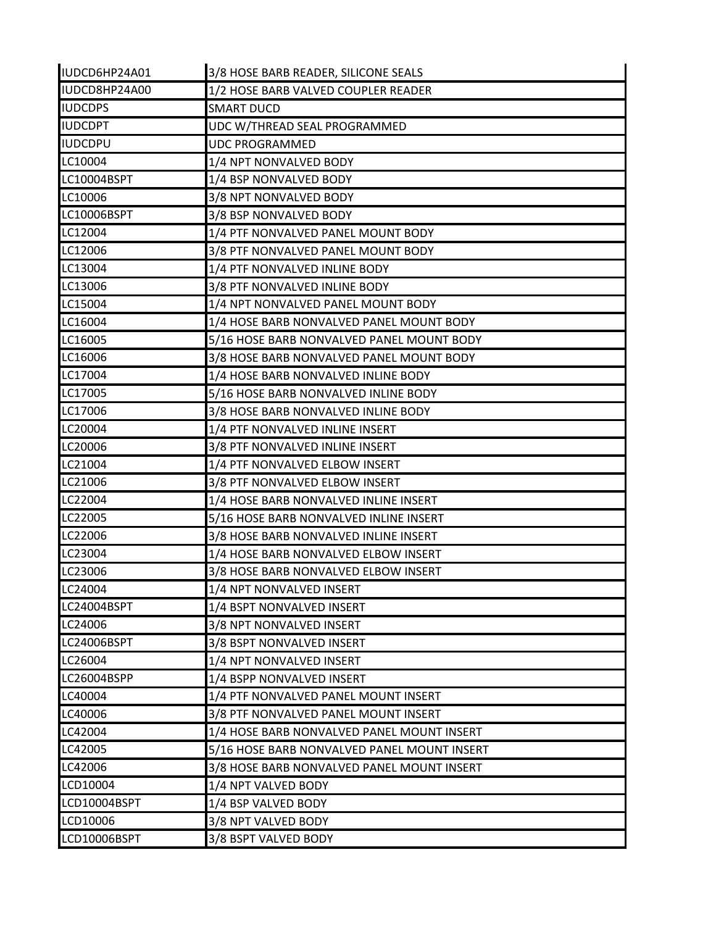| IUDCD6HP24A01  | 3/8 HOSE BARB READER, SILICONE SEALS        |
|----------------|---------------------------------------------|
| IUDCD8HP24A00  | 1/2 HOSE BARB VALVED COUPLER READER         |
| <b>IUDCDPS</b> | <b>SMART DUCD</b>                           |
| <b>IUDCDPT</b> | UDC W/THREAD SEAL PROGRAMMED                |
| <b>IUDCDPU</b> | <b>UDC PROGRAMMED</b>                       |
| LC10004        | 1/4 NPT NONVALVED BODY                      |
| LC10004BSPT    | 1/4 BSP NONVALVED BODY                      |
| LC10006        | 3/8 NPT NONVALVED BODY                      |
| LC10006BSPT    | 3/8 BSP NONVALVED BODY                      |
| LC12004        | 1/4 PTF NONVALVED PANEL MOUNT BODY          |
| LC12006        | 3/8 PTF NONVALVED PANEL MOUNT BODY          |
| LC13004        | 1/4 PTF NONVALVED INLINE BODY               |
| LC13006        | 3/8 PTF NONVALVED INLINE BODY               |
| LC15004        | 1/4 NPT NONVALVED PANEL MOUNT BODY          |
| LC16004        | 1/4 HOSE BARB NONVALVED PANEL MOUNT BODY    |
| LC16005        | 5/16 HOSE BARB NONVALVED PANEL MOUNT BODY   |
| LC16006        | 3/8 HOSE BARB NONVALVED PANEL MOUNT BODY    |
| LC17004        | 1/4 HOSE BARB NONVALVED INLINE BODY         |
| LC17005        | 5/16 HOSE BARB NONVALVED INLINE BODY        |
| LC17006        | 3/8 HOSE BARB NONVALVED INLINE BODY         |
| LC20004        | 1/4 PTF NONVALVED INLINE INSERT             |
| LC20006        | 3/8 PTF NONVALVED INLINE INSERT             |
| LC21004        | 1/4 PTF NONVALVED ELBOW INSERT              |
| LC21006        | 3/8 PTF NONVALVED ELBOW INSERT              |
| LC22004        | 1/4 HOSE BARB NONVALVED INLINE INSERT       |
| LC22005        | 5/16 HOSE BARB NONVALVED INLINE INSERT      |
| LC22006        | 3/8 HOSE BARB NONVALVED INLINE INSERT       |
| LC23004        | 1/4 HOSE BARB NONVALVED ELBOW INSERT        |
| LC23006        | 3/8 HOSE BARB NONVALVED ELBOW INSERT        |
| LC24004        | 1/4 NPT NONVALVED INSERT                    |
| LC24004BSPT    | 1/4 BSPT NONVALVED INSERT                   |
| LC24006        | 3/8 NPT NONVALVED INSERT                    |
| LC24006BSPT    | 3/8 BSPT NONVALVED INSERT                   |
| LC26004        | 1/4 NPT NONVALVED INSERT                    |
| LC26004BSPP    | 1/4 BSPP NONVALVED INSERT                   |
| LC40004        | 1/4 PTF NONVALVED PANEL MOUNT INSERT        |
| LC40006        | 3/8 PTF NONVALVED PANEL MOUNT INSERT        |
| LC42004        | 1/4 HOSE BARB NONVALVED PANEL MOUNT INSERT  |
| LC42005        | 5/16 HOSE BARB NONVALVED PANEL MOUNT INSERT |
| LC42006        | 3/8 HOSE BARB NONVALVED PANEL MOUNT INSERT  |
| LCD10004       | 1/4 NPT VALVED BODY                         |
| LCD10004BSPT   | 1/4 BSP VALVED BODY                         |
| LCD10006       | 3/8 NPT VALVED BODY                         |
| LCD10006BSPT   | 3/8 BSPT VALVED BODY                        |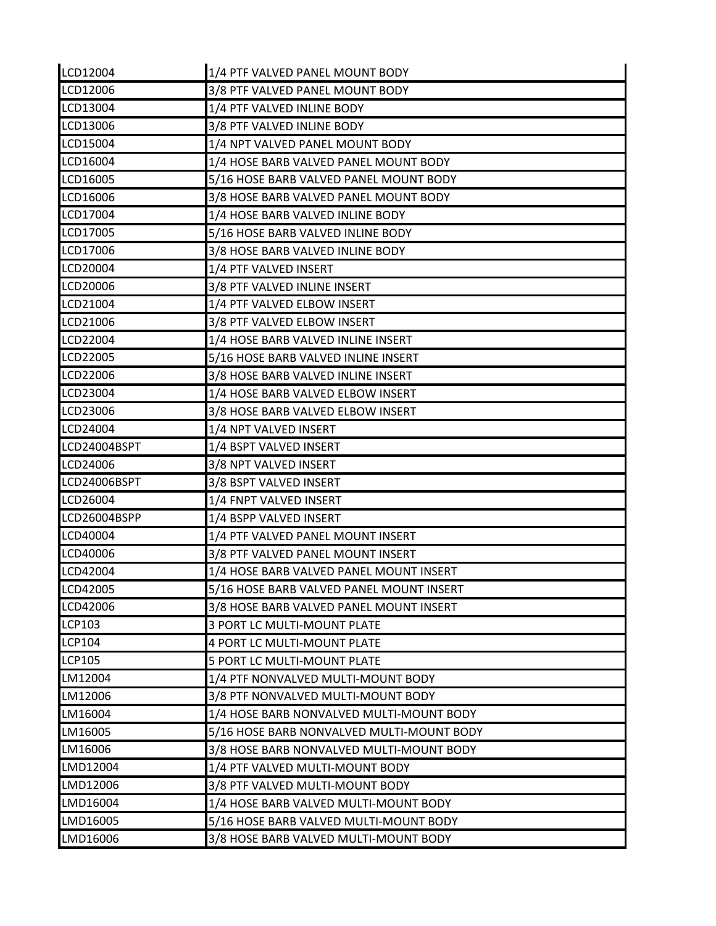| LCD12004        | 1/4 PTF VALVED PANEL MOUNT BODY           |
|-----------------|-------------------------------------------|
| LCD12006        | 3/8 PTF VALVED PANEL MOUNT BODY           |
| LCD13004        | 1/4 PTF VALVED INLINE BODY                |
| LCD13006        | 3/8 PTF VALVED INLINE BODY                |
| LCD15004        | 1/4 NPT VALVED PANEL MOUNT BODY           |
| LCD16004        | 1/4 HOSE BARB VALVED PANEL MOUNT BODY     |
| LCD16005        | 5/16 HOSE BARB VALVED PANEL MOUNT BODY    |
| LCD16006        | 3/8 HOSE BARB VALVED PANEL MOUNT BODY     |
| LCD17004        | 1/4 HOSE BARB VALVED INLINE BODY          |
| LCD17005        | 5/16 HOSE BARB VALVED INLINE BODY         |
| LCD17006        | 3/8 HOSE BARB VALVED INLINE BODY          |
| LCD20004        | 1/4 PTF VALVED INSERT                     |
| LCD20006        | 3/8 PTF VALVED INLINE INSERT              |
| LCD21004        | 1/4 PTF VALVED ELBOW INSERT               |
| LCD21006        | 3/8 PTF VALVED ELBOW INSERT               |
| LCD22004        | 1/4 HOSE BARB VALVED INLINE INSERT        |
| LCD22005        | 5/16 HOSE BARB VALVED INLINE INSERT       |
| LCD22006        | 3/8 HOSE BARB VALVED INLINE INSERT        |
| LCD23004        | 1/4 HOSE BARB VALVED ELBOW INSERT         |
| LCD23006        | 3/8 HOSE BARB VALVED ELBOW INSERT         |
| LCD24004        | 1/4 NPT VALVED INSERT                     |
| LCD24004BSPT    | 1/4 BSPT VALVED INSERT                    |
| LCD24006        | 3/8 NPT VALVED INSERT                     |
| LCD24006BSPT    | 3/8 BSPT VALVED INSERT                    |
| LCD26004        | 1/4 FNPT VALVED INSERT                    |
| LCD26004BSPP    | 1/4 BSPP VALVED INSERT                    |
| LCD40004        | 1/4 PTF VALVED PANEL MOUNT INSERT         |
| LCD40006        | 3/8 PTF VALVED PANEL MOUNT INSERT         |
| LCD42004        | 1/4 HOSE BARB VALVED PANEL MOUNT INSERT   |
| <b>LCD42005</b> | 5/16 HOSE BARB VALVED PANEL MOUNT INSERT  |
| LCD42006        | 3/8 HOSE BARB VALVED PANEL MOUNT INSERT   |
| <b>LCP103</b>   | 3 PORT LC MULTI-MOUNT PLATE               |
| <b>LCP104</b>   | 4 PORT LC MULTI-MOUNT PLATE               |
| <b>LCP105</b>   | 5 PORT LC MULTI-MOUNT PLATE               |
| LM12004         | 1/4 PTF NONVALVED MULTI-MOUNT BODY        |
| LM12006         | 3/8 PTF NONVALVED MULTI-MOUNT BODY        |
| LM16004         | 1/4 HOSE BARB NONVALVED MULTI-MOUNT BODY  |
| LM16005         | 5/16 HOSE BARB NONVALVED MULTI-MOUNT BODY |
| LM16006         | 3/8 HOSE BARB NONVALVED MULTI-MOUNT BODY  |
| LMD12004        | 1/4 PTF VALVED MULTI-MOUNT BODY           |
| LMD12006        | 3/8 PTF VALVED MULTI-MOUNT BODY           |
| LMD16004        | 1/4 HOSE BARB VALVED MULTI-MOUNT BODY     |
| LMD16005        | 5/16 HOSE BARB VALVED MULTI-MOUNT BODY    |
| LMD16006        | 3/8 HOSE BARB VALVED MULTI-MOUNT BODY     |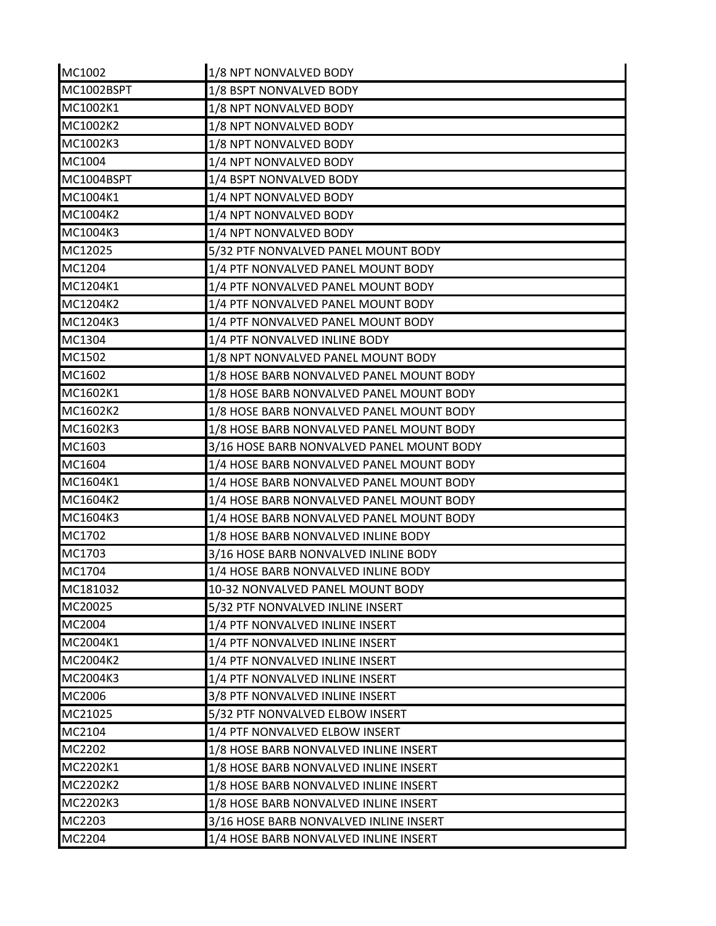| MC1002     | 1/8 NPT NONVALVED BODY                    |
|------------|-------------------------------------------|
| MC1002BSPT | 1/8 BSPT NONVALVED BODY                   |
| MC1002K1   | 1/8 NPT NONVALVED BODY                    |
| MC1002K2   | 1/8 NPT NONVALVED BODY                    |
| MC1002K3   | 1/8 NPT NONVALVED BODY                    |
| MC1004     | 1/4 NPT NONVALVED BODY                    |
| MC1004BSPT | 1/4 BSPT NONVALVED BODY                   |
| MC1004K1   | 1/4 NPT NONVALVED BODY                    |
| MC1004K2   | 1/4 NPT NONVALVED BODY                    |
| MC1004K3   | 1/4 NPT NONVALVED BODY                    |
| MC12025    | 5/32 PTF NONVALVED PANEL MOUNT BODY       |
| MC1204     | 1/4 PTF NONVALVED PANEL MOUNT BODY        |
| MC1204K1   | 1/4 PTF NONVALVED PANEL MOUNT BODY        |
| MC1204K2   | 1/4 PTF NONVALVED PANEL MOUNT BODY        |
| MC1204K3   | 1/4 PTF NONVALVED PANEL MOUNT BODY        |
| MC1304     | 1/4 PTF NONVALVED INLINE BODY             |
| MC1502     | 1/8 NPT NONVALVED PANEL MOUNT BODY        |
| MC1602     | 1/8 HOSE BARB NONVALVED PANEL MOUNT BODY  |
| MC1602K1   | 1/8 HOSE BARB NONVALVED PANEL MOUNT BODY  |
| MC1602K2   | 1/8 HOSE BARB NONVALVED PANEL MOUNT BODY  |
| MC1602K3   | 1/8 HOSE BARB NONVALVED PANEL MOUNT BODY  |
| MC1603     | 3/16 HOSE BARB NONVALVED PANEL MOUNT BODY |
| MC1604     | 1/4 HOSE BARB NONVALVED PANEL MOUNT BODY  |
| MC1604K1   | 1/4 HOSE BARB NONVALVED PANEL MOUNT BODY  |
| MC1604K2   | 1/4 HOSE BARB NONVALVED PANEL MOUNT BODY  |
| MC1604K3   | 1/4 HOSE BARB NONVALVED PANEL MOUNT BODY  |
| MC1702     | 1/8 HOSE BARB NONVALVED INLINE BODY       |
| MC1703     | 3/16 HOSE BARB NONVALVED INLINE BODY      |
| MC1704     | 1/4 HOSE BARB NONVALVED INLINE BODY       |
| MC181032   | 10-32 NONVALVED PANEL MOUNT BODY          |
| MC20025    | 5/32 PTF NONVALVED INLINE INSERT          |
| MC2004     | 1/4 PTF NONVALVED INLINE INSERT           |
| MC2004K1   | 1/4 PTF NONVALVED INLINE INSERT           |
| MC2004K2   | 1/4 PTF NONVALVED INLINE INSERT           |
| MC2004K3   | 1/4 PTF NONVALVED INLINE INSERT           |
| MC2006     | 3/8 PTF NONVALVED INLINE INSERT           |
| MC21025    | 5/32 PTF NONVALVED ELBOW INSERT           |
| MC2104     | 1/4 PTF NONVALVED ELBOW INSERT            |
| MC2202     | 1/8 HOSE BARB NONVALVED INLINE INSERT     |
| MC2202K1   | 1/8 HOSE BARB NONVALVED INLINE INSERT     |
| MC2202K2   | 1/8 HOSE BARB NONVALVED INLINE INSERT     |
| MC2202K3   | 1/8 HOSE BARB NONVALVED INLINE INSERT     |
| MC2203     | 3/16 HOSE BARB NONVALVED INLINE INSERT    |
| MC2204     | 1/4 HOSE BARB NONVALVED INLINE INSERT     |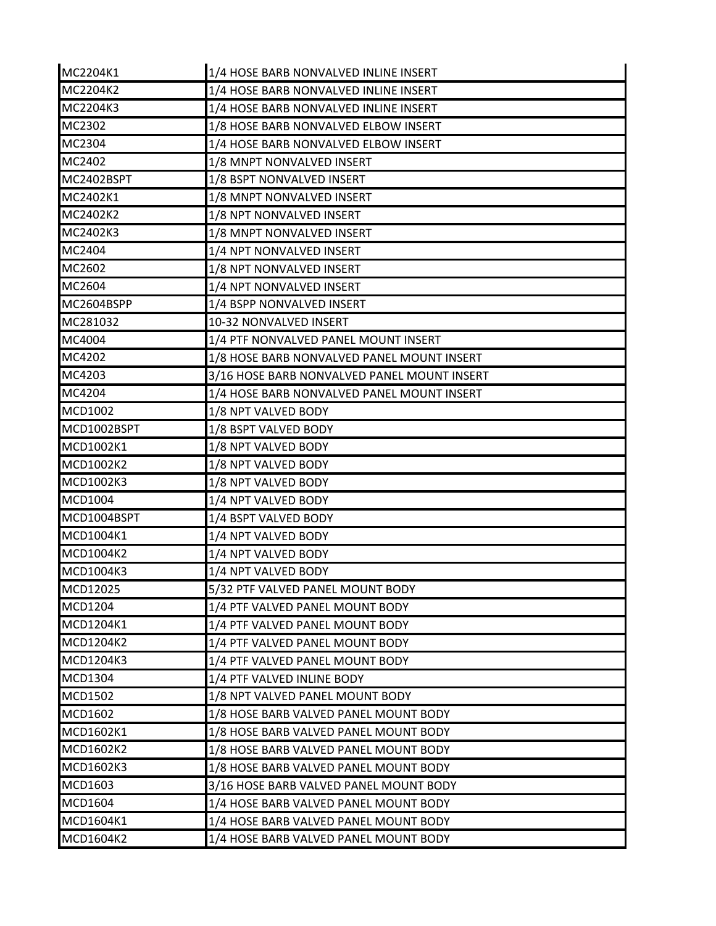| MC2204K1       | 1/4 HOSE BARB NONVALVED INLINE INSERT       |
|----------------|---------------------------------------------|
| MC2204K2       | 1/4 HOSE BARB NONVALVED INLINE INSERT       |
| MC2204K3       | 1/4 HOSE BARB NONVALVED INLINE INSERT       |
| MC2302         | 1/8 HOSE BARB NONVALVED ELBOW INSERT        |
| MC2304         | 1/4 HOSE BARB NONVALVED ELBOW INSERT        |
| MC2402         | 1/8 MNPT NONVALVED INSERT                   |
| MC2402BSPT     | 1/8 BSPT NONVALVED INSERT                   |
| MC2402K1       | 1/8 MNPT NONVALVED INSERT                   |
| MC2402K2       | 1/8 NPT NONVALVED INSERT                    |
| MC2402K3       | 1/8 MNPT NONVALVED INSERT                   |
| MC2404         | 1/4 NPT NONVALVED INSERT                    |
| MC2602         | 1/8 NPT NONVALVED INSERT                    |
| MC2604         | 1/4 NPT NONVALVED INSERT                    |
| MC2604BSPP     | 1/4 BSPP NONVALVED INSERT                   |
| MC281032       | 10-32 NONVALVED INSERT                      |
| MC4004         | 1/4 PTF NONVALVED PANEL MOUNT INSERT        |
| MC4202         | 1/8 HOSE BARB NONVALVED PANEL MOUNT INSERT  |
| MC4203         | 3/16 HOSE BARB NONVALVED PANEL MOUNT INSERT |
| MC4204         | 1/4 HOSE BARB NONVALVED PANEL MOUNT INSERT  |
| MCD1002        | 1/8 NPT VALVED BODY                         |
| MCD1002BSPT    | 1/8 BSPT VALVED BODY                        |
| MCD1002K1      | 1/8 NPT VALVED BODY                         |
| MCD1002K2      | 1/8 NPT VALVED BODY                         |
| MCD1002K3      | 1/8 NPT VALVED BODY                         |
| MCD1004        | 1/4 NPT VALVED BODY                         |
| MCD1004BSPT    | 1/4 BSPT VALVED BODY                        |
| MCD1004K1      | 1/4 NPT VALVED BODY                         |
| MCD1004K2      | 1/4 NPT VALVED BODY                         |
| MCD1004K3      | 1/4 NPT VALVED BODY                         |
| IMCD12025      | 5/32 PTF VALVED PANEL MOUNT BODY            |
| MCD1204        | 1/4 PTF VALVED PANEL MOUNT BODY             |
| MCD1204K1      | 1/4 PTF VALVED PANEL MOUNT BODY             |
| MCD1204K2      | 1/4 PTF VALVED PANEL MOUNT BODY             |
| MCD1204K3      | 1/4 PTF VALVED PANEL MOUNT BODY             |
| MCD1304        | 1/4 PTF VALVED INLINE BODY                  |
| <b>MCD1502</b> | 1/8 NPT VALVED PANEL MOUNT BODY             |
| MCD1602        | 1/8 HOSE BARB VALVED PANEL MOUNT BODY       |
| MCD1602K1      | 1/8 HOSE BARB VALVED PANEL MOUNT BODY       |
| MCD1602K2      | 1/8 HOSE BARB VALVED PANEL MOUNT BODY       |
| MCD1602K3      | 1/8 HOSE BARB VALVED PANEL MOUNT BODY       |
| MCD1603        | 3/16 HOSE BARB VALVED PANEL MOUNT BODY      |
| MCD1604        | 1/4 HOSE BARB VALVED PANEL MOUNT BODY       |
| MCD1604K1      | 1/4 HOSE BARB VALVED PANEL MOUNT BODY       |
| MCD1604K2      | 1/4 HOSE BARB VALVED PANEL MOUNT BODY       |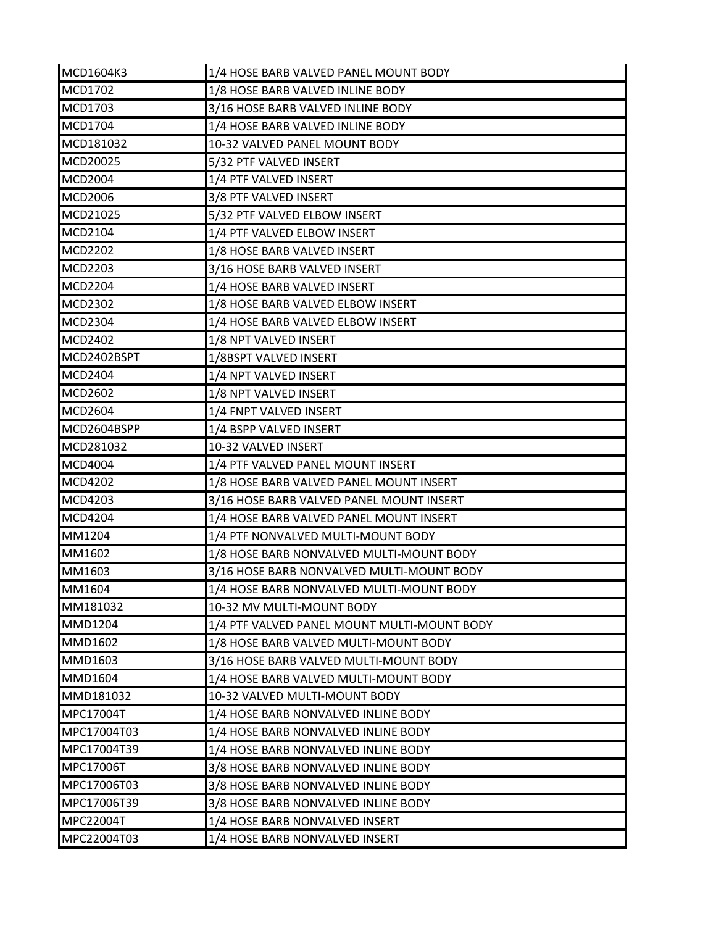| MCD1604K3      | 1/4 HOSE BARB VALVED PANEL MOUNT BODY       |
|----------------|---------------------------------------------|
| MCD1702        | 1/8 HOSE BARB VALVED INLINE BODY            |
| MCD1703        | 3/16 HOSE BARB VALVED INLINE BODY           |
| MCD1704        | 1/4 HOSE BARB VALVED INLINE BODY            |
| MCD181032      | 10-32 VALVED PANEL MOUNT BODY               |
| MCD20025       | 5/32 PTF VALVED INSERT                      |
| <b>MCD2004</b> | 1/4 PTF VALVED INSERT                       |
| <b>MCD2006</b> | 3/8 PTF VALVED INSERT                       |
| MCD21025       | 5/32 PTF VALVED ELBOW INSERT                |
| MCD2104        | 1/4 PTF VALVED ELBOW INSERT                 |
| <b>MCD2202</b> | 1/8 HOSE BARB VALVED INSERT                 |
| MCD2203        | 3/16 HOSE BARB VALVED INSERT                |
| <b>MCD2204</b> | 1/4 HOSE BARB VALVED INSERT                 |
| MCD2302        | 1/8 HOSE BARB VALVED ELBOW INSERT           |
| <b>MCD2304</b> | 1/4 HOSE BARB VALVED ELBOW INSERT           |
| MCD2402        | 1/8 NPT VALVED INSERT                       |
| MCD2402BSPT    | 1/8BSPT VALVED INSERT                       |
| <b>MCD2404</b> | 1/4 NPT VALVED INSERT                       |
| <b>MCD2602</b> | 1/8 NPT VALVED INSERT                       |
| <b>MCD2604</b> | 1/4 FNPT VALVED INSERT                      |
| MCD2604BSPP    | 1/4 BSPP VALVED INSERT                      |
| MCD281032      | 10-32 VALVED INSERT                         |
| <b>MCD4004</b> | 1/4 PTF VALVED PANEL MOUNT INSERT           |
| <b>MCD4202</b> | 1/8 HOSE BARB VALVED PANEL MOUNT INSERT     |
| MCD4203        | 3/16 HOSE BARB VALVED PANEL MOUNT INSERT    |
| <b>MCD4204</b> | 1/4 HOSE BARB VALVED PANEL MOUNT INSERT     |
| MM1204         | 1/4 PTF NONVALVED MULTI-MOUNT BODY          |
| MM1602         | 1/8 HOSE BARB NONVALVED MULTI-MOUNT BODY    |
| MM1603         | 3/16 HOSE BARB NONVALVED MULTI-MOUNT BODY   |
| MM1604         | 1/4 HOSE BARB NONVALVED MULTI-MOUNT BODY    |
| MM181032       | 10-32 MV MULTI-MOUNT BODY                   |
| <b>MMD1204</b> | 1/4 PTF VALVED PANEL MOUNT MULTI-MOUNT BODY |
| MMD1602        | 1/8 HOSE BARB VALVED MULTI-MOUNT BODY       |
| MMD1603        | 3/16 HOSE BARB VALVED MULTI-MOUNT BODY      |
| MMD1604        | 1/4 HOSE BARB VALVED MULTI-MOUNT BODY       |
| MMD181032      | 10-32 VALVED MULTI-MOUNT BODY               |
| MPC17004T      | 1/4 HOSE BARB NONVALVED INLINE BODY         |
| MPC17004T03    | 1/4 HOSE BARB NONVALVED INLINE BODY         |
| MPC17004T39    | 1/4 HOSE BARB NONVALVED INLINE BODY         |
| MPC17006T      | 3/8 HOSE BARB NONVALVED INLINE BODY         |
| MPC17006T03    | 3/8 HOSE BARB NONVALVED INLINE BODY         |
| MPC17006T39    | 3/8 HOSE BARB NONVALVED INLINE BODY         |
| MPC22004T      | 1/4 HOSE BARB NONVALVED INSERT              |
| MPC22004T03    | 1/4 HOSE BARB NONVALVED INSERT              |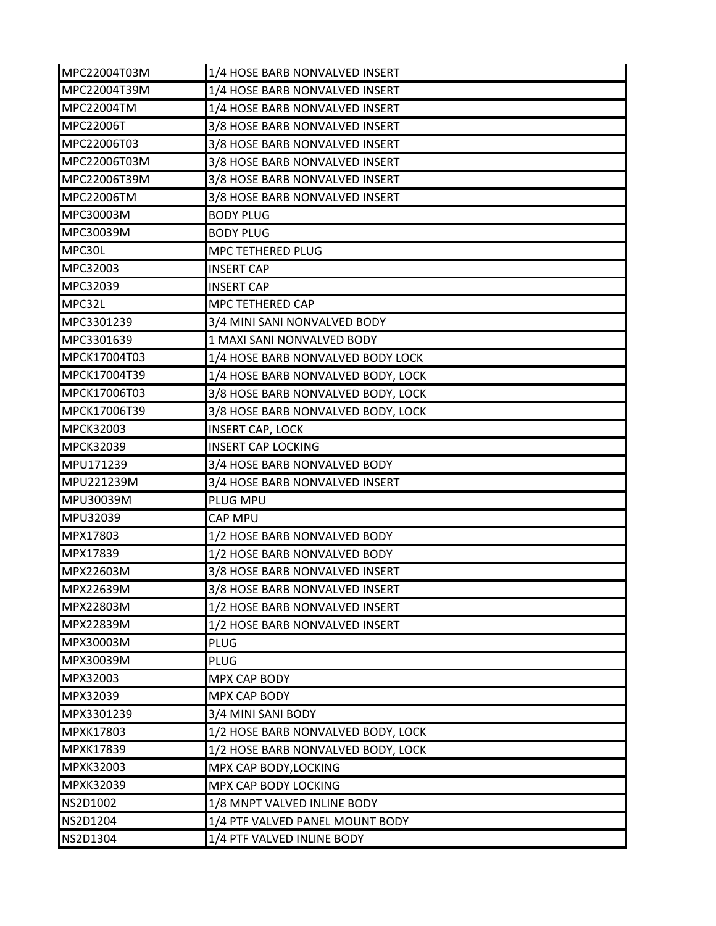| MPC22004T03M     | 1/4 HOSE BARB NONVALVED INSERT     |
|------------------|------------------------------------|
| MPC22004T39M     | 1/4 HOSE BARB NONVALVED INSERT     |
| MPC22004TM       | 1/4 HOSE BARB NONVALVED INSERT     |
| MPC22006T        | 3/8 HOSE BARB NONVALVED INSERT     |
| MPC22006T03      | 3/8 HOSE BARB NONVALVED INSERT     |
| MPC22006T03M     | 3/8 HOSE BARB NONVALVED INSERT     |
| MPC22006T39M     | 3/8 HOSE BARB NONVALVED INSERT     |
| MPC22006TM       | 3/8 HOSE BARB NONVALVED INSERT     |
| MPC30003M        | <b>BODY PLUG</b>                   |
| MPC30039M        | <b>BODY PLUG</b>                   |
| MPC30L           | MPC TETHERED PLUG                  |
| MPC32003         | <b>INSERT CAP</b>                  |
| MPC32039         | <b>INSERT CAP</b>                  |
| MPC32L           | MPC TETHERED CAP                   |
| MPC3301239       | 3/4 MINI SANI NONVALVED BODY       |
| MPC3301639       | 1 MAXI SANI NONVALVED BODY         |
| MPCK17004T03     | 1/4 HOSE BARB NONVALVED BODY LOCK  |
| MPCK17004T39     | 1/4 HOSE BARB NONVALVED BODY, LOCK |
| MPCK17006T03     | 3/8 HOSE BARB NONVALVED BODY, LOCK |
| MPCK17006T39     | 3/8 HOSE BARB NONVALVED BODY, LOCK |
| <b>MPCK32003</b> | <b>INSERT CAP, LOCK</b>            |
| MPCK32039        | <b>INSERT CAP LOCKING</b>          |
| MPU171239        | 3/4 HOSE BARB NONVALVED BODY       |
| MPU221239M       | 3/4 HOSE BARB NONVALVED INSERT     |
| MPU30039M        | PLUG MPU                           |
| MPU32039         | <b>CAP MPU</b>                     |
| MPX17803         | 1/2 HOSE BARB NONVALVED BODY       |
| MPX17839         | 1/2 HOSE BARB NONVALVED BODY       |
| MPX22603M        | 3/8 HOSE BARB NONVALVED INSERT     |
| MPX22639M        | 3/8 HOSE BARB NONVALVED INSERT     |
| MPX22803M        | 1/2 HOSE BARB NONVALVED INSERT     |
| MPX22839M        | 1/2 HOSE BARB NONVALVED INSERT     |
| MPX30003M        | <b>PLUG</b>                        |
| MPX30039M        | <b>PLUG</b>                        |
| MPX32003         | <b>MPX CAP BODY</b>                |
| MPX32039         | MPX CAP BODY                       |
| MPX3301239       | 3/4 MINI SANI BODY                 |
| MPXK17803        | 1/2 HOSE BARB NONVALVED BODY, LOCK |
| MPXK17839        | 1/2 HOSE BARB NONVALVED BODY, LOCK |
| MPXK32003        | MPX CAP BODY, LOCKING              |
| MPXK32039        | MPX CAP BODY LOCKING               |
| NS2D1002         | 1/8 MNPT VALVED INLINE BODY        |
| NS2D1204         | 1/4 PTF VALVED PANEL MOUNT BODY    |
| NS2D1304         | 1/4 PTF VALVED INLINE BODY         |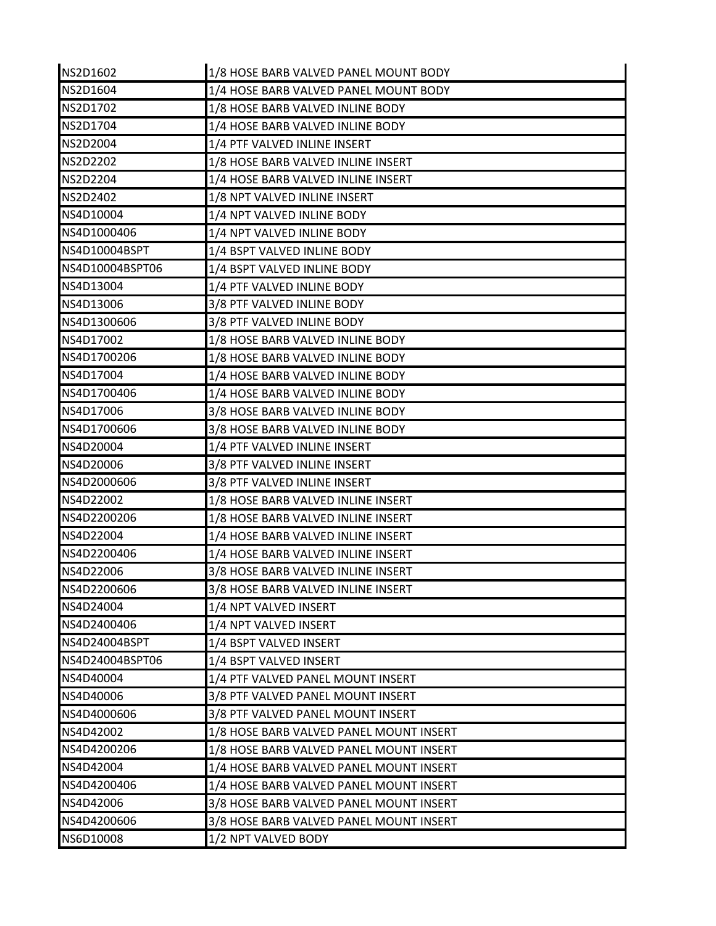| NS2D1602        | 1/8 HOSE BARB VALVED PANEL MOUNT BODY   |
|-----------------|-----------------------------------------|
| <b>NS2D1604</b> | 1/4 HOSE BARB VALVED PANEL MOUNT BODY   |
| NS2D1702        | 1/8 HOSE BARB VALVED INLINE BODY        |
| NS2D1704        | 1/4 HOSE BARB VALVED INLINE BODY        |
| NS2D2004        | 1/4 PTF VALVED INLINE INSERT            |
| <b>NS2D2202</b> | 1/8 HOSE BARB VALVED INLINE INSERT      |
| <b>NS2D2204</b> | 1/4 HOSE BARB VALVED INLINE INSERT      |
| <b>NS2D2402</b> | 1/8 NPT VALVED INLINE INSERT            |
| NS4D10004       | 1/4 NPT VALVED INLINE BODY              |
| NS4D1000406     | 1/4 NPT VALVED INLINE BODY              |
| NS4D10004BSPT   | 1/4 BSPT VALVED INLINE BODY             |
| NS4D10004BSPT06 | 1/4 BSPT VALVED INLINE BODY             |
| NS4D13004       | 1/4 PTF VALVED INLINE BODY              |
| NS4D13006       | 3/8 PTF VALVED INLINE BODY              |
| NS4D1300606     | 3/8 PTF VALVED INLINE BODY              |
| NS4D17002       | 1/8 HOSE BARB VALVED INLINE BODY        |
| NS4D1700206     | 1/8 HOSE BARB VALVED INLINE BODY        |
| NS4D17004       | 1/4 HOSE BARB VALVED INLINE BODY        |
| NS4D1700406     | 1/4 HOSE BARB VALVED INLINE BODY        |
| NS4D17006       | 3/8 HOSE BARB VALVED INLINE BODY        |
| NS4D1700606     | 3/8 HOSE BARB VALVED INLINE BODY        |
| NS4D20004       | 1/4 PTF VALVED INLINE INSERT            |
| NS4D20006       | 3/8 PTF VALVED INLINE INSERT            |
| NS4D2000606     | 3/8 PTF VALVED INLINE INSERT            |
| NS4D22002       | 1/8 HOSE BARB VALVED INLINE INSERT      |
| NS4D2200206     | 1/8 HOSE BARB VALVED INLINE INSERT      |
| NS4D22004       | 1/4 HOSE BARB VALVED INLINE INSERT      |
| NS4D2200406     | 1/4 HOSE BARB VALVED INLINE INSERT      |
| NS4D22006       | 3/8 HOSE BARB VALVED INLINE INSERT      |
| NS4D2200606     | 3/8 HOSE BARB VALVED INLINE INSERT      |
| NS4D24004       | 1/4 NPT VALVED INSERT                   |
| NS4D2400406     | 1/4 NPT VALVED INSERT                   |
| NS4D24004BSPT   | 1/4 BSPT VALVED INSERT                  |
| NS4D24004BSPT06 | 1/4 BSPT VALVED INSERT                  |
| NS4D40004       | 1/4 PTF VALVED PANEL MOUNT INSERT       |
| NS4D40006       | 3/8 PTF VALVED PANEL MOUNT INSERT       |
| NS4D4000606     | 3/8 PTF VALVED PANEL MOUNT INSERT       |
| NS4D42002       | 1/8 HOSE BARB VALVED PANEL MOUNT INSERT |
| NS4D4200206     | 1/8 HOSE BARB VALVED PANEL MOUNT INSERT |
| NS4D42004       | 1/4 HOSE BARB VALVED PANEL MOUNT INSERT |
| NS4D4200406     | 1/4 HOSE BARB VALVED PANEL MOUNT INSERT |
| NS4D42006       | 3/8 HOSE BARB VALVED PANEL MOUNT INSERT |
| NS4D4200606     | 3/8 HOSE BARB VALVED PANEL MOUNT INSERT |
| NS6D10008       | 1/2 NPT VALVED BODY                     |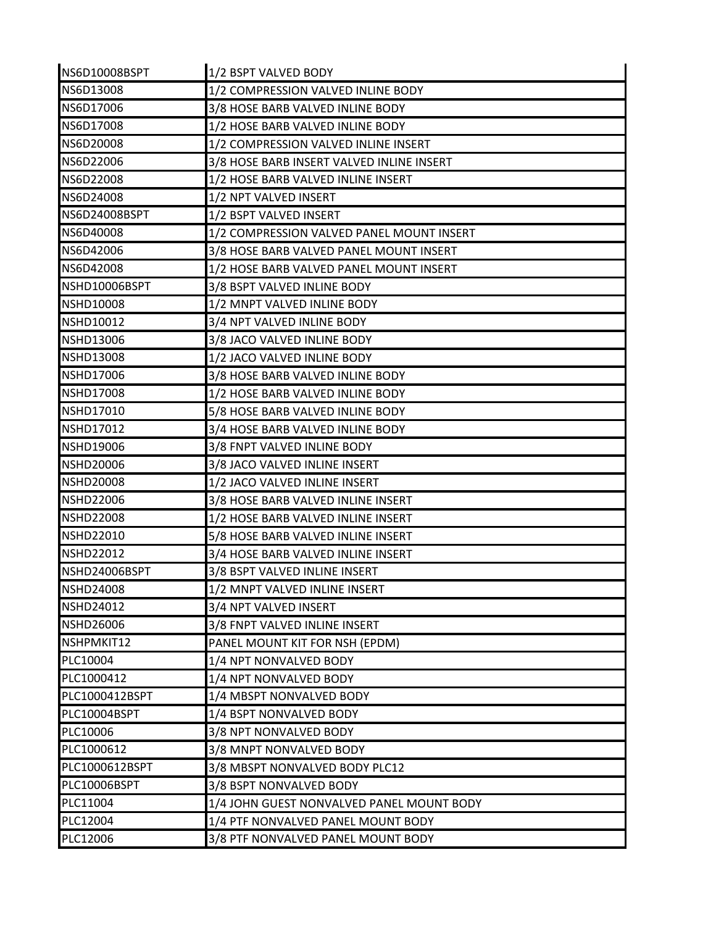| NS6D10008BSPT    | 1/2 BSPT VALVED BODY                      |
|------------------|-------------------------------------------|
| NS6D13008        | 1/2 COMPRESSION VALVED INLINE BODY        |
| NS6D17006        | 3/8 HOSE BARB VALVED INLINE BODY          |
| NS6D17008        | 1/2 HOSE BARB VALVED INLINE BODY          |
| NS6D20008        | 1/2 COMPRESSION VALVED INLINE INSERT      |
| NS6D22006        | 3/8 HOSE BARB INSERT VALVED INLINE INSERT |
| NS6D22008        | 1/2 HOSE BARB VALVED INLINE INSERT        |
| NS6D24008        | 1/2 NPT VALVED INSERT                     |
| NS6D24008BSPT    | 1/2 BSPT VALVED INSERT                    |
| NS6D40008        | 1/2 COMPRESSION VALVED PANEL MOUNT INSERT |
| NS6D42006        | 3/8 HOSE BARB VALVED PANEL MOUNT INSERT   |
| NS6D42008        | 1/2 HOSE BARB VALVED PANEL MOUNT INSERT   |
| NSHD10006BSPT    | 3/8 BSPT VALVED INLINE BODY               |
| <b>NSHD10008</b> | 1/2 MNPT VALVED INLINE BODY               |
| <b>NSHD10012</b> | 3/4 NPT VALVED INLINE BODY                |
| <b>NSHD13006</b> | 3/8 JACO VALVED INLINE BODY               |
| <b>NSHD13008</b> | 1/2 JACO VALVED INLINE BODY               |
| <b>NSHD17006</b> | 3/8 HOSE BARB VALVED INLINE BODY          |
| <b>NSHD17008</b> | 1/2 HOSE BARB VALVED INLINE BODY          |
| <b>NSHD17010</b> | 5/8 HOSE BARB VALVED INLINE BODY          |
| <b>NSHD17012</b> | 3/4 HOSE BARB VALVED INLINE BODY          |
| <b>NSHD19006</b> | 3/8 FNPT VALVED INLINE BODY               |
| <b>NSHD20006</b> | 3/8 JACO VALVED INLINE INSERT             |
| <b>NSHD20008</b> | 1/2 JACO VALVED INLINE INSERT             |
| <b>NSHD22006</b> | 3/8 HOSE BARB VALVED INLINE INSERT        |
| <b>NSHD22008</b> | 1/2 HOSE BARB VALVED INLINE INSERT        |
| <b>NSHD22010</b> | 5/8 HOSE BARB VALVED INLINE INSERT        |
| <b>NSHD22012</b> | 3/4 HOSE BARB VALVED INLINE INSERT        |
| NSHD24006BSPT    | 3/8 BSPT VALVED INLINE INSERT             |
| <b>NSHD24008</b> | 1/2 MNPT VALVED INLINE INSERT             |
| <b>NSHD24012</b> | 3/4 NPT VALVED INSERT                     |
| <b>NSHD26006</b> | 3/8 FNPT VALVED INLINE INSERT             |
| NSHPMKIT12       | PANEL MOUNT KIT FOR NSH (EPDM)            |
| PLC10004         | 1/4 NPT NONVALVED BODY                    |
| PLC1000412       | 1/4 NPT NONVALVED BODY                    |
| PLC1000412BSPT   | 1/4 MBSPT NONVALVED BODY                  |
| PLC10004BSPT     | 1/4 BSPT NONVALVED BODY                   |
| PLC10006         | 3/8 NPT NONVALVED BODY                    |
| PLC1000612       | 3/8 MNPT NONVALVED BODY                   |
| PLC1000612BSPT   | 3/8 MBSPT NONVALVED BODY PLC12            |
| PLC10006BSPT     | 3/8 BSPT NONVALVED BODY                   |
| PLC11004         | 1/4 JOHN GUEST NONVALVED PANEL MOUNT BODY |
| PLC12004         | 1/4 PTF NONVALVED PANEL MOUNT BODY        |
| PLC12006         | 3/8 PTF NONVALVED PANEL MOUNT BODY        |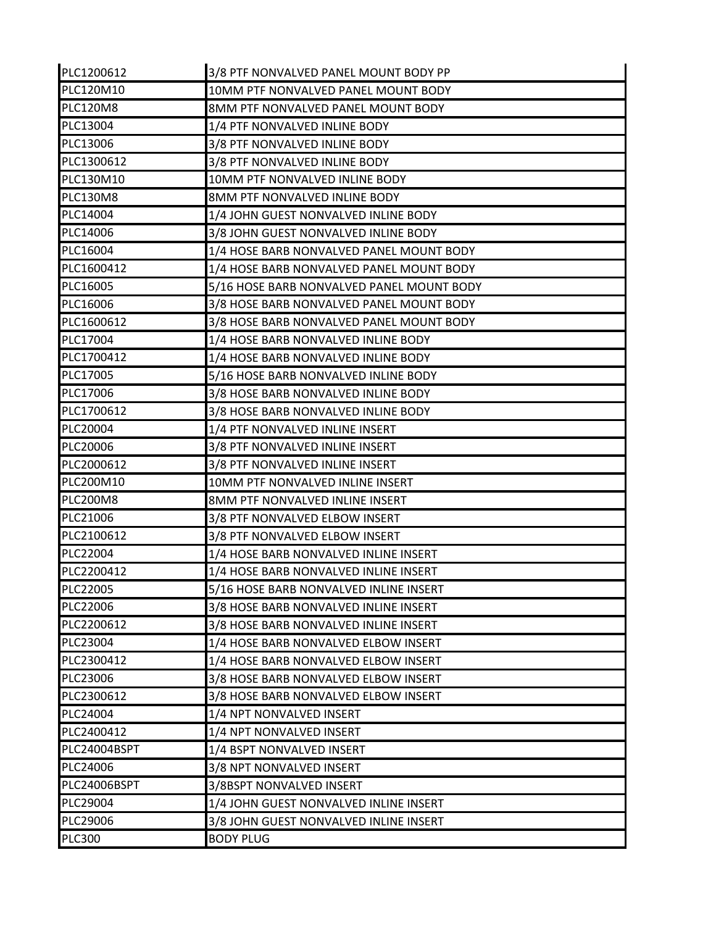| PLC1200612       | 3/8 PTF NONVALVED PANEL MOUNT BODY PP     |
|------------------|-------------------------------------------|
| <b>PLC120M10</b> | 10MM PTF NONVALVED PANEL MOUNT BODY       |
| <b>PLC120M8</b>  | 8MM PTF NONVALVED PANEL MOUNT BODY        |
| PLC13004         | 1/4 PTF NONVALVED INLINE BODY             |
| PLC13006         | 3/8 PTF NONVALVED INLINE BODY             |
| PLC1300612       | 3/8 PTF NONVALVED INLINE BODY             |
| PLC130M10        | 10MM PTF NONVALVED INLINE BODY            |
| <b>PLC130M8</b>  | 8MM PTF NONVALVED INLINE BODY             |
| PLC14004         | 1/4 JOHN GUEST NONVALVED INLINE BODY      |
| PLC14006         | 3/8 JOHN GUEST NONVALVED INLINE BODY      |
| PLC16004         | 1/4 HOSE BARB NONVALVED PANEL MOUNT BODY  |
| PLC1600412       | 1/4 HOSE BARB NONVALVED PANEL MOUNT BODY  |
| PLC16005         | 5/16 HOSE BARB NONVALVED PANEL MOUNT BODY |
| PLC16006         | 3/8 HOSE BARB NONVALVED PANEL MOUNT BODY  |
| PLC1600612       | 3/8 HOSE BARB NONVALVED PANEL MOUNT BODY  |
| PLC17004         | 1/4 HOSE BARB NONVALVED INLINE BODY       |
| PLC1700412       | 1/4 HOSE BARB NONVALVED INLINE BODY       |
| PLC17005         | 5/16 HOSE BARB NONVALVED INLINE BODY      |
| PLC17006         | 3/8 HOSE BARB NONVALVED INLINE BODY       |
| PLC1700612       | 3/8 HOSE BARB NONVALVED INLINE BODY       |
| PLC20004         | 1/4 PTF NONVALVED INLINE INSERT           |
| PLC20006         | 3/8 PTF NONVALVED INLINE INSERT           |
| PLC2000612       | 3/8 PTF NONVALVED INLINE INSERT           |
| PLC200M10        | 10MM PTF NONVALVED INLINE INSERT          |
| <b>PLC200M8</b>  | 8MM PTF NONVALVED INLINE INSERT           |
| PLC21006         | 3/8 PTF NONVALVED ELBOW INSERT            |
| PLC2100612       | 3/8 PTF NONVALVED ELBOW INSERT            |
| PLC22004         | 1/4 HOSE BARB NONVALVED INLINE INSERT     |
| PLC2200412       | 1/4 HOSE BARB NONVALVED INLINE INSERT     |
| PLC22005         | 5/16 HOSE BARB NONVALVED INLINE INSERT    |
| PLC22006         | 3/8 HOSE BARB NONVALVED INLINE INSERT     |
| PLC2200612       | 3/8 HOSE BARB NONVALVED INLINE INSERT     |
| PLC23004         | 1/4 HOSE BARB NONVALVED ELBOW INSERT      |
| PLC2300412       | 1/4 HOSE BARB NONVALVED ELBOW INSERT      |
| PLC23006         | 3/8 HOSE BARB NONVALVED ELBOW INSERT      |
| PLC2300612       | 3/8 HOSE BARB NONVALVED ELBOW INSERT      |
| PLC24004         | 1/4 NPT NONVALVED INSERT                  |
| PLC2400412       | 1/4 NPT NONVALVED INSERT                  |
| PLC24004BSPT     | 1/4 BSPT NONVALVED INSERT                 |
| PLC24006         | 3/8 NPT NONVALVED INSERT                  |
| PLC24006BSPT     | 3/8BSPT NONVALVED INSERT                  |
| PLC29004         | 1/4 JOHN GUEST NONVALVED INLINE INSERT    |
| PLC29006         | 3/8 JOHN GUEST NONVALVED INLINE INSERT    |
| <b>PLC300</b>    | <b>BODY PLUG</b>                          |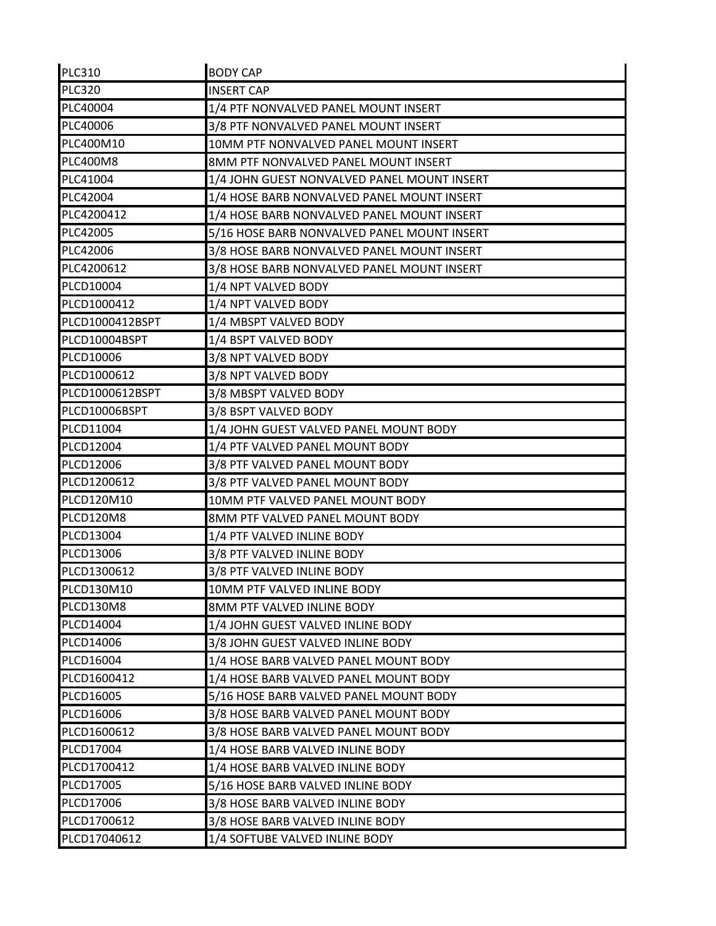| <b>PLC310</b>   | <b>BODY CAP</b>                             |
|-----------------|---------------------------------------------|
| <b>PLC320</b>   | <b>INSERT CAP</b>                           |
| PLC40004        | 1/4 PTF NONVALVED PANEL MOUNT INSERT        |
| PLC40006        | 3/8 PTF NONVALVED PANEL MOUNT INSERT        |
| PLC400M10       | 10MM PTF NONVALVED PANEL MOUNT INSERT       |
| <b>PLC400M8</b> | 8MM PTF NONVALVED PANEL MOUNT INSERT        |
| PLC41004        | 1/4 JOHN GUEST NONVALVED PANEL MOUNT INSERT |
| PLC42004        | 1/4 HOSE BARB NONVALVED PANEL MOUNT INSERT  |
| PLC4200412      | 1/4 HOSE BARB NONVALVED PANEL MOUNT INSERT  |
| PLC42005        | 5/16 HOSE BARB NONVALVED PANEL MOUNT INSERT |
| PLC42006        | 3/8 HOSE BARB NONVALVED PANEL MOUNT INSERT  |
| PLC4200612      | 3/8 HOSE BARB NONVALVED PANEL MOUNT INSERT  |
| PLCD10004       | 1/4 NPT VALVED BODY                         |
| PLCD1000412     | 1/4 NPT VALVED BODY                         |
| PLCD1000412BSPT | 1/4 MBSPT VALVED BODY                       |
| PLCD10004BSPT   | 1/4 BSPT VALVED BODY                        |
| PLCD10006       | 3/8 NPT VALVED BODY                         |
| PLCD1000612     | 3/8 NPT VALVED BODY                         |
| PLCD1000612BSPT | 3/8 MBSPT VALVED BODY                       |
| PLCD10006BSPT   | 3/8 BSPT VALVED BODY                        |
| PLCD11004       | 1/4 JOHN GUEST VALVED PANEL MOUNT BODY      |
| PLCD12004       | 1/4 PTF VALVED PANEL MOUNT BODY             |
| PLCD12006       | 3/8 PTF VALVED PANEL MOUNT BODY             |
| PLCD1200612     | 3/8 PTF VALVED PANEL MOUNT BODY             |
| PLCD120M10      | 10MM PTF VALVED PANEL MOUNT BODY            |
| PLCD120M8       | 8MM PTF VALVED PANEL MOUNT BODY             |
| PLCD13004       | 1/4 PTF VALVED INLINE BODY                  |
| PLCD13006       | 3/8 PTF VALVED INLINE BODY                  |
| PLCD1300612     | 3/8 PTF VALVED INLINE BODY                  |
| PLCD130M10      | 10MM PTF VALVED INLINE BODY                 |
| PLCD130M8       | 8MM PTF VALVED INLINE BODY                  |
| PLCD14004       | 1/4 JOHN GUEST VALVED INLINE BODY           |
| PLCD14006       | 3/8 JOHN GUEST VALVED INLINE BODY           |
| PLCD16004       | 1/4 HOSE BARB VALVED PANEL MOUNT BODY       |
| PLCD1600412     | 1/4 HOSE BARB VALVED PANEL MOUNT BODY       |
| PLCD16005       | 5/16 HOSE BARB VALVED PANEL MOUNT BODY      |
| PLCD16006       | 3/8 HOSE BARB VALVED PANEL MOUNT BODY       |
| PLCD1600612     | 3/8 HOSE BARB VALVED PANEL MOUNT BODY       |
| PLCD17004       | 1/4 HOSE BARB VALVED INLINE BODY            |
| PLCD1700412     | 1/4 HOSE BARB VALVED INLINE BODY            |
| PLCD17005       | 5/16 HOSE BARB VALVED INLINE BODY           |
| PLCD17006       | 3/8 HOSE BARB VALVED INLINE BODY            |
| PLCD1700612     | 3/8 HOSE BARB VALVED INLINE BODY            |
| PLCD17040612    | 1/4 SOFTUBE VALVED INLINE BODY              |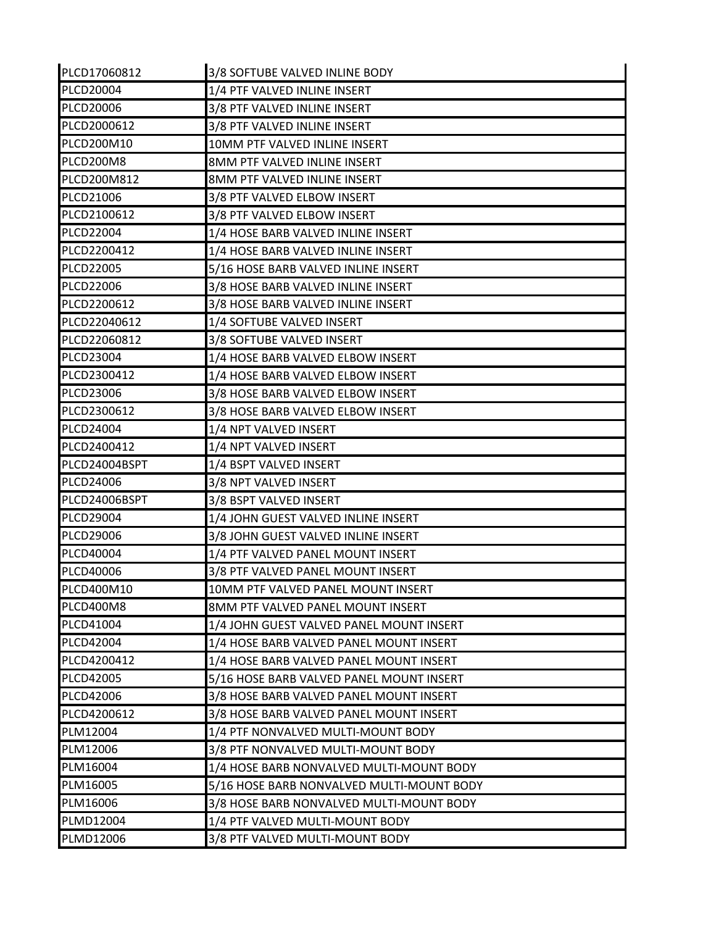| PLCD17060812     | 3/8 SOFTUBE VALVED INLINE BODY            |
|------------------|-------------------------------------------|
| PLCD20004        | 1/4 PTF VALVED INLINE INSERT              |
| PLCD20006        | 3/8 PTF VALVED INLINE INSERT              |
| PLCD2000612      | 3/8 PTF VALVED INLINE INSERT              |
| PLCD200M10       | 10MM PTF VALVED INLINE INSERT             |
| PLCD200M8        | 8MM PTF VALVED INLINE INSERT              |
| PLCD200M812      | 8MM PTF VALVED INLINE INSERT              |
| PLCD21006        | 3/8 PTF VALVED ELBOW INSERT               |
| PLCD2100612      | 3/8 PTF VALVED ELBOW INSERT               |
| <b>PLCD22004</b> | 1/4 HOSE BARB VALVED INLINE INSERT        |
| PLCD2200412      | 1/4 HOSE BARB VALVED INLINE INSERT        |
| <b>PLCD22005</b> | 5/16 HOSE BARB VALVED INLINE INSERT       |
| PLCD22006        | 3/8 HOSE BARB VALVED INLINE INSERT        |
| PLCD2200612      | 3/8 HOSE BARB VALVED INLINE INSERT        |
| PLCD22040612     | 1/4 SOFTUBE VALVED INSERT                 |
| PLCD22060812     | 3/8 SOFTUBE VALVED INSERT                 |
| PLCD23004        | 1/4 HOSE BARB VALVED ELBOW INSERT         |
| PLCD2300412      | 1/4 HOSE BARB VALVED ELBOW INSERT         |
| PLCD23006        | 3/8 HOSE BARB VALVED ELBOW INSERT         |
| PLCD2300612      | 3/8 HOSE BARB VALVED ELBOW INSERT         |
| PLCD24004        | 1/4 NPT VALVED INSERT                     |
| PLCD2400412      | 1/4 NPT VALVED INSERT                     |
| PLCD24004BSPT    | 1/4 BSPT VALVED INSERT                    |
| PLCD24006        | 3/8 NPT VALVED INSERT                     |
| PLCD24006BSPT    | 3/8 BSPT VALVED INSERT                    |
| PLCD29004        | 1/4 JOHN GUEST VALVED INLINE INSERT       |
| PLCD29006        | 3/8 JOHN GUEST VALVED INLINE INSERT       |
| PLCD40004        | 1/4 PTF VALVED PANEL MOUNT INSERT         |
| PLCD40006        | 3/8 PTF VALVED PANEL MOUNT INSERT         |
| PLCD400M10       | 10MM PTF VALVED PANEL MOUNT INSERT        |
| PLCD400M8        | 8MM PTF VALVED PANEL MOUNT INSERT         |
| PLCD41004        | 1/4 JOHN GUEST VALVED PANEL MOUNT INSERT  |
| PLCD42004        | 1/4 HOSE BARB VALVED PANEL MOUNT INSERT   |
| PLCD4200412      | 1/4 HOSE BARB VALVED PANEL MOUNT INSERT   |
| PLCD42005        | 5/16 HOSE BARB VALVED PANEL MOUNT INSERT  |
| PLCD42006        | 3/8 HOSE BARB VALVED PANEL MOUNT INSERT   |
| PLCD4200612      | 3/8 HOSE BARB VALVED PANEL MOUNT INSERT   |
| PLM12004         | 1/4 PTF NONVALVED MULTI-MOUNT BODY        |
| PLM12006         | 3/8 PTF NONVALVED MULTI-MOUNT BODY        |
| PLM16004         | 1/4 HOSE BARB NONVALVED MULTI-MOUNT BODY  |
| PLM16005         | 5/16 HOSE BARB NONVALVED MULTI-MOUNT BODY |
| PLM16006         | 3/8 HOSE BARB NONVALVED MULTI-MOUNT BODY  |
| PLMD12004        | 1/4 PTF VALVED MULTI-MOUNT BODY           |
| PLMD12006        | 3/8 PTF VALVED MULTI-MOUNT BODY           |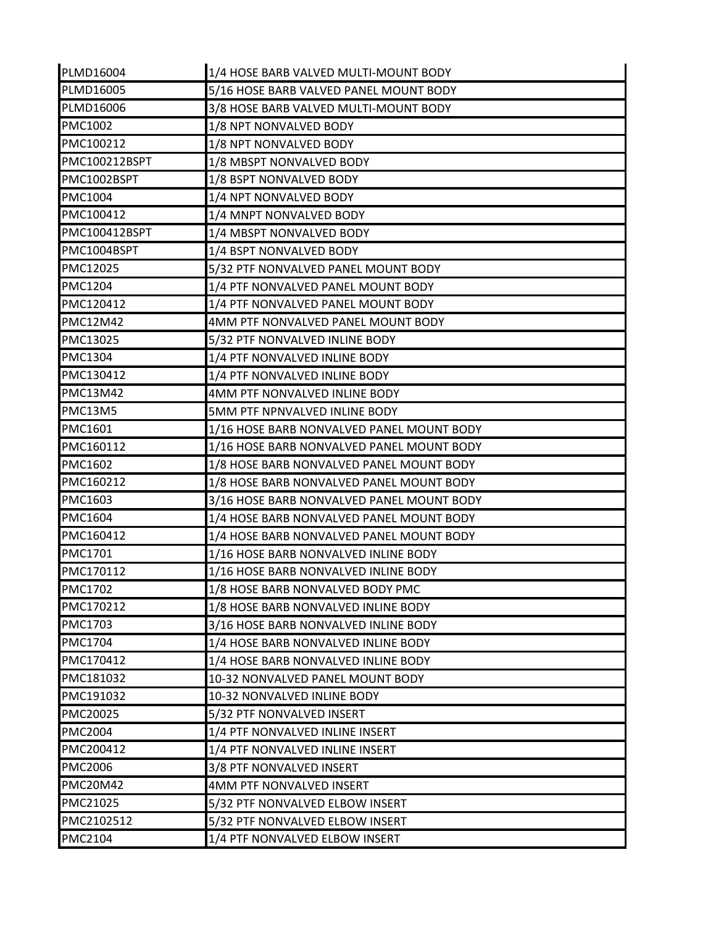| PLMD16004       | 1/4 HOSE BARB VALVED MULTI-MOUNT BODY     |
|-----------------|-------------------------------------------|
| PLMD16005       | 5/16 HOSE BARB VALVED PANEL MOUNT BODY    |
| PLMD16006       | 3/8 HOSE BARB VALVED MULTI-MOUNT BODY     |
| <b>PMC1002</b>  | 1/8 NPT NONVALVED BODY                    |
| PMC100212       | 1/8 NPT NONVALVED BODY                    |
| PMC100212BSPT   | 1/8 MBSPT NONVALVED BODY                  |
| PMC1002BSPT     | 1/8 BSPT NONVALVED BODY                   |
| <b>PMC1004</b>  | 1/4 NPT NONVALVED BODY                    |
| PMC100412       | 1/4 MNPT NONVALVED BODY                   |
| PMC100412BSPT   | 1/4 MBSPT NONVALVED BODY                  |
| PMC1004BSPT     | 1/4 BSPT NONVALVED BODY                   |
| PMC12025        | 5/32 PTF NONVALVED PANEL MOUNT BODY       |
| <b>PMC1204</b>  | 1/4 PTF NONVALVED PANEL MOUNT BODY        |
| PMC120412       | 1/4 PTF NONVALVED PANEL MOUNT BODY        |
| <b>PMC12M42</b> | 4MM PTF NONVALVED PANEL MOUNT BODY        |
| PMC13025        | 5/32 PTF NONVALVED INLINE BODY            |
| <b>PMC1304</b>  | 1/4 PTF NONVALVED INLINE BODY             |
| PMC130412       | 1/4 PTF NONVALVED INLINE BODY             |
| <b>PMC13M42</b> | 4MM PTF NONVALVED INLINE BODY             |
| PMC13M5         | 5MM PTF NPNVALVED INLINE BODY             |
| PMC1601         | 1/16 HOSE BARB NONVALVED PANEL MOUNT BODY |
| PMC160112       | 1/16 HOSE BARB NONVALVED PANEL MOUNT BODY |
| <b>PMC1602</b>  | 1/8 HOSE BARB NONVALVED PANEL MOUNT BODY  |
| PMC160212       | 1/8 HOSE BARB NONVALVED PANEL MOUNT BODY  |
| <b>PMC1603</b>  | 3/16 HOSE BARB NONVALVED PANEL MOUNT BODY |
| PMC1604         | 1/4 HOSE BARB NONVALVED PANEL MOUNT BODY  |
| PMC160412       | 1/4 HOSE BARB NONVALVED PANEL MOUNT BODY  |
| <b>PMC1701</b>  | 1/16 HOSE BARB NONVALVED INLINE BODY      |
| PMC170112       | 1/16 HOSE BARB NONVALVED INLINE BODY      |
| <b>PMC1702</b>  | 1/8 HOSE BARB NONVALVED BODY PMC          |
| PMC170212       | 1/8 HOSE BARB NONVALVED INLINE BODY       |
| <b>PMC1703</b>  | 3/16 HOSE BARB NONVALVED INLINE BODY      |
| <b>PMC1704</b>  | 1/4 HOSE BARB NONVALVED INLINE BODY       |
| PMC170412       | 1/4 HOSE BARB NONVALVED INLINE BODY       |
| PMC181032       | 10-32 NONVALVED PANEL MOUNT BODY          |
| PMC191032       | 10-32 NONVALVED INLINE BODY               |
| PMC20025        | 5/32 PTF NONVALVED INSERT                 |
| <b>PMC2004</b>  | 1/4 PTF NONVALVED INLINE INSERT           |
| PMC200412       | 1/4 PTF NONVALVED INLINE INSERT           |
| <b>PMC2006</b>  | 3/8 PTF NONVALVED INSERT                  |
| <b>PMC20M42</b> | 4MM PTF NONVALVED INSERT                  |
| PMC21025        | 5/32 PTF NONVALVED ELBOW INSERT           |
| PMC2102512      | 5/32 PTF NONVALVED ELBOW INSERT           |
| <b>PMC2104</b>  | 1/4 PTF NONVALVED ELBOW INSERT            |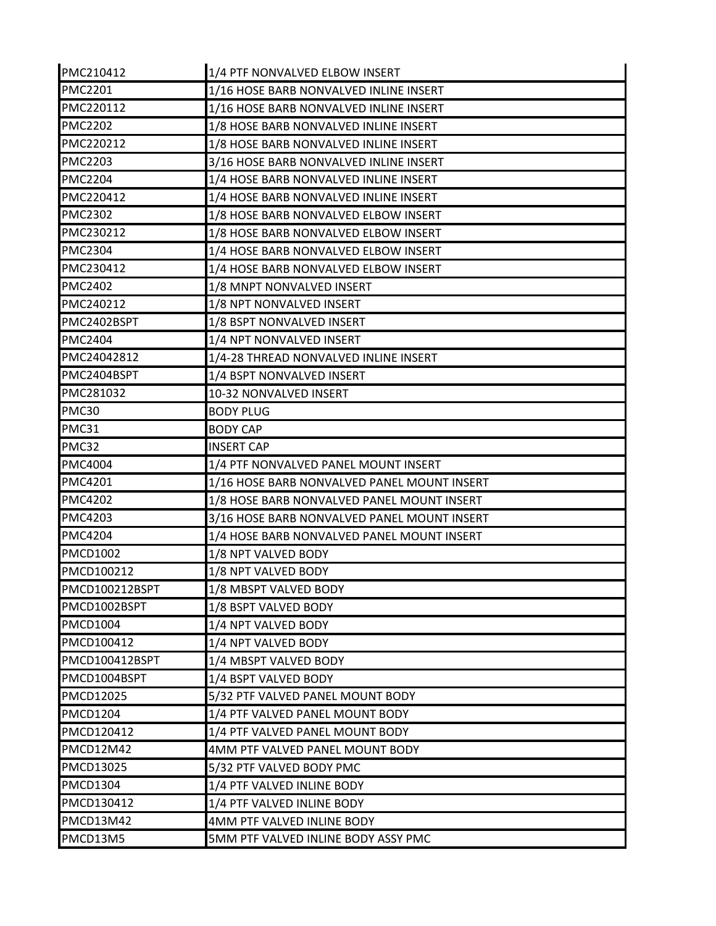| PMC210412        | 1/4 PTF NONVALVED ELBOW INSERT              |
|------------------|---------------------------------------------|
| <b>PMC2201</b>   | 1/16 HOSE BARB NONVALVED INLINE INSERT      |
| PMC220112        | 1/16 HOSE BARB NONVALVED INLINE INSERT      |
| <b>PMC2202</b>   | 1/8 HOSE BARB NONVALVED INLINE INSERT       |
| PMC220212        | 1/8 HOSE BARB NONVALVED INLINE INSERT       |
| <b>PMC2203</b>   | 3/16 HOSE BARB NONVALVED INLINE INSERT      |
| <b>PMC2204</b>   | 1/4 HOSE BARB NONVALVED INLINE INSERT       |
| PMC220412        | 1/4 HOSE BARB NONVALVED INLINE INSERT       |
| <b>PMC2302</b>   | 1/8 HOSE BARB NONVALVED ELBOW INSERT        |
| PMC230212        | 1/8 HOSE BARB NONVALVED ELBOW INSERT        |
| <b>PMC2304</b>   | 1/4 HOSE BARB NONVALVED ELBOW INSERT        |
| PMC230412        | 1/4 HOSE BARB NONVALVED ELBOW INSERT        |
| <b>PMC2402</b>   | 1/8 MNPT NONVALVED INSERT                   |
| PMC240212        | 1/8 NPT NONVALVED INSERT                    |
| PMC2402BSPT      | 1/8 BSPT NONVALVED INSERT                   |
| <b>PMC2404</b>   | 1/4 NPT NONVALVED INSERT                    |
| PMC24042812      | 1/4-28 THREAD NONVALVED INLINE INSERT       |
| PMC2404BSPT      | 1/4 BSPT NONVALVED INSERT                   |
| PMC281032        | 10-32 NONVALVED INSERT                      |
| PMC30            | <b>BODY PLUG</b>                            |
| PMC31            | <b>BODY CAP</b>                             |
| PMC32            | <b>INSERT CAP</b>                           |
| <b>PMC4004</b>   | 1/4 PTF NONVALVED PANEL MOUNT INSERT        |
| <b>PMC4201</b>   | 1/16 HOSE BARB NONVALVED PANEL MOUNT INSERT |
| <b>PMC4202</b>   | 1/8 HOSE BARB NONVALVED PANEL MOUNT INSERT  |
| <b>PMC4203</b>   | 3/16 HOSE BARB NONVALVED PANEL MOUNT INSERT |
| <b>PMC4204</b>   | 1/4 HOSE BARB NONVALVED PANEL MOUNT INSERT  |
| <b>PMCD1002</b>  | 1/8 NPT VALVED BODY                         |
| PMCD100212       | 1/8 NPT VALVED BODY                         |
| PMCD100212BSPT   | 1/8 MBSPT VALVED BODY                       |
| PMCD1002BSPT     | 1/8 BSPT VALVED BODY                        |
| PMCD1004         | 1/4 NPT VALVED BODY                         |
| PMCD100412       | 1/4 NPT VALVED BODY                         |
| PMCD100412BSPT   | 1/4 MBSPT VALVED BODY                       |
| PMCD1004BSPT     | 1/4 BSPT VALVED BODY                        |
| <b>PMCD12025</b> | 5/32 PTF VALVED PANEL MOUNT BODY            |
| <b>PMCD1204</b>  | 1/4 PTF VALVED PANEL MOUNT BODY             |
| PMCD120412       | 1/4 PTF VALVED PANEL MOUNT BODY             |
| PMCD12M42        | 4MM PTF VALVED PANEL MOUNT BODY             |
| PMCD13025        | 5/32 PTF VALVED BODY PMC                    |
| <b>PMCD1304</b>  | 1/4 PTF VALVED INLINE BODY                  |
| PMCD130412       | 1/4 PTF VALVED INLINE BODY                  |
| <b>PMCD13M42</b> | 4MM PTF VALVED INLINE BODY                  |
| PMCD13M5         | 5MM PTF VALVED INLINE BODY ASSY PMC         |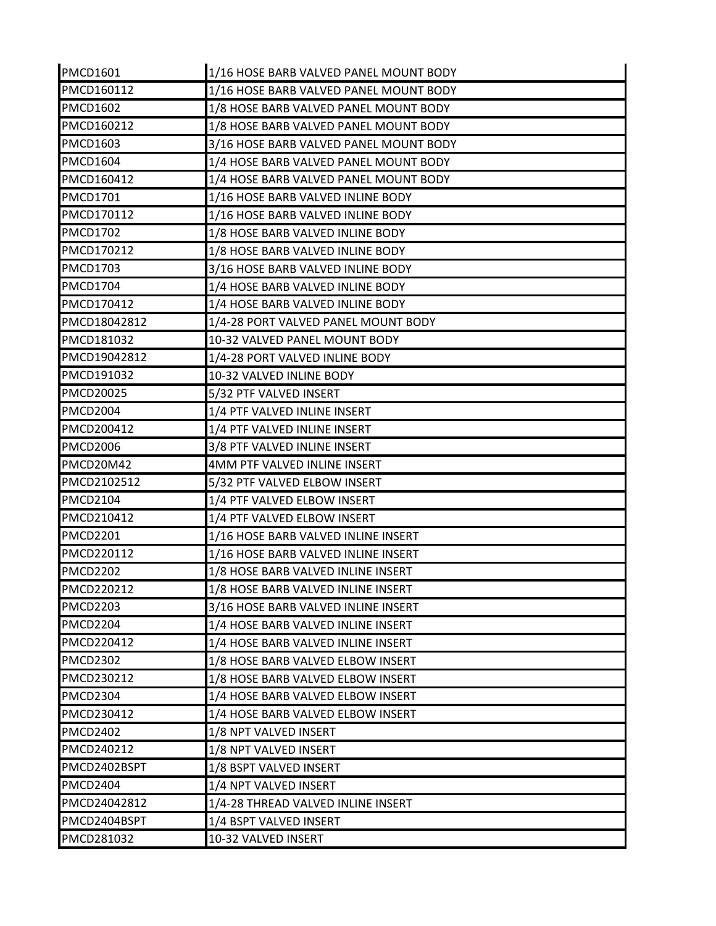| <b>PMCD1601</b>  | 1/16 HOSE BARB VALVED PANEL MOUNT BODY |
|------------------|----------------------------------------|
| PMCD160112       | 1/16 HOSE BARB VALVED PANEL MOUNT BODY |
| <b>PMCD1602</b>  | 1/8 HOSE BARB VALVED PANEL MOUNT BODY  |
| PMCD160212       | 1/8 HOSE BARB VALVED PANEL MOUNT BODY  |
| <b>PMCD1603</b>  | 3/16 HOSE BARB VALVED PANEL MOUNT BODY |
| PMCD1604         | 1/4 HOSE BARB VALVED PANEL MOUNT BODY  |
| PMCD160412       | 1/4 HOSE BARB VALVED PANEL MOUNT BODY  |
| <b>PMCD1701</b>  | 1/16 HOSE BARB VALVED INLINE BODY      |
| PMCD170112       | 1/16 HOSE BARB VALVED INLINE BODY      |
| <b>PMCD1702</b>  | 1/8 HOSE BARB VALVED INLINE BODY       |
| PMCD170212       | 1/8 HOSE BARB VALVED INLINE BODY       |
| <b>PMCD1703</b>  | 3/16 HOSE BARB VALVED INLINE BODY      |
| <b>PMCD1704</b>  | 1/4 HOSE BARB VALVED INLINE BODY       |
| PMCD170412       | 1/4 HOSE BARB VALVED INLINE BODY       |
| PMCD18042812     | 1/4-28 PORT VALVED PANEL MOUNT BODY    |
| PMCD181032       | 10-32 VALVED PANEL MOUNT BODY          |
| PMCD19042812     | 1/4-28 PORT VALVED INLINE BODY         |
| PMCD191032       | 10-32 VALVED INLINE BODY               |
| <b>PMCD20025</b> | 5/32 PTF VALVED INSERT                 |
| <b>PMCD2004</b>  | 1/4 PTF VALVED INLINE INSERT           |
| PMCD200412       | 1/4 PTF VALVED INLINE INSERT           |
| <b>PMCD2006</b>  | 3/8 PTF VALVED INLINE INSERT           |
| PMCD20M42        | 4MM PTF VALVED INLINE INSERT           |
| PMCD2102512      | 5/32 PTF VALVED ELBOW INSERT           |
| <b>PMCD2104</b>  | 1/4 PTF VALVED ELBOW INSERT            |
| PMCD210412       | 1/4 PTF VALVED ELBOW INSERT            |
| <b>PMCD2201</b>  | 1/16 HOSE BARB VALVED INLINE INSERT    |
| PMCD220112       | 1/16 HOSE BARB VALVED INLINE INSERT    |
| <b>PMCD2202</b>  | 1/8 HOSE BARB VALVED INLINE INSERT     |
| PMCD220212       | 1/8 HOSE BARB VALVED INLINE INSERT     |
| <b>PMCD2203</b>  | 3/16 HOSE BARB VALVED INLINE INSERT    |
| PMCD2204         | 1/4 HOSE BARB VALVED INLINE INSERT     |
| PMCD220412       | 1/4 HOSE BARB VALVED INLINE INSERT     |
| <b>PMCD2302</b>  | 1/8 HOSE BARB VALVED ELBOW INSERT      |
| PMCD230212       | 1/8 HOSE BARB VALVED ELBOW INSERT      |
| PMCD2304         | 1/4 HOSE BARB VALVED ELBOW INSERT      |
| PMCD230412       | 1/4 HOSE BARB VALVED ELBOW INSERT      |
| <b>PMCD2402</b>  | 1/8 NPT VALVED INSERT                  |
| PMCD240212       | 1/8 NPT VALVED INSERT                  |
| PMCD2402BSPT     | 1/8 BSPT VALVED INSERT                 |
| PMCD2404         | 1/4 NPT VALVED INSERT                  |
| PMCD24042812     | 1/4-28 THREAD VALVED INLINE INSERT     |
| IPMCD2404BSPT    | 1/4 BSPT VALVED INSERT                 |
| PMCD281032       | 10-32 VALVED INSERT                    |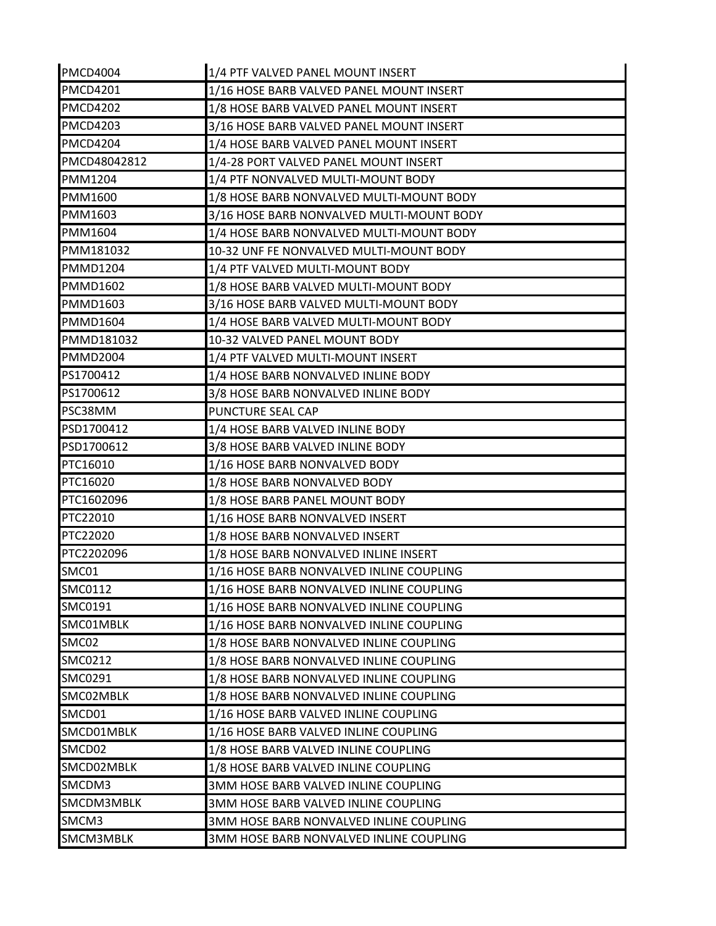| <b>PMCD4004</b> | 1/4 PTF VALVED PANEL MOUNT INSERT         |
|-----------------|-------------------------------------------|
| <b>PMCD4201</b> | 1/16 HOSE BARB VALVED PANEL MOUNT INSERT  |
| <b>PMCD4202</b> | 1/8 HOSE BARB VALVED PANEL MOUNT INSERT   |
| <b>PMCD4203</b> | 3/16 HOSE BARB VALVED PANEL MOUNT INSERT  |
| <b>PMCD4204</b> | 1/4 HOSE BARB VALVED PANEL MOUNT INSERT   |
| PMCD48042812    | 1/4-28 PORT VALVED PANEL MOUNT INSERT     |
| <b>PMM1204</b>  | 1/4 PTF NONVALVED MULTI-MOUNT BODY        |
| PMM1600         | 1/8 HOSE BARB NONVALVED MULTI-MOUNT BODY  |
| PMM1603         | 3/16 HOSE BARB NONVALVED MULTI-MOUNT BODY |
| PMM1604         | 1/4 HOSE BARB NONVALVED MULTI-MOUNT BODY  |
| PMM181032       | 10-32 UNF FE NONVALVED MULTI-MOUNT BODY   |
| <b>PMMD1204</b> | 1/4 PTF VALVED MULTI-MOUNT BODY           |
| <b>PMMD1602</b> | 1/8 HOSE BARB VALVED MULTI-MOUNT BODY     |
| <b>PMMD1603</b> | 3/16 HOSE BARB VALVED MULTI-MOUNT BODY    |
| PMMD1604        | 1/4 HOSE BARB VALVED MULTI-MOUNT BODY     |
| PMMD181032      | 10-32 VALVED PANEL MOUNT BODY             |
| <b>PMMD2004</b> | 1/4 PTF VALVED MULTI-MOUNT INSERT         |
| PS1700412       | 1/4 HOSE BARB NONVALVED INLINE BODY       |
| PS1700612       | 3/8 HOSE BARB NONVALVED INLINE BODY       |
| PSC38MM         | PUNCTURE SEAL CAP                         |
| PSD1700412      | 1/4 HOSE BARB VALVED INLINE BODY          |
| PSD1700612      | 3/8 HOSE BARB VALVED INLINE BODY          |
| PTC16010        | 1/16 HOSE BARB NONVALVED BODY             |
| PTC16020        | 1/8 HOSE BARB NONVALVED BODY              |
| PTC1602096      | 1/8 HOSE BARB PANEL MOUNT BODY            |
| PTC22010        | 1/16 HOSE BARB NONVALVED INSERT           |
| PTC22020        | 1/8 HOSE BARB NONVALVED INSERT            |
| PTC2202096      | 1/8 HOSE BARB NONVALVED INLINE INSERT     |
| SMC01           | 1/16 HOSE BARB NONVALVED INLINE COUPLING  |
| SMC0112         | 1/16 HOSE BARB NONVALVED INLINE COUPLING  |
| SMC0191         | 1/16 HOSE BARB NONVALVED INLINE COUPLING  |
| SMC01MBLK       | 1/16 HOSE BARB NONVALVED INLINE COUPLING  |
| SMC02           | 1/8 HOSE BARB NONVALVED INLINE COUPLING   |
| SMC0212         | 1/8 HOSE BARB NONVALVED INLINE COUPLING   |
| SMC0291         | 1/8 HOSE BARB NONVALVED INLINE COUPLING   |
| SMC02MBLK       | 1/8 HOSE BARB NONVALVED INLINE COUPLING   |
| SMCD01          | 1/16 HOSE BARB VALVED INLINE COUPLING     |
| SMCD01MBLK      | 1/16 HOSE BARB VALVED INLINE COUPLING     |
| SMCD02          | 1/8 HOSE BARB VALVED INLINE COUPLING      |
| SMCD02MBLK      | 1/8 HOSE BARB VALVED INLINE COUPLING      |
| SMCDM3          | 3MM HOSE BARB VALVED INLINE COUPLING      |
| SMCDM3MBLK      | 3MM HOSE BARB VALVED INLINE COUPLING      |
| SMCM3           | 3MM HOSE BARB NONVALVED INLINE COUPLING   |
| SMCM3MBLK       | 3MM HOSE BARB NONVALVED INLINE COUPLING   |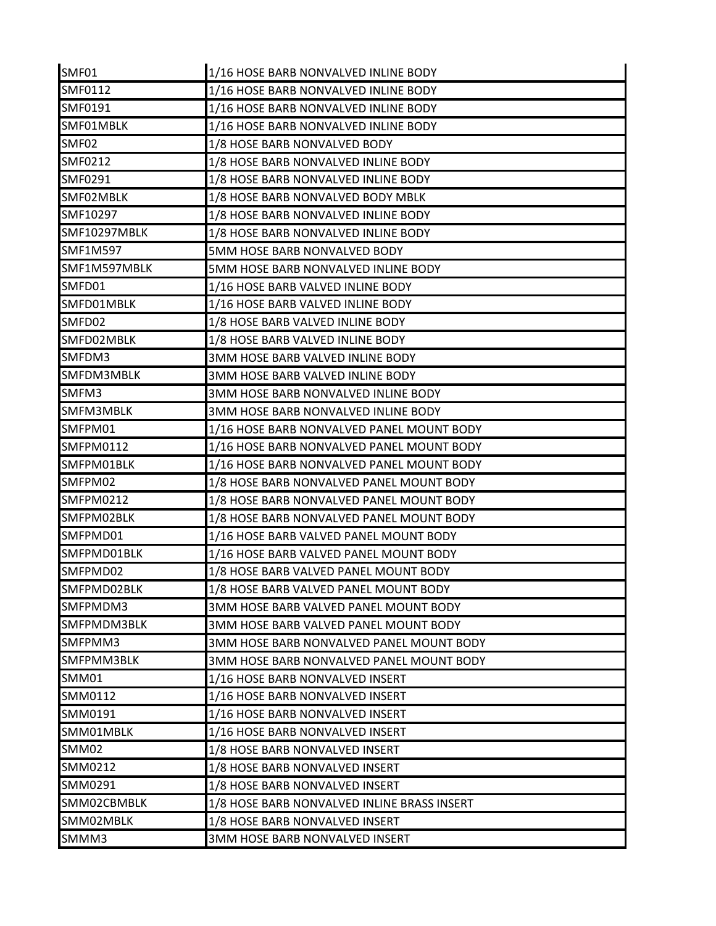| SMF01            | 1/16 HOSE BARB NONVALVED INLINE BODY        |
|------------------|---------------------------------------------|
| SMF0112          | 1/16 HOSE BARB NONVALVED INLINE BODY        |
| SMF0191          | 1/16 HOSE BARB NONVALVED INLINE BODY        |
| SMF01MBLK        | 1/16 HOSE BARB NONVALVED INLINE BODY        |
| SMF02            | 1/8 HOSE BARB NONVALVED BODY                |
| <b>SMF0212</b>   | 1/8 HOSE BARB NONVALVED INLINE BODY         |
| SMF0291          | 1/8 HOSE BARB NONVALVED INLINE BODY         |
| SMF02MBLK        | 1/8 HOSE BARB NONVALVED BODY MBLK           |
| SMF10297         | 1/8 HOSE BARB NONVALVED INLINE BODY         |
| SMF10297MBLK     | 1/8 HOSE BARB NONVALVED INLINE BODY         |
| <b>SMF1M597</b>  | 5MM HOSE BARB NONVALVED BODY                |
| SMF1M597MBLK     | 5MM HOSE BARB NONVALVED INLINE BODY         |
| SMFD01           | 1/16 HOSE BARB VALVED INLINE BODY           |
| SMFD01MBLK       | 1/16 HOSE BARB VALVED INLINE BODY           |
| SMFD02           | 1/8 HOSE BARB VALVED INLINE BODY            |
| SMFD02MBLK       | 1/8 HOSE BARB VALVED INLINE BODY            |
| SMFDM3           | <b>3MM HOSE BARB VALVED INLINE BODY</b>     |
| SMFDM3MBLK       | 3MM HOSE BARB VALVED INLINE BODY            |
| SMFM3            | 3MM HOSE BARB NONVALVED INLINE BODY         |
| SMFM3MBLK        | 3MM HOSE BARB NONVALVED INLINE BODY         |
| SMFPM01          | 1/16 HOSE BARB NONVALVED PANEL MOUNT BODY   |
| <b>SMFPM0112</b> | 1/16 HOSE BARB NONVALVED PANEL MOUNT BODY   |
| SMFPM01BLK       | 1/16 HOSE BARB NONVALVED PANEL MOUNT BODY   |
| ISMFPM02         | 1/8 HOSE BARB NONVALVED PANEL MOUNT BODY    |
| SMFPM0212        | 1/8 HOSE BARB NONVALVED PANEL MOUNT BODY    |
| SMFPM02BLK       | 1/8 HOSE BARB NONVALVED PANEL MOUNT BODY    |
| SMFPMD01         | 1/16 HOSE BARB VALVED PANEL MOUNT BODY      |
| SMFPMD01BLK      | 1/16 HOSE BARB VALVED PANEL MOUNT BODY      |
| SMFPMD02         | 1/8 HOSE BARB VALVED PANEL MOUNT BODY       |
| SMFPMD02BLK      | 1/8 HOSE BARB VALVED PANEL MOUNT BODY       |
| SMFPMDM3         | 3MM HOSE BARB VALVED PANEL MOUNT BODY       |
| SMFPMDM3BLK      | 3MM HOSE BARB VALVED PANEL MOUNT BODY       |
| SMFPMM3          | 3MM HOSE BARB NONVALVED PANEL MOUNT BODY    |
| SMFPMM3BLK       | 3MM HOSE BARB NONVALVED PANEL MOUNT BODY    |
| SMM01            | 1/16 HOSE BARB NONVALVED INSERT             |
| SMM0112          | 1/16 HOSE BARB NONVALVED INSERT             |
| SMM0191          | 1/16 HOSE BARB NONVALVED INSERT             |
| SMM01MBLK        | 1/16 HOSE BARB NONVALVED INSERT             |
| SMM02            | 1/8 HOSE BARB NONVALVED INSERT              |
| SMM0212          | 1/8 HOSE BARB NONVALVED INSERT              |
| SMM0291          | 1/8 HOSE BARB NONVALVED INSERT              |
| SMM02CBMBLK      | 1/8 HOSE BARB NONVALVED INLINE BRASS INSERT |
| SMM02MBLK        | 1/8 HOSE BARB NONVALVED INSERT              |
| SMMM3            | 3MM HOSE BARB NONVALVED INSERT              |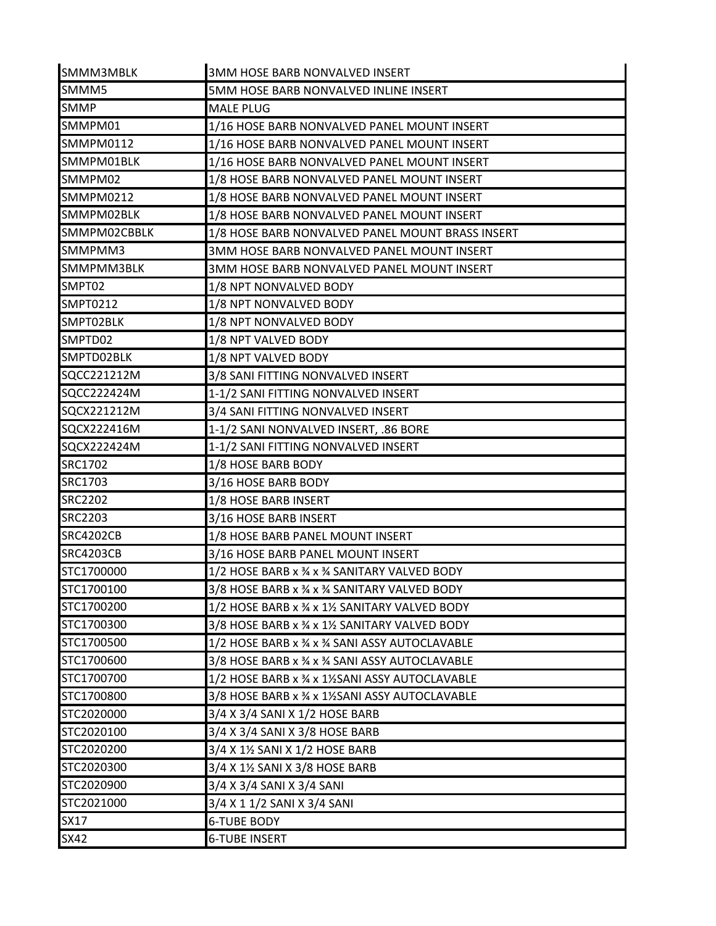| SMMM3MBLK        | 3MM HOSE BARB NONVALVED INSERT                   |
|------------------|--------------------------------------------------|
| SMMM5            | 5MM HOSE BARB NONVALVED INLINE INSERT            |
| <b>SMMP</b>      | <b>MALE PLUG</b>                                 |
| SMMPM01          | 1/16 HOSE BARB NONVALVED PANEL MOUNT INSERT      |
| <b>SMMPM0112</b> | 1/16 HOSE BARB NONVALVED PANEL MOUNT INSERT      |
| SMMPM01BLK       | 1/16 HOSE BARB NONVALVED PANEL MOUNT INSERT      |
| SMMPM02          | 1/8 HOSE BARB NONVALVED PANEL MOUNT INSERT       |
| SMMPM0212        | 1/8 HOSE BARB NONVALVED PANEL MOUNT INSERT       |
| SMMPM02BLK       | 1/8 HOSE BARB NONVALVED PANEL MOUNT INSERT       |
| SMMPM02CBBLK     | 1/8 HOSE BARB NONVALVED PANEL MOUNT BRASS INSERT |
| SMMPMM3          | 3MM HOSE BARB NONVALVED PANEL MOUNT INSERT       |
| SMMPMM3BLK       | 3MM HOSE BARB NONVALVED PANEL MOUNT INSERT       |
| SMPT02           | 1/8 NPT NONVALVED BODY                           |
| SMPT0212         | 1/8 NPT NONVALVED BODY                           |
| SMPT02BLK        | 1/8 NPT NONVALVED BODY                           |
| SMPTD02          | 1/8 NPT VALVED BODY                              |
| SMPTD02BLK       | 1/8 NPT VALVED BODY                              |
| SQCC221212M      | 3/8 SANI FITTING NONVALVED INSERT                |
| SQCC222424M      | 1-1/2 SANI FITTING NONVALVED INSERT              |
| SQCX221212M      | 3/4 SANI FITTING NONVALVED INSERT                |
| SQCX222416M      | 1-1/2 SANI NONVALVED INSERT, .86 BORE            |
| SQCX222424M      | 1-1/2 SANI FITTING NONVALVED INSERT              |
| <b>SRC1702</b>   | 1/8 HOSE BARB BODY                               |
| SRC1703          | 3/16 HOSE BARB BODY                              |
| <b>SRC2202</b>   | 1/8 HOSE BARB INSERT                             |
| <b>SRC2203</b>   | 3/16 HOSE BARB INSERT                            |
| <b>SRC4202CB</b> | 1/8 HOSE BARB PANEL MOUNT INSERT                 |
| <b>SRC4203CB</b> | 3/16 HOSE BARB PANEL MOUNT INSERT                |
| STC1700000       | 1/2 HOSE BARB x 3/4 x 3/4 SANITARY VALVED BODY   |
| STC1700100       | 3/8 HOSE BARB x 3⁄4 x 3⁄4 SANITARY VALVED BODY   |
| STC1700200       | 1/2 HOSE BARB x 34 x 11/2 SANITARY VALVED BODY   |
| STC1700300       | 3/8 HOSE BARB x 3⁄4 x 11⁄2 SANITARY VALVED BODY  |
| STC1700500       | 1/2 HOSE BARB x 3/4 x 3/4 SANI ASSY AUTOCLAVABLE |
| STC1700600       | 3/8 HOSE BARB x % x % SANI ASSY AUTOCLAVABLE     |
| STC1700700       | 1/2 HOSE BARB x % x 1% SANI ASSY AUTOCLAVABLE    |
| STC1700800       | 3/8 HOSE BARB x % x 1% SANI ASSY AUTOCLAVABLE    |
| STC2020000       | 3/4 X 3/4 SANI X 1/2 HOSE BARB                   |
| STC2020100       | 3/4 X 3/4 SANI X 3/8 HOSE BARB                   |
| STC2020200       | 3/4 X 1½ SANI X 1/2 HOSE BARB                    |
| STC2020300       | 3/4 X 11/2 SANI X 3/8 HOSE BARB                  |
| STC2020900       | 3/4 X 3/4 SANI X 3/4 SANI                        |
| STC2021000       | 3/4 X 1 1/2 SANI X 3/4 SANI                      |
| <b>SX17</b>      | <b>6-TUBE BODY</b>                               |
| <b>SX42</b>      | <b>6-TUBE INSERT</b>                             |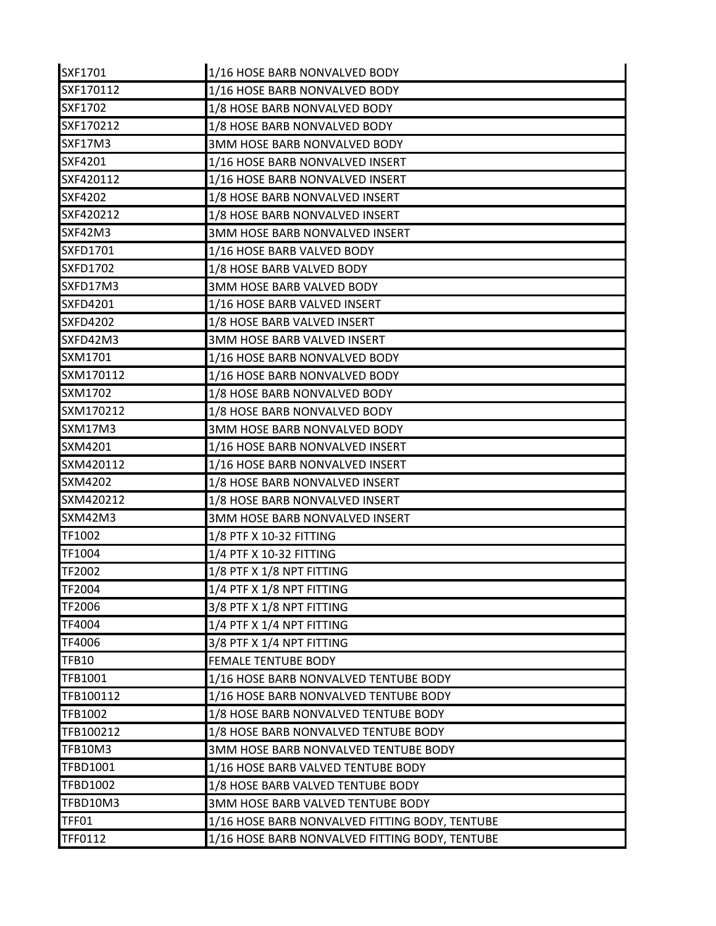| SXF1701         | 1/16 HOSE BARB NONVALVED BODY                  |
|-----------------|------------------------------------------------|
| SXF170112       | 1/16 HOSE BARB NONVALVED BODY                  |
| <b>SXF1702</b>  | 1/8 HOSE BARB NONVALVED BODY                   |
| SXF170212       | 1/8 HOSE BARB NONVALVED BODY                   |
| SXF17M3         | 3MM HOSE BARB NONVALVED BODY                   |
| SXF4201         | 1/16 HOSE BARB NONVALVED INSERT                |
| SXF420112       | 1/16 HOSE BARB NONVALVED INSERT                |
| <b>SXF4202</b>  | 1/8 HOSE BARB NONVALVED INSERT                 |
| SXF420212       | 1/8 HOSE BARB NONVALVED INSERT                 |
| SXF42M3         | 3MM HOSE BARB NONVALVED INSERT                 |
| SXFD1701        | 1/16 HOSE BARB VALVED BODY                     |
| <b>SXFD1702</b> | 1/8 HOSE BARB VALVED BODY                      |
| SXFD17M3        | 3MM HOSE BARB VALVED BODY                      |
| <b>SXFD4201</b> | 1/16 HOSE BARB VALVED INSERT                   |
| <b>SXFD4202</b> | 1/8 HOSE BARB VALVED INSERT                    |
| SXFD42M3        | <b>3MM HOSE BARB VALVED INSERT</b>             |
| SXM1701         | 1/16 HOSE BARB NONVALVED BODY                  |
| SXM170112       | 1/16 HOSE BARB NONVALVED BODY                  |
| SXM1702         | 1/8 HOSE BARB NONVALVED BODY                   |
| SXM170212       | 1/8 HOSE BARB NONVALVED BODY                   |
| <b>SXM17M3</b>  | 3MM HOSE BARB NONVALVED BODY                   |
| SXM4201         | 1/16 HOSE BARB NONVALVED INSERT                |
| SXM420112       | 1/16 HOSE BARB NONVALVED INSERT                |
| SXM4202         | 1/8 HOSE BARB NONVALVED INSERT                 |
| SXM420212       | 1/8 HOSE BARB NONVALVED INSERT                 |
| SXM42M3         | 3MM HOSE BARB NONVALVED INSERT                 |
| TF1002          | 1/8 PTF X 10-32 FITTING                        |
| TF1004          | 1/4 PTF X 10-32 FITTING                        |
| TF2002          | 1/8 PTF X 1/8 NPT FITTING                      |
| TF2004          | 1/4 PTF X 1/8 NPT FITTING                      |
| TF2006          | 3/8 PTF X 1/8 NPT FITTING                      |
| TF4004          | 1/4 PTF X 1/4 NPT FITTING                      |
| TF4006          | 3/8 PTF X 1/4 NPT FITTING                      |
| <b>TFB10</b>    | <b>FEMALE TENTUBE BODY</b>                     |
| TFB1001         | 1/16 HOSE BARB NONVALVED TENTUBE BODY          |
| TFB100112       | 1/16 HOSE BARB NONVALVED TENTUBE BODY          |
| <b>TFB1002</b>  | 1/8 HOSE BARB NONVALVED TENTUBE BODY           |
| TFB100212       | 1/8 HOSE BARB NONVALVED TENTUBE BODY           |
| <b>TFB10M3</b>  | 3MM HOSE BARB NONVALVED TENTUBE BODY           |
| TFBD1001        | 1/16 HOSE BARB VALVED TENTUBE BODY             |
| <b>TFBD1002</b> | 1/8 HOSE BARB VALVED TENTUBE BODY              |
| TFBD10M3        | 3MM HOSE BARB VALVED TENTUBE BODY              |
| <b>TFF01</b>    | 1/16 HOSE BARB NONVALVED FITTING BODY, TENTUBE |
| TFF0112         | 1/16 HOSE BARB NONVALVED FITTING BODY, TENTUBE |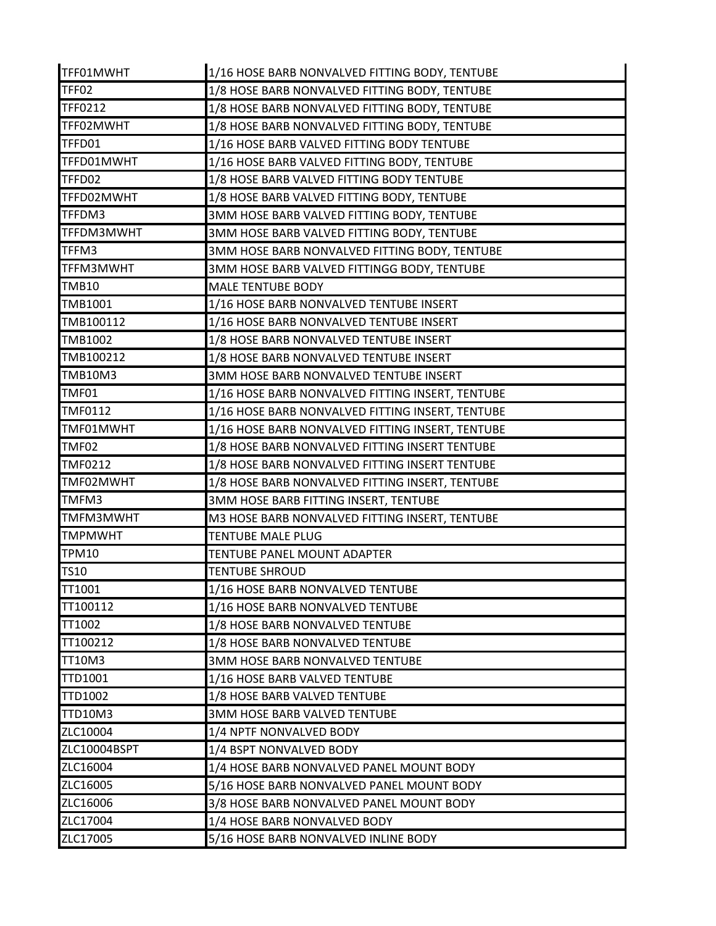| TFF01MWHT        | 1/16 HOSE BARB NONVALVED FITTING BODY, TENTUBE   |
|------------------|--------------------------------------------------|
| TFF02            | 1/8 HOSE BARB NONVALVED FITTING BODY, TENTUBE    |
| <b>TFF0212</b>   | 1/8 HOSE BARB NONVALVED FITTING BODY, TENTUBE    |
| TFF02MWHT        | 1/8 HOSE BARB NONVALVED FITTING BODY, TENTUBE    |
| TFFD01           | 1/16 HOSE BARB VALVED FITTING BODY TENTUBE       |
| TFFD01MWHT       | 1/16 HOSE BARB VALVED FITTING BODY, TENTUBE      |
| TFFD02           | 1/8 HOSE BARB VALVED FITTING BODY TENTUBE        |
| TFFD02MWHT       | 1/8 HOSE BARB VALVED FITTING BODY, TENTUBE       |
| TFFDM3           | 3MM HOSE BARB VALVED FITTING BODY, TENTUBE       |
| TFFDM3MWHT       | 3MM HOSE BARB VALVED FITTING BODY, TENTUBE       |
| TFFM3            | 3MM HOSE BARB NONVALVED FITTING BODY, TENTUBE    |
| TFFM3MWHT        | 3MM HOSE BARB VALVED FITTINGG BODY, TENTUBE      |
| <b>TMB10</b>     | <b>MALE TENTUBE BODY</b>                         |
| TMB1001          | 1/16 HOSE BARB NONVALVED TENTUBE INSERT          |
| TMB100112        | 1/16 HOSE BARB NONVALVED TENTUBE INSERT          |
| <b>TMB1002</b>   | 1/8 HOSE BARB NONVALVED TENTUBE INSERT           |
| TMB100212        | 1/8 HOSE BARB NONVALVED TENTUBE INSERT           |
| <b>TMB10M3</b>   | 3MM HOSE BARB NONVALVED TENTUBE INSERT           |
| TMF01            | 1/16 HOSE BARB NONVALVED FITTING INSERT, TENTUBE |
| <b>TMF0112</b>   | 1/16 HOSE BARB NONVALVED FITTING INSERT, TENTUBE |
| TMF01MWHT        | 1/16 HOSE BARB NONVALVED FITTING INSERT, TENTUBE |
| TMF02            | 1/8 HOSE BARB NONVALVED FITTING INSERT TENTUBE   |
| <b>TMF0212</b>   | 1/8 HOSE BARB NONVALVED FITTING INSERT TENTUBE   |
| TMF02MWHT        | 1/8 HOSE BARB NONVALVED FITTING INSERT, TENTUBE  |
| TMFM3            | 3MM HOSE BARB FITTING INSERT, TENTUBE            |
| <b>TMFM3MWHT</b> | M3 HOSE BARB NONVALVED FITTING INSERT, TENTUBE   |
| <b>TMPMWHT</b>   | <b>TENTUBE MALE PLUG</b>                         |
| <b>TPM10</b>     | TENTUBE PANEL MOUNT ADAPTER                      |
| <b>TS10</b>      | <b>TENTUBE SHROUD</b>                            |
| TT1001           | 1/16 HOSE BARB NONVALVED TENTUBE                 |
| TT100112         | 1/16 HOSE BARB NONVALVED TENTUBE                 |
| TT1002           | 1/8 HOSE BARB NONVALVED TENTUBE                  |
| TT100212         | 1/8 HOSE BARB NONVALVED TENTUBE                  |
| <b>TT10M3</b>    | <b>3MM HOSE BARB NONVALVED TENTUBE</b>           |
| <b>TTD1001</b>   | 1/16 HOSE BARB VALVED TENTUBE                    |
| <b>TTD1002</b>   | 1/8 HOSE BARB VALVED TENTUBE                     |
| <b>TTD10M3</b>   | 3MM HOSE BARB VALVED TENTUBE                     |
| ZLC10004         | 1/4 NPTF NONVALVED BODY                          |
| ZLC10004BSPT     | 1/4 BSPT NONVALVED BODY                          |
| ZLC16004         | 1/4 HOSE BARB NONVALVED PANEL MOUNT BODY         |
| ZLC16005         | 5/16 HOSE BARB NONVALVED PANEL MOUNT BODY        |
| ZLC16006         | 3/8 HOSE BARB NONVALVED PANEL MOUNT BODY         |
| ZLC17004         | 1/4 HOSE BARB NONVALVED BODY                     |
| ZLC17005         | 5/16 HOSE BARB NONVALVED INLINE BODY             |